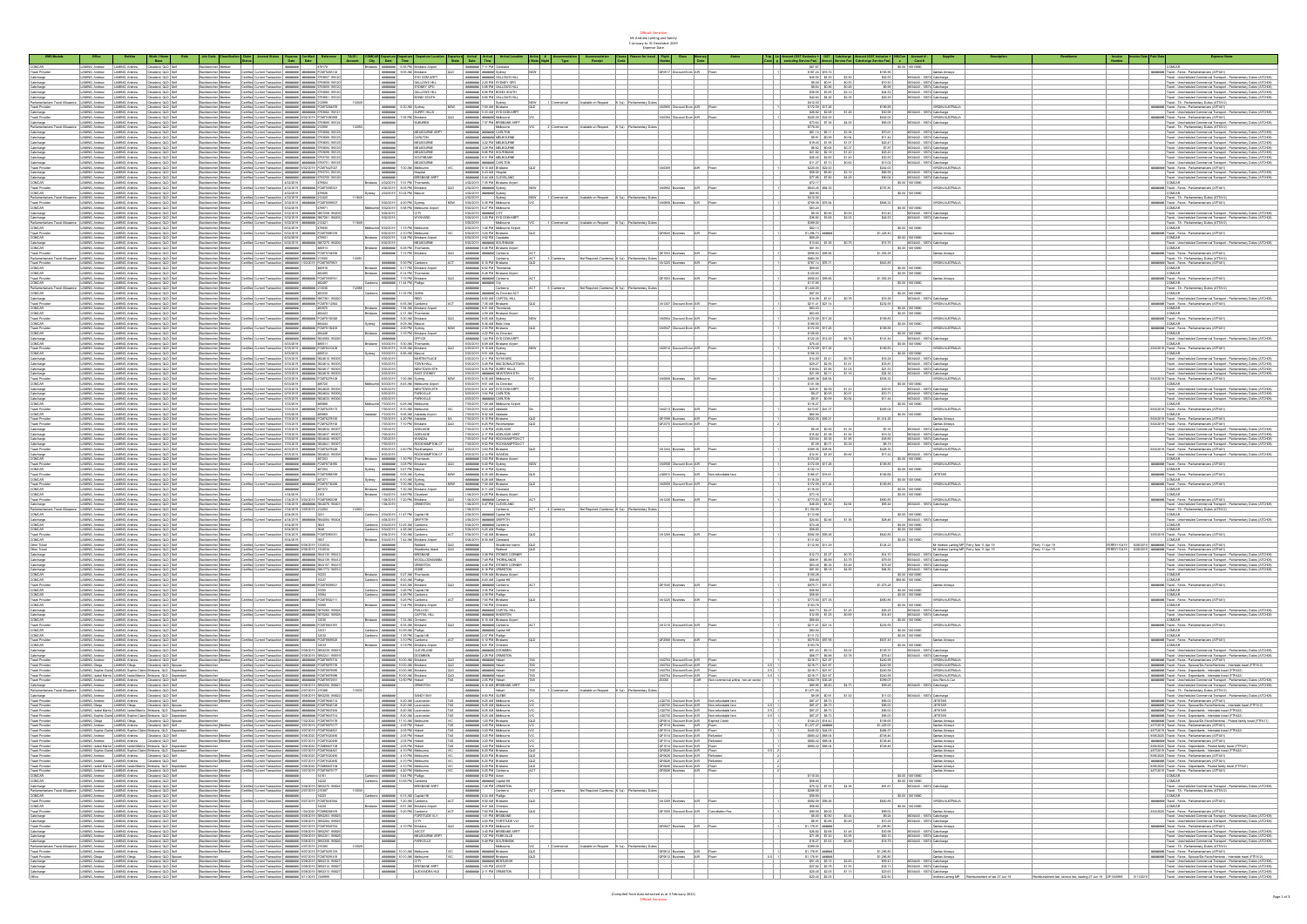Official: Sensitive Mr Andrew Laming and family 1 January to 31 December 2019 Expense Date

**Reason for travel in Fight Class in Enterary <b>Code** 

**Status Trip Coun Le g**

**Amount (GST Exclusive + excluding Service Fee) GST Amoun Cabcharge Service Fee Amount (GST Inclusive + Cabcharge Service Fee)**

**NS/Can c Account # - Card #**

**Supplier Description Remittance Invoice Number Invoice Date Paid Date Expense Name**

**Account City Date Time State Date Time l State Night** COMCAR LAMING, Andrew LAMING, Andrew Cleveland, QLD Self Backbencher Member ######## 478178 Brisbane ######## 6:36 PM Brisbane Airport ######## 7:11 PM Cleveland \$67.67 \$0.00 10013660 COMCAR Travel Provider LAMING, Andrew LAMING, Andrew Cleveland, QLD Self Backbencher Member Certified Current Transaction ######## ######## FCM75263132 ######## 9:05 AM Brisbane QLD ######## ####### Sydney NSW QF0517 Discount Econ AIR Flown 1 \$167.24 \$16.72 \$183.96 Qantas Airways ######## Travel - Fares - Parliamentarians (ATFA01) Cabcharge LAMING, Andrew LAMING, Andrew Cleveland, QLD Self Backbencher Member Certified Current Transaction ######## ######## 5793657.190120 ######## SYD DOM ARPT ######## ####### GALLOWS HILL \$45.50 \$4.55 \$2.50 \$52.55 8034440 - 10574 Cabcharge Travel - Unscheduled Commercial Transport - Parliamentary Duties (ATCH08) Cabcharge LAMING, Andrew LAMING, Andrew Cleveland, QLD Self Backbencher Member Certified Current Transaction ######## ######## 5793658.190120 ######## GALLOWS HILL ######## 2:20 PM SYDNEY GPO \$9.09 \$0.91 \$0.50 \$10.50 8034440 - 10574 Cabcharge Travel - Unscheduled Commercial Transport - Parliamentary Duties (ATCH08) Cabcharge LAMING, Andrew LAMING, Andrew Cleveland, QLD Self Backbencher Member Certified Current Transaction ######## ######## 5793659.190120 ######## SYDNEY GPO ######## 5:06 PM GALLOWS HILL \$8.64 \$0.86 \$0.48 \$9.98 8034440 - 10574 Cabcharge Travel - Unscheduled Commercial Transport - Parliamentary Duties (ATCH08) Cabcharge LAMING, Andrew LAMING, Andrew Cleveland, QLD Self Backbencher Member Certified Current Transaction ######## ######## 5793660.190120 ######## GALLOWS HILL ######## 6:06 PM BONDI SOUTH \$38.55 \$3.85 \$2.12 \$44.52 8034440 - 10574 Cabcharge Travel - Unscheduled Commercial Transport - Parliamentary Duties (ATCH08) Cabcharge LAMING, Andrew LAMING, Andrew Cleveland, QLD Self Backbencher Member Certified Current Transaction ######## ######## 5793661.190120 ######## BONDI SOUTH ######## 8:06 PM GALLOWS HILL \$42.64 \$4.26 \$2.35 \$49.25 8034440 - 10574 Cabcharge Travel - Unscheduled Commercial Transport - Parliamentary Duties (ATCH08) Parliamentarians Travel Allowance LAMING, Andrew LAMING, Andrew Cleveland, QLD Self Backbencher Member Certified Current Transaction ######## ######## 212998 112049 ######## Sydney NSW 1 Commercial Available on Request 6.1(a) Parliamentary Duties \$412.00 Travel - TA - Parliamentary Duties (ATTA12) Travel Provider LAMING, Andrew LAMING, Andrew Cleveland, QLD Self Backbencher Member Certified Current Transaction ######## ######## FCM75264878 ######## 6:30 AM Sydney NSW ######## 7:00 AM Brisbane QLD VA0905 Discount Econ AIR Flown 1 \$172.59 \$17.26 \$189.85 VIRGIN AUSTRALIA ######## Travel - Fares - Parliamentarians (ATFA01) Cabcharge LAMING, Andrew LAMING, Andrew Cleveland, QLD Self Backbencher Member Certified Current Transaction ######## ######## 5793662.190121 ######## SURRY HILLS ######## 5:33 AM SYD DOM ARPT \$26.82 \$2.68 \$1.48 \$30.98 8034440 - 10574 Cabcharge Travel - Unscheduled Commercial Transport - Parliamentary Duties (ATCH08)

**Arrival Location Arriva # Accommodation Type Accommodation Receipt Clause Code**

|                                                                                                                                                                                                                          |                                                                                                                                                                                                                                                                                                                                                                                                                                                     |                                                                                            |                                                                                                                 |                                                    |                                                                                                                                                                                                                                                                                                                                                                                                                                    |                                                     |                                                                                                                                                                                                                                                                                                                                                                                                                                       |                                                                                                                                          |                                                                                                                          |                                                  |                                                                    |                                                                                                                                                     |                                                                                                    | \$85.05               | I VIRGIN AUSTRALIA                                                                |                                                          | #######   Travel - Fares - Parlamentarians (ATFAO1) |                                                                                                                                                                                                                                                                                                                                                                                                                                                                                                                                                             |
|--------------------------------------------------------------------------------------------------------------------------------------------------------------------------------------------------------------------------|-----------------------------------------------------------------------------------------------------------------------------------------------------------------------------------------------------------------------------------------------------------------------------------------------------------------------------------------------------------------------------------------------------------------------------------------------------|--------------------------------------------------------------------------------------------|-----------------------------------------------------------------------------------------------------------------|----------------------------------------------------|------------------------------------------------------------------------------------------------------------------------------------------------------------------------------------------------------------------------------------------------------------------------------------------------------------------------------------------------------------------------------------------------------------------------------------|-----------------------------------------------------|---------------------------------------------------------------------------------------------------------------------------------------------------------------------------------------------------------------------------------------------------------------------------------------------------------------------------------------------------------------------------------------------------------------------------------------|------------------------------------------------------------------------------------------------------------------------------------------|--------------------------------------------------------------------------------------------------------------------------|--------------------------------------------------|--------------------------------------------------------------------|-----------------------------------------------------------------------------------------------------------------------------------------------------|----------------------------------------------------------------------------------------------------|-----------------------|-----------------------------------------------------------------------------------|----------------------------------------------------------|-----------------------------------------------------|-------------------------------------------------------------------------------------------------------------------------------------------------------------------------------------------------------------------------------------------------------------------------------------------------------------------------------------------------------------------------------------------------------------------------------------------------------------------------------------------------------------------------------------------------------------|
|                                                                                                                                                                                                                          | LAMNG, Andrew LAMNG, Andrew Claveland, QLD Self                                                                                                                                                                                                                                                                                                                                                                                                     |                                                                                            |                                                                                                                 |                                                    | Backbercher Member Certific Current Transactor ####### ####### 5733555 190124                                                                                                                                                                                                                                                                                                                                                      |                                                     | -                                                                                                                                                                                                                                                                                                                                                                                                                                     | susures                                                                                                                                  | <b>PARKWAS</b> 7:37 PM BRISBANE ARPT                                                                                     |                                                  |                                                                    |                                                                                                                                                     | \$73.64 \$7.35 \$4.05                                                                              |                       | 803440 - 10574 Cabcharge                                                          |                                                          |                                                     | Travel - Unscheduled Commercial Transport - Parliamentary Duties (ATCHOR                                                                                                                                                                                                                                                                                                                                                                                                                                                                                    |
|                                                                                                                                                                                                                          | LAMNG Andrew LAMNG Andrew Cleveland QLD Self<br>LAMNG, Andrew LAMING, Andrew Cleveland, QLD Self                                                                                                                                                                                                                                                                                                                                                    |                                                                                            |                                                                                                                 |                                                    | Sackbercher Member   Certified Current Transaction   WWWARM # ####### 212000<br>Backbencher Member Certifie: Current Transaction ####### ####### 5793588 190125                                                                                                                                                                                                                                                                    |                                                     | AMAREE                                                                                                                                                                                                                                                                                                                                                                                                                                | MILBOURNE ARPT                                                                                                                           | Melbourne<br>VIC 2 Commercial Available on Request 6, 10a Parliamentary Dutes<br>convent<br><b>PROFESS MODES CARLTON</b> |                                                  |                                                                    |                                                                                                                                                     | \$778.00<br>\$51.14 \$5.11 \$3.35                                                                  | \$70.01               | 8034440 - 10574 Cabcharge                                                         |                                                          |                                                     | Travel - TA - Parliamentery Duties (ATTA12)<br>Travel - Unscheduled Commercial Transport - Parliamentary Dutes (ATCHO)                                                                                                                                                                                                                                                                                                                                                                                                                                      |
|                                                                                                                                                                                                                          |                                                                                                                                                                                                                                                                                                                                                                                                                                                     |                                                                                            |                                                                                                                 |                                                    | Escibencher Member Certifie: Current Transaction   WWWANNI #WARANANI 5733555.150125                                                                                                                                                                                                                                                                                                                                                |                                                     |                                                                                                                                                                                                                                                                                                                                                                                                                                       | CARLTON                                                                                                                                  | FORESTS MONEY MUSCUPE                                                                                                    |                                                  |                                                                    |                                                                                                                                                     | \$9.91 \$9.99 \$9.54                                                                               |                       |                                                                                   |                                                          |                                                     | Travel - Unscheduled Commercial Transport - Parliamentary Dutes (ATCHO                                                                                                                                                                                                                                                                                                                                                                                                                                                                                      |
|                                                                                                                                                                                                                          | LAMNG, Andrew LAMNG, Andrew Cleveland, Q.D. Self<br>LAMNG, Andrew LAMNG, Andrew Cleveland, Q.D. Self                                                                                                                                                                                                                                                                                                                                                |                                                                                            |                                                                                                                 |                                                    | Eackbercher Member Certified Current Transaction ####### ####### 5733523 190125                                                                                                                                                                                                                                                                                                                                                    |                                                     | <b>AMARES</b>                                                                                                                                                                                                                                                                                                                                                                                                                         | MILBOURNE                                                                                                                                | <b>PROFESSION ACLICUTE</b>                                                                                               |                                                  |                                                                    |                                                                                                                                                     | \$19.45 \$1.95 \$1.07                                                                              | \$22.47               | 8034440 - 10574 Cabcharge                                                         |                                                          |                                                     | Travel - Unscheduled Commercial Transport - Parliamentary Dutes (ATCHO)                                                                                                                                                                                                                                                                                                                                                                                                                                                                                     |
|                                                                                                                                                                                                                          | LAMNG, Andrew   LAMNG, Andrew   Cleveland, QLD   Self                                                                                                                                                                                                                                                                                                                                                                                               |                                                                                            |                                                                                                                 |                                                    | Dackbercher Member Certifie: Current Transaction ####### ####### 5733094.190125                                                                                                                                                                                                                                                                                                                                                    |                                                     | AMANUM                                                                                                                                                                                                                                                                                                                                                                                                                                | MILBOURNE                                                                                                                                | PARKHINE 3:29 PM MELBOURNE                                                                                               |                                                  |                                                                    |                                                                                                                                                     | \$5.82 \$0.68 \$0.37                                                                               | \$7.87                | 8034440 - 10574 Cabcharge                                                         |                                                          |                                                     | Travel - Unscheduled Commercial Transport - Parliamentary Duties (ATCH08                                                                                                                                                                                                                                                                                                                                                                                                                                                                                    |
|                                                                                                                                                                                                                          | LAMMG, Andrew LAMMG, Andrew Cleveland, CLD Saft<br>LAMMG, Andrew LAMMG, Andrew Cleveland, CLD Saft<br>LAMMG, Andrew LAMMG, Andrew Cleveland, CLD Saft                                                                                                                                                                                                                                                                                               |                                                                                            |                                                                                                                 |                                                    | $\begin{tabular}{l c c c c c} \hline \textbf{Back} & \textbf{Bck} & \textbf{Cerite} & \textbf{Cerite} & \textbf{Cerite} & \textbf{Dsc} & \textbf{Dsc} & \textbf{Dsc} & \textbf{Dsc} & \textbf{Dsc} & \textbf{Dsc} & \textbf{Dsc} & \textbf{Dsc} & \textbf{Dsc} \\ \hline \textbf{Back} & \textbf{Dsc} & \textbf{Dsc} & \textbf{Dsc} & \textbf{Dsc} & \textbf{Dsc} & \textbf{Dsc} & \textbf{Dsc} & \textbf{Dsc} & \textbf{Dsc} & \$ |                                                     | $\begin{array}{ l } \hline \textit{andfree} \\ \hline \textit{andfree} \\ \hline \end{array}$                                                                                                                                                                                                                                                                                                                                         | MILBOURNE                                                                                                                                | PRINTERS 205 PM SOUTHEASE                                                                                                |                                                  |                                                                    |                                                                                                                                                     | 521.02 52.18 51.20<br>526.45 52.65 51.45<br>511.27 51.13 50.62                                     |                       | 8034440 - 10574 Cabcharge<br>8034440 - 10574 Cabcharge                            |                                                          |                                                     | Travel - Unacheduled Commercial Transport - Parliamentary Duten (ATCHOR<br>Travel - Unacheduled Commercial Transport - Parliamentary Duten (ATCHOR                                                                                                                                                                                                                                                                                                                                                                                                          |
|                                                                                                                                                                                                                          |                                                                                                                                                                                                                                                                                                                                                                                                                                                     |                                                                                            |                                                                                                                 |                                                    |                                                                                                                                                                                                                                                                                                                                                                                                                                    |                                                     |                                                                                                                                                                                                                                                                                                                                                                                                                                       |                                                                                                                                          |                                                                                                                          |                                                  |                                                                    |                                                                                                                                                     |                                                                                                    |                       |                                                                                   |                                                          |                                                     |                                                                                                                                                                                                                                                                                                                                                                                                                                                                                                                                                             |
| Cabcharge<br><b>Travel Provider</b>                                                                                                                                                                                      | LAMNG Andrew LAMING Andrew Cleveland QLD Self                                                                                                                                                                                                                                                                                                                                                                                                       |                                                                                            |                                                                                                                 |                                                    | Backbencher Member Certified Current Transaction ####### 6/02/2019 FCM75427027                                                                                                                                                                                                                                                                                                                                                     |                                                     |                                                                                                                                                                                                                                                                                                                                                                                                                                       | MILBOURNE<br>esperare 7:00 AM Mabourne                                                                                                   | <b>PRINTERS ANNINER CARLTON</b><br>energes 8.10 AM Bridans<br>lap I                                                      |                                                  |                                                                    | AR Roan                                                                                                                                             | \$220.00 \$22.00                                                                                   | \$13.02<br>\$242.00   | 8034440 - 10574 Cabcharge<br>VIRGIN AUSTRALIA                                     |                                                          |                                                     | Travel - Unscheduled Commercial Transport - Parliamentary Dutes (ATCHOS<br>evenesed Travel - Fores - Parlamentarians (ATFA01)                                                                                                                                                                                                                                                                                                                                                                                                                               |
|                                                                                                                                                                                                                          |                                                                                                                                                                                                                                                                                                                                                                                                                                                     |                                                                                            |                                                                                                                 |                                                    |                                                                                                                                                                                                                                                                                                                                                                                                                                    |                                                     | AMAREE                                                                                                                                                                                                                                                                                                                                                                                                                                |                                                                                                                                          | energes 543 AM Hospital                                                                                                  |                                                  |                                                                    |                                                                                                                                                     |                                                                                                    |                       | \$66.99 8334440 - 10574 Cabcharge                                                 |                                                          |                                                     |                                                                                                                                                                                                                                                                                                                                                                                                                                                                                                                                                             |
| Cabcharge                                                                                                                                                                                                                | LAMING, Andrew LAMING, Andrew Cliveland, Q.D. Set<br>LAMING, Andrew LAMING, Andrew Cliveland, Q.D. Set                                                                                                                                                                                                                                                                                                                                              |                                                                                            |                                                                                                                 |                                                    | Backburcher Member Carther Current Torvaction annumental annumente S723703 (2012)<br>Backburcher Member Carther Current Torvaction annumente annumente 3723705 (2012)                                                                                                                                                                                                                                                              |                                                     | $\begin{array}{lll} \textbf{A} & \textbf{B} & \textbf{B} & \textbf{B} & \textbf{B} \\ \textbf{B} & \textbf{B} & \textbf{B} & \textbf{B} & \textbf{B} \\ \textbf{B} & \textbf{B} & \textbf{B} & \textbf{B} & \textbf{B} \\ \textbf{B} & \textbf{B} & \textbf{B} & \textbf{B} & \textbf{B} & \textbf{B} \\ \textbf{B} & \textbf{B} & \textbf{B} & \textbf{B} & \textbf{B} & \textbf{B} \\ \textbf{B} & \textbf{B} & \textbf{B} & \text$ | Plospital<br>BRISBANE ARPT                                                                                                               | PRINTER & 44 AM CLEVELAND                                                                                                |                                                  |                                                                    |                                                                                                                                                     | \$28.00 \$5.80 \$1.19<br>\$77.95 \$7.80 \$4.29                                                     | \$90.06               | 8034440 - 10574 Cabcharge                                                         |                                                          |                                                     | Travel - Unacheduled Commercial Transport - Parliamentary Duties (ATO108<br>-<br>- Travel - Unacheduled Commercial Transport - Parliamentary Duties (ATO108<br>-                                                                                                                                                                                                                                                                                                                                                                                            |
| COMCAR                                                                                                                                                                                                                   | LAMNG Andrew LAMNG Andrew Clostend GLD Set                                                                                                                                                                                                                                                                                                                                                                                                          |                                                                                            |                                                                                                                 | <b>Backbencher Member 1999</b>                     |                                                                                                                                                                                                                                                                                                                                                                                                                                    | 4/02/2019 479224                                    |                                                                                                                                                                                                                                                                                                                                                                                                                                       | Bridges 402/2019 7:01 PM Thombods                                                                                                        | 4/02/2019 7:35 PM Bridane Airport                                                                                        |                                                  |                                                                    |                                                                                                                                                     | \$72.17                                                                                            |                       | \$0.00 10013000                                                                   |                                                          |                                                     | CONCAR                                                                                                                                                                                                                                                                                                                                                                                                                                                                                                                                                      |
| <b>Travel Provider</b>                                                                                                                                                                                                   | LAMNG, Andrew LAMNG, Andrew Cleveland, QLD Self                                                                                                                                                                                                                                                                                                                                                                                                     |                                                                                            |                                                                                                                 |                                                    | Backbercher Member Certifie: Current Transaction 4/02/2019 ####### FCM75595301                                                                                                                                                                                                                                                                                                                                                     |                                                     |                                                                                                                                                                                                                                                                                                                                                                                                                                       | 4/02/2019 8:05 PM Bridges                                                                                                                | 4/02/2019 AMMINI Sydney<br>NSW                                                                                           |                                                  | VA0992 Business AIR Flown                                          |                                                                                                                                                     | \$543.45 \$54.35                                                                                   | \$707.00              | <b>VIRGIN AUSTRALIA</b>                                                           |                                                          |                                                     | ####### Travel - Fares - Parlamentariana (ATFA01)                                                                                                                                                                                                                                                                                                                                                                                                                                                                                                           |
| COMCAR                                                                                                                                                                                                                   | AMNG, Andrew   LAMNG, Andrew   Cleveland, QLD   Se                                                                                                                                                                                                                                                                                                                                                                                                  |                                                                                            |                                                                                                                 |                                                    |                                                                                                                                                                                                                                                                                                                                                                                                                                    |                                                     |                                                                                                                                                                                                                                                                                                                                                                                                                                       | Sydney 4/02/2019 10:34 PM Mascot                                                                                                         | (2019 AMMEE Sydney                                                                                                       |                                                  |                                                                    |                                                                                                                                                     | \$69.90                                                                                            |                       | \$0.00 10013000                                                                   |                                                          |                                                     |                                                                                                                                                                                                                                                                                                                                                                                                                                                                                                                                                             |
| Parlamentarians Travel A                                                                                                                                                                                                 | LAMNG Andrew LAMNG Andrew Cleveland GLD Self                                                                                                                                                                                                                                                                                                                                                                                                        |                                                                                            |                                                                                                                 |                                                    | Sackbercher Member Certifie: Current Transaction 4/02/2012 ####### 212420                                                                                                                                                                                                                                                                                                                                                          |                                                     |                                                                                                                                                                                                                                                                                                                                                                                                                                       |                                                                                                                                          | 4/02/2019 Sydney<br>NSW 1 Commercial Available on Request 6.1(a) Parliamentary Du                                        |                                                  |                                                                    |                                                                                                                                                     | \$412.00                                                                                           |                       |                                                                                   |                                                          |                                                     | Travel - TA - Parliamentery Duties (ATTA12)                                                                                                                                                                                                                                                                                                                                                                                                                                                                                                                 |
|                                                                                                                                                                                                                          | LAMNG, Andrew LAMNG, Andrew Cleveland, QLD Self                                                                                                                                                                                                                                                                                                                                                                                                     |                                                                                            |                                                                                                                 |                                                    | Backbercher Member Certifec Current Transaction 5/02/2019 ####### FCM75995007                                                                                                                                                                                                                                                                                                                                                      |                                                     |                                                                                                                                                                                                                                                                                                                                                                                                                                       | 5/02/2019 4:00 PM Sydney                                                                                                                 | S/02/2019 5:35 PM Melbourne<br>WC.                                                                                       |                                                  | VA0858 Business AIR Flown                                          |                                                                                                                                                     | \$709.38 \$70.94                                                                                   |                       | SHE32                                                                             |                                                          |                                                     | ####### Travel - Fares - Parlamentarians (ATFAO1)                                                                                                                                                                                                                                                                                                                                                                                                                                                                                                           |
| COMCAR                                                                                                                                                                                                                   | LAMNG, Andrew LAMNG, Andrew Cleveland, Q.D. Self<br>LAMNG, Andrew LAMNG, Andrew Cleveland, Q.D. Self                                                                                                                                                                                                                                                                                                                                                |                                                                                            |                                                                                                                 |                                                    |                                                                                                                                                                                                                                                                                                                                                                                                                                    |                                                     |                                                                                                                                                                                                                                                                                                                                                                                                                                       | ne S/02/2019 S.58 PM Melbourne Airport                                                                                                   | 5/02/2019 6:27 PM Mebourne                                                                                               |                                                  |                                                                    |                                                                                                                                                     |                                                                                                    |                       | \$0.00 10013660                                                                   |                                                          |                                                     | COMCAR<br>Travel - Unicheduled Commercial Transport - Parliamentary Dutles (ATCHOR<br>Travel - Unicheduled Commercial Transport - Parliamentary Dutles (ATCHOR                                                                                                                                                                                                                                                                                                                                                                                              |
|                                                                                                                                                                                                                          |                                                                                                                                                                                                                                                                                                                                                                                                                                                     |                                                                                            |                                                                                                                 |                                                    |                                                                                                                                                                                                                                                                                                                                                                                                                                    |                                                     |                                                                                                                                                                                                                                                                                                                                                                                                                                       | 5/02/2019 CITY                                                                                                                           | 5022019 AMMINE CITY                                                                                                      |                                                  |                                                                    |                                                                                                                                                     |                                                                                                    |                       | \$10.40 3034440 - 10574 Cabcharge                                                 |                                                          |                                                     |                                                                                                                                                                                                                                                                                                                                                                                                                                                                                                                                                             |
| Cabcharge                                                                                                                                                                                                                | LAMNG, Andrew LAMING, Andrew Cleveland, QLD Self                                                                                                                                                                                                                                                                                                                                                                                                    |                                                                                            |                                                                                                                 |                                                    | Backbercher Member Certified Current Transaction 5/02/2019 ####### 5807261.190205                                                                                                                                                                                                                                                                                                                                                  |                                                     |                                                                                                                                                                                                                                                                                                                                                                                                                                       | 5/02/2019 WYNYARD                                                                                                                        |                                                                                                                          |                                                  |                                                                    |                                                                                                                                                     | \$36.82 \$3.68 \$2.03                                                                              |                       | \$42.53 8334440 - 10574 Cabcharge                                                 |                                                          |                                                     |                                                                                                                                                                                                                                                                                                                                                                                                                                                                                                                                                             |
| Parlamentarians Travel All<br>COMCAR                                                                                                                                                                                     |                                                                                                                                                                                                                                                                                                                                                                                                                                                     |                                                                                            |                                                                                                                 |                                                    | Backbencher Member Certifiec Current Transaction 5/02/2019 ####### 212421                                                                                                                                                                                                                                                                                                                                                          |                                                     |                                                                                                                                                                                                                                                                                                                                                                                                                                       | el 6/02/2019 1:15 PM Melbourne                                                                                                           | VIC   1 Commercial Available on Request   6.1/a) Parliamentary Dutes<br>2019 Melbourne<br>2019 1:45 PM Melbourne Airport |                                                  |                                                                    |                                                                                                                                                     | \$309.00                                                                                           |                       | \$0.00 10013660                                                                   |                                                          |                                                     | Travel - TA - Parlamentery Duties (ATTA12)                                                                                                                                                                                                                                                                                                                                                                                                                                                                                                                  |
| <b>Travel Provider</b>                                                                                                                                                                                                   | LAMNG, Andrew LAMNG, Andrew Claveland, Q.D. Self<br>LAMNG, Andrew LAMNG, Andrew Claveland, Q.D. Self<br>LAMNG, Andrew LAMNG, Andrew Claveland, Q.D. Self                                                                                                                                                                                                                                                                                            |                                                                                            |                                                                                                                 |                                                    | Backbencher Member   Certifec Current Transaction 602/2019   #9888999   FLM75050330<br>  Backbencher Member   Certifec Current Transaction 602/2019   #8888999   FCM75050330                                                                                                                                                                                                                                                       |                                                     |                                                                                                                                                                                                                                                                                                                                                                                                                                       | 6/02/2019 2:10 PM Mebourne                                                                                                               | 6/02/2019 120 PM Milibane (3.0                                                                                           |                                                  | OFO520 Business AR Flown                                           |                                                                                                                                                     | \$62.13<br>\$1,256.73 memme                                                                        |                       |                                                                                   |                                                          |                                                     | WWW.MW Travel - Fores - Parlamentariana (ATFAO1)                                                                                                                                                                                                                                                                                                                                                                                                                                                                                                            |
| COMCAR                                                                                                                                                                                                                   | AMNG Andrew LAMNG Andrew Cleveland GLD Set                                                                                                                                                                                                                                                                                                                                                                                                          |                                                                                            |                                                                                                                 | <b>Backbancher Member 1999</b>                     |                                                                                                                                                                                                                                                                                                                                                                                                                                    | 6020019 479231                                      |                                                                                                                                                                                                                                                                                                                                                                                                                                       | Brisbane 6/02/2019 3:24 PM Brisbane Airport                                                                                              | 6/02/2019 3:52 PM Capaboa                                                                                                |                                                  |                                                                    |                                                                                                                                                     | \$69.20                                                                                            |                       | \$1,425.40 Qortas Airways<br>\$0.00 10013660                                      |                                                          |                                                     | COMOVE                                                                                                                                                                                                                                                                                                                                                                                                                                                                                                                                                      |
|                                                                                                                                                                                                                          | LAMNG Andrew LAMING Andrew Cleveland QLD Self                                                                                                                                                                                                                                                                                                                                                                                                       |                                                                                            |                                                                                                                 |                                                    | Backbercher Member Certifier Current Transaction 6/02/2019 ####### 5807275 190206                                                                                                                                                                                                                                                                                                                                                  |                                                     | 6/02/2019                                                                                                                                                                                                                                                                                                                                                                                                                             | MELBOURNE                                                                                                                                | GO22019 AMMINE SOUTHDANK                                                                                                 |                                                  |                                                                    |                                                                                                                                                     | \$13.64 \$1.35 \$0.75                                                                              | \$15.75               | 8034440 - 10574 Cabcharge                                                         |                                                          |                                                     | Travel - Unscheduled Commercial Transport - Parliamentary Dutes (ATCHO)                                                                                                                                                                                                                                                                                                                                                                                                                                                                                     |
| COMCAR                                                                                                                                                                                                                   | LAMMG, Andrew LAMMG, Andrew Cleveland, Q.D. Self                                                                                                                                                                                                                                                                                                                                                                                                    |                                                                                            |                                                                                                                 | Backbencher Member                                 |                                                                                                                                                                                                                                                                                                                                                                                                                                    |                                                     |                                                                                                                                                                                                                                                                                                                                                                                                                                       | Brisbane ####### COS PM Thornlands                                                                                                       | <b>PARKERS</b> C-55 PM Bridane Airport                                                                                   |                                                  |                                                                    |                                                                                                                                                     | \$01.93                                                                                            |                       | \$0.00 10013660                                                                   |                                                          |                                                     |                                                                                                                                                                                                                                                                                                                                                                                                                                                                                                                                                             |
| Travel Provider                                                                                                                                                                                                          |                                                                                                                                                                                                                                                                                                                                                                                                                                                     |                                                                                            |                                                                                                                 |                                                    | Sackbercher Merber Certfec Current Transaction ####### ####### FCM75744535                                                                                                                                                                                                                                                                                                                                                         |                                                     |                                                                                                                                                                                                                                                                                                                                                                                                                                       | encourse 7:15 PM Brisbane                                                                                                                | energes asserted Carbona ACT                                                                                             |                                                  | CF1553 Business AIR Flown                                          |                                                                                                                                                     | \$50,000 \$50,00                                                                                   |                       | \$1,052.29 Qurtan Almanya                                                         |                                                          |                                                     | evenante Travel - Fares - Parlamentariana (ATFAO1)                                                                                                                                                                                                                                                                                                                                                                                                                                                                                                          |
| Parlamentarians Travel Alc                                                                                                                                                                                               | LAMNG Andrew LAMNG Andrew Cleveland GLD Set<br>ance LAMNG Andrew LAMNG Andrew Cleveland GLD Set                                                                                                                                                                                                                                                                                                                                                     |                                                                                            |                                                                                                                 |                                                    | Backbercher Member Certified Current Transaction ####### ####### 213000                                                                                                                                                                                                                                                                                                                                                            |                                                     |                                                                                                                                                                                                                                                                                                                                                                                                                                       |                                                                                                                                          | Canberra<br>ACT 3 Carberra Not Required (Carberra) 6.1(a) Parliamentary Dutes                                            |                                                  |                                                                    |                                                                                                                                                     | \$564.00                                                                                           |                       |                                                                                   |                                                          |                                                     | Travel - TA - Parlamentary Duties (ATTA12)                                                                                                                                                                                                                                                                                                                                                                                                                                                                                                                  |
|                                                                                                                                                                                                                          | MANG, Andrew LAMMG, Andrew Cleveland QLD Saft<br>LAMMG, Andrew LAMMG, Andrew Cleveland QLD Saft<br>LAMMG, Andrew LAMMG, Andrew Cleveland, QLD Saft                                                                                                                                                                                                                                                                                                  |                                                                                            |                                                                                                                 |                                                    | Escibencher Member Certifier Current Transaction   WWWW988   FCM75073801                                                                                                                                                                                                                                                                                                                                                           |                                                     |                                                                                                                                                                                                                                                                                                                                                                                                                                       | AMANUM 5:30 PM Carberra                                                                                                                  | <b>PPPFFRRE G.10 PM Brisbane</b>                                                                                         |                                                  | VA1225 Business AIR Flown                                          |                                                                                                                                                     | \$767.14 \$76.71                                                                                   |                       | <b>VIRGIN AUSTRALIA</b>                                                           |                                                          |                                                     | ####### Travel - Fares - Parlamentariana (ATFAO1)                                                                                                                                                                                                                                                                                                                                                                                                                                                                                                           |
| COMCAR                                                                                                                                                                                                                   |                                                                                                                                                                                                                                                                                                                                                                                                                                                     |                                                                                            |                                                                                                                 |                                                    |                                                                                                                                                                                                                                                                                                                                                                                                                                    |                                                     |                                                                                                                                                                                                                                                                                                                                                                                                                                       | Brisbane AMARINE 6.17 PM Brisbane Airport<br>Brisbane AMARINE 6.14 PM Thomasda                                                           | eessess 652 PM Thornlands                                                                                                |                                                  |                                                                    |                                                                                                                                                     | $rac{500,60}{5120,60}$                                                                             |                       | $= 5000$ 1001360                                                                  |                                                          |                                                     | COMCAR                                                                                                                                                                                                                                                                                                                                                                                                                                                                                                                                                      |
| COMCAR                                                                                                                                                                                                                   |                                                                                                                                                                                                                                                                                                                                                                                                                                                     |                                                                                            |                                                                                                                 | Backbercher Member                                 |                                                                                                                                                                                                                                                                                                                                                                                                                                    |                                                     |                                                                                                                                                                                                                                                                                                                                                                                                                                       |                                                                                                                                          | ####### 6:45 PM Brisbane Airport                                                                                         |                                                  |                                                                    |                                                                                                                                                     |                                                                                                    |                       | \$0.00 10013660                                                                   |                                                          |                                                     | COMCAR                                                                                                                                                                                                                                                                                                                                                                                                                                                                                                                                                      |
| Transi Provider - LAMING, Andrew LAMING, Andrew Claveland, Q.D. Self<br>COMCAR - LAMING, Andrew LAMING, Andrew Claveland, Q.D. Self<br>Parlamentarians Towel Albeance LAMING, Andrew LAMING, Andrew Claveland, Q.D. Self |                                                                                                                                                                                                                                                                                                                                                                                                                                                     |                                                                                            |                                                                                                                 |                                                    | Excitements Marker Cartha: Carnet Transciss arrestate essayate (CAPS0374)<br>The Marker Star Marker (Marker arrestate arrestate (Marker)                                                                                                                                                                                                                                                                                           |                                                     |                                                                                                                                                                                                                                                                                                                                                                                                                                       | ennemer 7:15 PM Bridges<br>Canberra ####### 11:44 PM Pialligo                                                                            | ACT<br>PARKERS ANAREK Carborra<br>PARKERS ARABER City                                                                    |                                                  | OF1553 Business AIR Flow                                           |                                                                                                                                                     |                                                                                                    | \$1,052.29            | Qurtas Airways<br>\$0.00 10013660                                                 |                                                          |                                                     | $\begin{array}{l l} \hbox{\small $\mathsf{new}} & \hbox{\small $\mathsf{True}} & \hbox{\small $\mathsf{True}} & \hbox{\small $\mathsf{Part}} & \hbox{\small $\mathsf{Part}} & \hbox{\small $\mathsf{APAD1}$}\\ \hline \multicolumn{3}{c}{\texttt{COLCLAR}} & & & \\ \multicolumn{3}{c}{\texttt{COLCLAR}} & & \\ \multicolumn{3}{c}{\texttt{True}} & \hbox{\small $\mathsf{True}} & \hbox{\small $\mathsf{True}} & \hbox{\small $\mathsf{True}} & \hbox{\small $\mathsf{True}} & \hbox{\small $\mathsf{True}} & \hbox{\small $\mathsf{True}} & \hbox{\small$ |
|                                                                                                                                                                                                                          |                                                                                                                                                                                                                                                                                                                                                                                                                                                     |                                                                                            |                                                                                                                 |                                                    | Backbercher Meriber Certfec Current Transaction ####### ####### 213035                                                                                                                                                                                                                                                                                                                                                             |                                                     |                                                                                                                                                                                                                                                                                                                                                                                                                                       |                                                                                                                                          | ACT 5 Carberra Not Required (Carberra) 6.1(a) Parliamentary Dutes<br>Carberra                                            |                                                  |                                                                    |                                                                                                                                                     |                                                                                                    |                       |                                                                                   |                                                          |                                                     |                                                                                                                                                                                                                                                                                                                                                                                                                                                                                                                                                             |
| COMCAR                                                                                                                                                                                                                   |                                                                                                                                                                                                                                                                                                                                                                                                                                                     |                                                                                            |                                                                                                                 | Backbercher Member                                 | <b>PERSONAL</b>                                                                                                                                                                                                                                                                                                                                                                                                                    | 483230                                              | Canberra ####### 11:05 PM Griffith                                                                                                                                                                                                                                                                                                                                                                                                    |                                                                                                                                          | <b>PRINTERS</b> MARRIED As Directed ACT                                                                                  |                                                  |                                                                    |                                                                                                                                                     |                                                                                                    |                       | \$0.00 10013000                                                                   |                                                          |                                                     | COMCAR                                                                                                                                                                                                                                                                                                                                                                                                                                                                                                                                                      |
|                                                                                                                                                                                                                          | LAMMG, Andrew LAMMG, Andrew Claveland, CLD Self<br>LAMMG, Andrew LAMMG, Andrew Claveland, CLD Self<br>LAMMG, Andrew LAMMG, Andrew Claveland, CLD Self                                                                                                                                                                                                                                                                                               |                                                                                            |                                                                                                                 |                                                    | Eackbercher Member Certified Current Transaction   ####### ######## 5807361.1902                                                                                                                                                                                                                                                                                                                                                   |                                                     | AMAREE                                                                                                                                                                                                                                                                                                                                                                                                                                |                                                                                                                                          | <b>PRINTERS</b> & GO AM CAPITAL HELL                                                                                     |                                                  |                                                                    |                                                                                                                                                     | $\frac{587.00}{514.00}$ 51.41 50                                                                   |                       |                                                                                   |                                                          |                                                     | Travel - Unscheduled Commercial Transport - Parliamentary Dutes (ATCHO)                                                                                                                                                                                                                                                                                                                                                                                                                                                                                     |
|                                                                                                                                                                                                                          |                                                                                                                                                                                                                                                                                                                                                                                                                                                     |                                                                                            |                                                                                                                 |                                                    |                                                                                                                                                                                                                                                                                                                                                                                                                                    |                                                     |                                                                                                                                                                                                                                                                                                                                                                                                                                       | AMAREN 0.55 AM Canberra                                                                                                                  | <b>PANYONE</b> 7:35 AM Brisbane<br>an 1                                                                                  |                                                  | VA1207 Discount Econ AIR Flown                                     |                                                                                                                                                     | \$211.41 \$21.54                                                                                   |                       | 515.28 8334440 - 10574 Cabcharge<br>\$232.55 VIRGIN AUSTRALI                      |                                                          |                                                     | 199808 Travel - Fares - Parlamenteriana (ATFAO1)                                                                                                                                                                                                                                                                                                                                                                                                                                                                                                            |
| COMCAR                                                                                                                                                                                                                   | LAMNG Andrew LAMING Andrew Cleveland QLD Self                                                                                                                                                                                                                                                                                                                                                                                                       |                                                                                            |                                                                                                                 |                                                    |                                                                                                                                                                                                                                                                                                                                                                                                                                    | errorated 453275                                    |                                                                                                                                                                                                                                                                                                                                                                                                                                       | Brisbane AMMARKA 7.54 AM Brisbane Airport                                                                                                | energes 8:31 AM Thorntonia                                                                                               |                                                  |                                                                    |                                                                                                                                                     | \$83.03                                                                                            |                       | \$0.00 10013660                                                                   |                                                          |                                                     | COMCAR                                                                                                                                                                                                                                                                                                                                                                                                                                                                                                                                                      |
| COMCAR                                                                                                                                                                                                                   | LAMNG, Andrew LAMNG, Andrew Cleveland, QLD Self                                                                                                                                                                                                                                                                                                                                                                                                     |                                                                                            |                                                                                                                 | <b>Backbericher Member<br/>Backbericher Member</b> | <b>COVERANS</b>                                                                                                                                                                                                                                                                                                                                                                                                                    | 454443                                              |                                                                                                                                                                                                                                                                                                                                                                                                                                       | Bridges ####### 4:31 AM Thombods                                                                                                         | <b>PRINTERS</b> 4:59 AM Bridane Altport                                                                                  |                                                  |                                                                    |                                                                                                                                                     | \$63.60                                                                                            |                       | \$0.00 10013050                                                                   |                                                          |                                                     | COMCAR                                                                                                                                                                                                                                                                                                                                                                                                                                                                                                                                                      |
|                                                                                                                                                                                                                          |                                                                                                                                                                                                                                                                                                                                                                                                                                                     |                                                                                            |                                                                                                                 |                                                    | Backbercher Member Certifie: Current Transaction ####### ####### FCM76122348                                                                                                                                                                                                                                                                                                                                                       |                                                     |                                                                                                                                                                                                                                                                                                                                                                                                                                       | AMANUM 5:30 AM Brisbane                                                                                                                  | <b>PPREERS</b> 8.05 AM Sydney<br>NSW                                                                                     |                                                  | VA0904 Discount Econ AIR Flown                                     |                                                                                                                                                     | \$172.59 \$17.26                                                                                   |                       | \$100.05 V<br>VIRGIN AUSTRALI                                                     |                                                          |                                                     | erresses Travel - Fares - Parlamentations (ATFAO1)                                                                                                                                                                                                                                                                                                                                                                                                                                                                                                          |
| COMCAR                                                                                                                                                                                                                   | LAMNG, Andrew   LAMNG, Andrew   Claveland, Q.D. Saf<br>  LAMNG, Andrew   LAMNG, Andrew   Claveland, Q.D. Saf<br>  LAMNG, Andrew   LAMNG, Andrew   Claveland, Q.D. Saf                                                                                                                                                                                                                                                                               |                                                                                            |                                                                                                                 | <b>Sackbencher Member</b>                          |                                                                                                                                                                                                                                                                                                                                                                                                                                    | PERSONAL 454444                                     |                                                                                                                                                                                                                                                                                                                                                                                                                                       | Sydney AMPARENT COD AM Mancot                                                                                                            | eeseess 2.35 AM Bela Vida                                                                                                |                                                  | VADRE Discount Econ AIR Plows                                      |                                                                                                                                                     | \$100.50                                                                                           |                       |                                                                                   |                                                          |                                                     | COMCAR                                                                                                                                                                                                                                                                                                                                                                                                                                                                                                                                                      |
| <b>Travel Provider</b>                                                                                                                                                                                                   |                                                                                                                                                                                                                                                                                                                                                                                                                                                     |                                                                                            |                                                                                                                 |                                                    | Backbercher Member Certifie: Current Transaction ####### ####### FCM76192405<br><b>PERSONAL</b>                                                                                                                                                                                                                                                                                                                                    |                                                     |                                                                                                                                                                                                                                                                                                                                                                                                                                       | assesses 2.00 PM Sydney                                                                                                                  | ab <br>energees 2.30 PM Brisbane<br>energes 4:22 PM As Directed                                                          |                                                  |                                                                    |                                                                                                                                                     | \$172.59 \$17.26<br>\$126.00                                                                       | \$109.05              | VIRGIN AUSTRALIA                                                                  |                                                          |                                                     | <b>REVENUE Travel - Fores - Parlamentariana (ATFAO1)</b>                                                                                                                                                                                                                                                                                                                                                                                                                                                                                                    |
| COMCAR                                                                                                                                                                                                                   | LAMMG, Andrew LAMMG, Andrew Cleveland, CLD Saft<br>LAMMG, Andrew LAMMG, Andrew Cleveland, CLD Saft<br>LAMMG, Andrew LAMMG, Andrew Cleveland, CLD Saft                                                                                                                                                                                                                                                                                               |                                                                                            |                                                                                                                 | <b>Backbencher Member</b>                          |                                                                                                                                                                                                                                                                                                                                                                                                                                    | 454446                                              |                                                                                                                                                                                                                                                                                                                                                                                                                                       | Brisbane ####### 3.15 PM Brisbane Airport                                                                                                |                                                                                                                          |                                                  |                                                                    |                                                                                                                                                     |                                                                                                    |                       | \$0.00 10013660                                                                   |                                                          |                                                     | COMCAR                                                                                                                                                                                                                                                                                                                                                                                                                                                                                                                                                      |
| Cabcharge<br>COMCAR                                                                                                                                                                                                      |                                                                                                                                                                                                                                                                                                                                                                                                                                                     |                                                                                            |                                                                                                                 | Backbercher Member                                 | Tackbencher Member Certified Current Trans                                                                                                                                                                                                                                                                                                                                                                                         | ucton Winness essayes 523450.100<br>503/2019 485511 |                                                                                                                                                                                                                                                                                                                                                                                                                                       | AMANY AND CETTER<br>Brisbane 5/03/2019 5:30 AM Thomas &                                                                                  | <b>REPORTED 124 PM SYD DOM ARP</b><br>5/03/2019 6:09 AM Brisbane Airport                                                 |                                                  |                                                                    |                                                                                                                                                     | \$122.45 \$12.25 \$6.7<br>\$75.40                                                                  |                       | \$141.44 8034440 - 10574 Cabcharge<br>\$0.00 10013660                             |                                                          |                                                     | Travel - Unacheduled Commercial Transport - Parliamentary Dutes (ATCHOR<br>COMCAR                                                                                                                                                                                                                                                                                                                                                                                                                                                                           |
|                                                                                                                                                                                                                          |                                                                                                                                                                                                                                                                                                                                                                                                                                                     |                                                                                            |                                                                                                                 |                                                    |                                                                                                                                                                                                                                                                                                                                                                                                                                    |                                                     |                                                                                                                                                                                                                                                                                                                                                                                                                                       | 5/03/2019 6:35 AM Bridges                                                                                                                | 5/03/2019 9:10 AM Sydney<br>NSW                                                                                          |                                                  | VAD912 Discount Econ AIR Plown                                     |                                                                                                                                                     |                                                                                                    |                       | <b>VIRGIN AUSTRALIA</b>                                                           |                                                          |                                                     | 2042019 Travel - Fares - Parlamentations (ATFA01)                                                                                                                                                                                                                                                                                                                                                                                                                                                                                                           |
| Travel Provider<br>COMCAR                                                                                                                                                                                                | LAMING, Andrew   LAMING, Andrew   Claveland, QLD Self<br>LAMING, Andrew   LAMING, Andrew   Claveland, QLD Self                                                                                                                                                                                                                                                                                                                                      |                                                                                            |                                                                                                                 |                                                    | Backbencher Member Certifie: Current Transaction 5/03/2019 ####### FCM75410438<br>5032019                                                                                                                                                                                                                                                                                                                                          | 405512                                              | Sydney 5/03/2019 8:55 AM Mascot                                                                                                                                                                                                                                                                                                                                                                                                       |                                                                                                                                          | 5/03/2019 9:51 AM Sydne                                                                                                  |                                                  |                                                                    |                                                                                                                                                     | \$172.59 \$17.25                                                                                   |                       | \$109.05 50.00 10013660                                                           |                                                          |                                                     |                                                                                                                                                                                                                                                                                                                                                                                                                                                                                                                                                             |
| Cabcharge                                                                                                                                                                                                                | LAMNG, Andrew LAMING, Andrew Cleveland, Q.D. Self                                                                                                                                                                                                                                                                                                                                                                                                   |                                                                                            |                                                                                                                 |                                                    | Backbercher Merber Certfer Current Transaction 503/2019 ####### 5024510.190305                                                                                                                                                                                                                                                                                                                                                     |                                                     |                                                                                                                                                                                                                                                                                                                                                                                                                                       | S/03/2019 MARTIN PLACE                                                                                                                   | 5/03/2019 2:11 PM WYNYARD                                                                                                |                                                  |                                                                    |                                                                                                                                                     | \$14.09 \$1.41 \$0.75                                                                              |                       | \$15.25 333440 - 10574 Cabcharge                                                  |                                                          |                                                     | Travel - Unicheduled Commercial Transport - Parliamentary Dutes (ATCHO                                                                                                                                                                                                                                                                                                                                                                                                                                                                                      |
| Cabcharge                                                                                                                                                                                                                | LAMNG, Andrew LAMNG, Andrew Cleveland, Q.D. Saff<br>LAMNG, Andrew LAMNG, Andrew Cleveland, Q.D. Saff<br>LAMNG, Andrew LAMNG, Andrew Cleveland, Q.D. Saff                                                                                                                                                                                                                                                                                            |                                                                                            |                                                                                                                 |                                                    |                                                                                                                                                                                                                                                                                                                                                                                                                                    |                                                     |                                                                                                                                                                                                                                                                                                                                                                                                                                       | 5/03/2019 TOWN HALL                                                                                                                      | S/03/2019 S-49 PM MACDONALDTOWN                                                                                          |                                                  |                                                                    |                                                                                                                                                     | \$29.27 \$2.93 \$1.61                                                                              |                       | \$33.81 8334440 - 10574 Cabcharge                                                 |                                                          |                                                     |                                                                                                                                                                                                                                                                                                                                                                                                                                                                                                                                                             |
|                                                                                                                                                                                                                          |                                                                                                                                                                                                                                                                                                                                                                                                                                                     |                                                                                            |                                                                                                                 |                                                    | Backbencher Member Cartles Current Transaction 503/2019 ####### 5034614.193305<br>Backbencher Member Cartles Current Transaction 503/2019 ####### 5034617.193305                                                                                                                                                                                                                                                                   |                                                     | 5/03/2019                                                                                                                                                                                                                                                                                                                                                                                                                             | NEW TOWN STH                                                                                                                             | S/03/2019 8:35 PM SURRY HELLS                                                                                            |                                                  |                                                                    |                                                                                                                                                     | \$18.64 \$1.85 \$1.03                                                                              | \$21.53               | 8034440 - 10574 Cabcharge                                                         |                                                          |                                                     | Travel - Unacheduled Commercial Transport - Parliamentary Dutes (ATCHOR)<br>Travel - Unacheduled Commercial Transport - Parliamentary Dutes (ATCHOR                                                                                                                                                                                                                                                                                                                                                                                                         |
|                                                                                                                                                                                                                          |                                                                                                                                                                                                                                                                                                                                                                                                                                                     |                                                                                            |                                                                                                                 |                                                    | Scibencher Member Certher Current Transaction 503/2019 ####### 303/2018 19030                                                                                                                                                                                                                                                                                                                                                      |                                                     |                                                                                                                                                                                                                                                                                                                                                                                                                                       | EAST SYDNEY                                                                                                                              | 2019 AMMINI NEWTOWN STH                                                                                                  |                                                  |                                                                    |                                                                                                                                                     |                                                                                                    | \$24.35               | 803440 - 10574 Cabcharge                                                          |                                                          |                                                     | Travel - Unscheduled Commercial Transport - Parliamentary Dutes (ATCHO                                                                                                                                                                                                                                                                                                                                                                                                                                                                                      |
| Travel Provider<br>COMCAR                                                                                                                                                                                                | LAMNG Andrew LAMING Andrew Cleveland QLD Self                                                                                                                                                                                                                                                                                                                                                                                                       |                                                                                            |                                                                                                                 |                                                    | Backbercher Member Certifie: Current Transaction 6/03/2019 ####### FCM75278108                                                                                                                                                                                                                                                                                                                                                     |                                                     |                                                                                                                                                                                                                                                                                                                                                                                                                                       | 6/03/2019 7:00 AM Sydney                                                                                                                 | 6/03/2019 8:35 AM Mcbourne                                                                                               |                                                  | VACCO Business AIR Flown                                           |                                                                                                                                                     | \$400.38 \$40.94                                                                                   | \$538.32              | VIRGIN AUSTRALIA                                                                  |                                                          |                                                     | 5042019 Travel - Fares - Parlamentariana (ATFA01)                                                                                                                                                                                                                                                                                                                                                                                                                                                                                                           |
|                                                                                                                                                                                                                          | LAMNG, Andrew   LAMNG, Andrew   Cleveland, QLD   Self                                                                                                                                                                                                                                                                                                                                                                                               |                                                                                            |                                                                                                                 |                                                    | Backbencher Member   603/2019 485720                                                                                                                                                                                                                                                                                                                                                                                               |                                                     |                                                                                                                                                                                                                                                                                                                                                                                                                                       | cume 6/03/2019 8:45 AM Melbourne Airport                                                                                                 | 6/03/2019 9:51 AM As Directed                                                                                            |                                                  |                                                                    |                                                                                                                                                     | \$131.58                                                                                           |                       | \$0.00 10013660                                                                   |                                                          |                                                     | <b>COMCAR</b>                                                                                                                                                                                                                                                                                                                                                                                                                                                                                                                                               |
|                                                                                                                                                                                                                          |                                                                                                                                                                                                                                                                                                                                                                                                                                                     |                                                                                            |                                                                                                                 |                                                    | Sackbercher Member Certific Current Transaction (503/2013) ####### \$234020112030<br>Sackbercher Member Certific Current Transaction (503/2013) ####### \$23403412030                                                                                                                                                                                                                                                              |                                                     |                                                                                                                                                                                                                                                                                                                                                                                                                                       | 6/03/2019 NEW TOWN STH                                                                                                                   | 6/03/2019 6:31 AM SYD DOM ARPT                                                                                           |                                                  |                                                                    |                                                                                                                                                     | \$25.91 \$2.59 \$1.43<br>\$0.27 \$0.93 \$0.51                                                      |                       | 529.93 8034440 - 10574 Cabcharge<br>519.71 8034440 - 10574 Cabcharge              |                                                          |                                                     | Travel - Unscheduled Commercial Transport - Parliamentary Dutes (ATCHO                                                                                                                                                                                                                                                                                                                                                                                                                                                                                      |
| Cabcharge                                                                                                                                                                                                                | LAMNG, Andrew LAMNG, Andrew Cleveland, Q.D. Set<br>LAMNG, Andrew LAMNG, Andrew Cleveland, Q.D. Set<br>LAMNG, Andrew LAMNG, Andrew Cleveland, Q.D. Set                                                                                                                                                                                                                                                                                               |                                                                                            |                                                                                                                 |                                                    |                                                                                                                                                                                                                                                                                                                                                                                                                                    |                                                     |                                                                                                                                                                                                                                                                                                                                                                                                                                       | 6/03/2019 PARKVILLE                                                                                                                      | 6/03/2019 3:04 PM CARLTON                                                                                                |                                                  |                                                                    |                                                                                                                                                     |                                                                                                    |                       |                                                                                   |                                                          |                                                     | Trael - Uncheduled Commercial Transport - Parliamentary Dutes (ATCHOR)<br>Travel - Uncheduled Commercial Transport - Parliamentary Dutes (ATCHOR)                                                                                                                                                                                                                                                                                                                                                                                                           |
| Cabcharge<br><b>FACING</b>                                                                                                                                                                                               |                                                                                                                                                                                                                                                                                                                                                                                                                                                     |                                                                                            |                                                                                                                 | <b>Backbencher Member        </b>                  | Backbercher Member Certified Current Transaction 6/03/2019 ####### 5824633 190306                                                                                                                                                                                                                                                                                                                                                  | 7/03/2019 485858                                    | 6/03/2019                                                                                                                                                                                                                                                                                                                                                                                                                             | PARKVILLE<br>Mebourne 7/03/2019 6:29 AM Mebourne                                                                                         | GO3/2019 AMMINI CARLTON<br>7/03/2019 7:28 AM Mebourne Airport                                                            |                                                  |                                                                    |                                                                                                                                                     | \$9.91 \$0.99 \$0.54<br>\$116.27                                                                   |                       | \$11.44 8034440 - 10574 Cabcharge<br>\$0.00 10013660                              |                                                          |                                                     | COMCAR                                                                                                                                                                                                                                                                                                                                                                                                                                                                                                                                                      |
|                                                                                                                                                                                                                          | LAMNG, Andrew   LAMNG, Andrew   Cleveland, Q.D. Self<br>  LAMNG, Andrew   LAMNG, Andrew   Cleveland, Q.D. Self<br>  LAMNG, Andrew   LAMNG, Andrew   Cleveland, Q.D. Self                                                                                                                                                                                                                                                                            |                                                                                            |                                                                                                                 |                                                    |                                                                                                                                                                                                                                                                                                                                                                                                                                    |                                                     |                                                                                                                                                                                                                                                                                                                                                                                                                                       |                                                                                                                                          |                                                                                                                          |                                                  | AC213 Business AR Roam                                             |                                                                                                                                                     | 5413.07 541.37                                                                                     |                       | 3655.06 30.00 10013660 10013643.modus<br>Qurdas Airway<br><b>VIRGIN AUSTRALIA</b> |                                                          |                                                     | V342019 Travel - Fares - Parlamentariana (ATFA01)                                                                                                                                                                                                                                                                                                                                                                                                                                                                                                           |
| Travel Provide<br>COMCAR                                                                                                                                                                                                 |                                                                                                                                                                                                                                                                                                                                                                                                                                                     |                                                                                            |                                                                                                                 |                                                    | Eackbercher Member   7/03/2019   485809                                                                                                                                                                                                                                                                                                                                                                                            |                                                     |                                                                                                                                                                                                                                                                                                                                                                                                                                       | 7/03/2019 8:10 AM Mabourne<br>Adelaide 7/03/2019 9:05 AM Adelaide Airport                                                                | 132019 9:00 AM Adelaide<br>132019 9:32 AM Adelaide                                                                       |                                                  |                                                                    |                                                                                                                                                     | \$60.00                                                                                            |                       |                                                                                   |                                                          |                                                     | COMCAR                                                                                                                                                                                                                                                                                                                                                                                                                                                                                                                                                      |
| Travel Provider                                                                                                                                                                                                          |                                                                                                                                                                                                                                                                                                                                                                                                                                                     |                                                                                            |                                                                                                                 |                                                    |                                                                                                                                                                                                                                                                                                                                                                                                                                    |                                                     |                                                                                                                                                                                                                                                                                                                                                                                                                                       | 7/03/2019 4:20 PM Adelaide                                                                                                               | 7/03/2019 6:15 PM Brisbane                                                                                               |                                                  |                                                                    |                                                                                                                                                     | \$922.05 \$92.21                                                                                   |                       | S1,014.26 Centas Airways                                                          |                                                          |                                                     | 5042019 Travel - Fares - Parlamentariana (ATFA01)                                                                                                                                                                                                                                                                                                                                                                                                                                                                                                           |
|                                                                                                                                                                                                                          | LAMNG, Andrew LAMNG, Andrew Cleveland, QLD Self<br>LAMNG, Andrew LAMNG, Andrew Cleveland, QLD Self                                                                                                                                                                                                                                                                                                                                                  |                                                                                            |                                                                                                                 |                                                    | Sackbercher Member - Cartilec Current Transaction   7/03/2013   #WHAMMA   CARTI270192<br>Sackbercher Member - Cartilec Current Transaction   7/03/2013   #WHAMMA   TCM76270192                                                                                                                                                                                                                                                     |                                                     |                                                                                                                                                                                                                                                                                                                                                                                                                                       | 7/03/2019 7:10 PM Bridges                                                                                                                | 7/03/2019 8:25 PM Rockhampton                                                                                            |                                                  | OF1598 Business AIR Flown<br>OF2370 Discount Econ AIR Flown        |                                                                                                                                                     |                                                                                                    |                       | <b>Qurdas Airways</b>                                                             |                                                          |                                                     | 5042019 Travel - Fares - Parlamentariana (ATFAO1)                                                                                                                                                                                                                                                                                                                                                                                                                                                                                                           |
| Cabcharge                                                                                                                                                                                                                | LAMMG, Andrew LAMMG, Andrew Cleveland, Q.D. Self                                                                                                                                                                                                                                                                                                                                                                                                    |                                                                                            |                                                                                                                 |                                                    | Backbercher Member Certifie: Current Transaction 7/03/2019 ####### 5824034 19030                                                                                                                                                                                                                                                                                                                                                   |                                                     |                                                                                                                                                                                                                                                                                                                                                                                                                                       | 7/03/2019 ADELAIDE                                                                                                                       | 7/03/2019 1:16 PM ADELAIDE                                                                                               |                                                  |                                                                    |                                                                                                                                                     | \$5.45 \$0.55 \$1.35                                                                               | $_{\rm gr. 25}$       | 803440 - 10574 Cabcharge                                                          |                                                          |                                                     | Travel - Unscheduled Commercial Transport - Parliamentery Dutes (ATCHOR                                                                                                                                                                                                                                                                                                                                                                                                                                                                                     |
| Cabcharge                                                                                                                                                                                                                | LAMNG, Andrew LAMNG, Andrew Claveland, QLD Self<br>LAMNG, Andrew LAMNG, Andrew Claveland, QLD Self                                                                                                                                                                                                                                                                                                                                                  |                                                                                            |                                                                                                                 |                                                    | Backbencher Member Certified Current Transaction 7/03/2019 ####### 5824637.190307                                                                                                                                                                                                                                                                                                                                                  |                                                     |                                                                                                                                                                                                                                                                                                                                                                                                                                       | 7/03/2019 ADELAIDE                                                                                                                       | 7/03/2019 2:17 PM ADELAIDE ARRT                                                                                          |                                                  |                                                                    |                                                                                                                                                     | \$15.82 \$1.58 \$1.92                                                                              |                       | \$19.32 8034440 - 10574 Cabcharge                                                 |                                                          |                                                     | Travel - Unscheduled Commercial Transport - Parliamentary Dutes (ATCH08                                                                                                                                                                                                                                                                                                                                                                                                                                                                                     |
| Cabcharge                                                                                                                                                                                                                |                                                                                                                                                                                                                                                                                                                                                                                                                                                     |                                                                                            |                                                                                                                 |                                                    | Backbercher Member Certified Current Transaction 7/03/2019 ####### 5824540.19030                                                                                                                                                                                                                                                                                                                                                   |                                                     | 7/03/2019                                                                                                                                                                                                                                                                                                                                                                                                                             | <b>WANDAL</b>                                                                                                                            | 7/03/2019 9:47 PM ROCKHAMPTON C                                                                                          |                                                  |                                                                    |                                                                                                                                                     | \$33.64 \$3.36 \$1.85                                                                              | \$30.05               | 8034440 - 10574 Cabcharge                                                         |                                                          |                                                     | Travel - Unscheduled Commercial Transport - Parliamentary Dutes (ATCHO)                                                                                                                                                                                                                                                                                                                                                                                                                                                                                     |
|                                                                                                                                                                                                                          |                                                                                                                                                                                                                                                                                                                                                                                                                                                     |                                                                                            |                                                                                                                 |                                                    | Eackbercher Member Certflec Current Transaction 7/03/2019 ####### 5824541.190307                                                                                                                                                                                                                                                                                                                                                   |                                                     |                                                                                                                                                                                                                                                                                                                                                                                                                                       | ROCKHAPTON CT                                                                                                                            | 7/03/2019 9:52 PM ROCKHARPTON CT                                                                                         |                                                  |                                                                    |                                                                                                                                                     |                                                                                                    |                       | 803440 - 10574 Cabcharge                                                          |                                                          |                                                     | Travel - Unscheduled Commercial Transport - Parliamentary Dutes (ATCHO                                                                                                                                                                                                                                                                                                                                                                                                                                                                                      |
| Travel Provider                                                                                                                                                                                                          | LAMMG, Andrew LAMMG, Andrew Cleveland, CLD Saft<br>LAMMG, Andrew LAMMG, Andrew Cleveland, CLD Saft<br>LAMMG, Andrew LAMMG, Andrew Cleveland, CLD Saft                                                                                                                                                                                                                                                                                               |                                                                                            |                                                                                                                 |                                                    | Backbencher Member Certifie: Current Transaction 8/03/2019 ####### (CM76278228                                                                                                                                                                                                                                                                                                                                                     |                                                     |                                                                                                                                                                                                                                                                                                                                                                                                                                       | 4/03/2019 2:40 PM Rockhampton<br>4/03/2019 ROCKHAPTON CT                                                                                 | 8/03/2019 3:50 PM Brisbane                                                                                               |                                                  | VA1244 Business AIR Flown                                          |                                                                                                                                                     | \$300.35 \$30.94                                                                                   | \$428.30              | MRGN AUSTRALI<br>5428.30<br>517.22 8336440 - 10574 Cabcharge                      |                                                          |                                                     | 042019 Travel - Fares - Parlamenteriana (ATFAQ1)                                                                                                                                                                                                                                                                                                                                                                                                                                                                                                            |
| Cabcharge                                                                                                                                                                                                                |                                                                                                                                                                                                                                                                                                                                                                                                                                                     |                                                                                            |                                                                                                                 |                                                    | Backbencher Member Certifie: Current Transaction 8/03/2013 ####### 5824643.190308                                                                                                                                                                                                                                                                                                                                                  |                                                     |                                                                                                                                                                                                                                                                                                                                                                                                                                       |                                                                                                                                          | 8/03/2019 2:14 PM WANDAL<br><b>PRINTERS</b> 3:00 PM Bridane Altport                                                      |                                                  |                                                                    |                                                                                                                                                     | \$14.91 \$1.49 \$0.82<br>\$174.00                                                                  |                       |                                                                                   |                                                          |                                                     | Travel - Unicheduled Commercial Transport - Parliamentery Dutes (ATCHO<br>COMCAR                                                                                                                                                                                                                                                                                                                                                                                                                                                                            |
| COMCAR<br>Transl Provider<br>COMCAR                                                                                                                                                                                      | LAMNG, Andrew LAMNG, Andrew Cleveland, QLD Self                                                                                                                                                                                                                                                                                                                                                                                                     |                                                                                            |                                                                                                                 |                                                    |                                                                                                                                                                                                                                                                                                                                                                                                                                    |                                                     |                                                                                                                                                                                                                                                                                                                                                                                                                                       | Brisbane ####### 1:30 PM Thornlands                                                                                                      |                                                                                                                          |                                                  |                                                                    |                                                                                                                                                     |                                                                                                    |                       | \$0.00 10013660<br>VIRGIN AUSTRALIA                                               |                                                          |                                                     |                                                                                                                                                                                                                                                                                                                                                                                                                                                                                                                                                             |
|                                                                                                                                                                                                                          | LAMAG Andrew LAMAG Andrew Cleated G.D Saft<br>LAMAG Andrew LAMAG Andrew Cleated G.D Saft                                                                                                                                                                                                                                                                                                                                                            |                                                                                            |                                                                                                                 | Backbencher Member                                 | Backbencher Member Certific Current Transaction   WWWWAW #WWWWWA FCS/FCT34200                                                                                                                                                                                                                                                                                                                                                      |                                                     |                                                                                                                                                                                                                                                                                                                                                                                                                                       | AMARE 205 PM Bridges<br>Dydney AMARINE 547 PM Macco                                                                                      | <b>PRAYERS 540 PM Sydney</b><br><b>PRAYERS</b> 6.10 PM Sydney<br>NSW                                                     |                                                  | VACES Discount Econ AIR Ploan                                      |                                                                                                                                                     | \$172.59 \$17.25<br>\$132.90                                                                       |                       |                                                                                   |                                                          |                                                     | errenes Travi - Fares - Parlamentariana (ATFAO1)<br><b>CONCAR</b>                                                                                                                                                                                                                                                                                                                                                                                                                                                                                           |
| Travel Provider                                                                                                                                                                                                          | LAMNG, Andrew LAMNG, Andrew Cleveland, QLD Self                                                                                                                                                                                                                                                                                                                                                                                                     |                                                                                            |                                                                                                                 |                                                    | Backbercher Merber Certfec Current Transaction ####### ####### FCM7000320                                                                                                                                                                                                                                                                                                                                                          |                                                     |                                                                                                                                                                                                                                                                                                                                                                                                                                       | <b>ARPANUM</b> C.CO.AM Sydney                                                                                                            | NSW PRAYERS C.35 AM Bridane<br>ap                                                                                        |                                                  |                                                                    | JQ3510 Economy AR Non-refundable fare                                                                                                               | \$105.07 \$16.61                                                                                   | \$182.68              | <b>JETSTAR</b>                                                                    |                                                          |                                                     | evented Travel - Fores - Parlamentariana (ATFA01)                                                                                                                                                                                                                                                                                                                                                                                                                                                                                                           |
| COMCAR                                                                                                                                                                                                                   |                                                                                                                                                                                                                                                                                                                                                                                                                                                     |                                                                                            |                                                                                                                 |                                                    |                                                                                                                                                                                                                                                                                                                                                                                                                                    |                                                     |                                                                                                                                                                                                                                                                                                                                                                                                                                       |                                                                                                                                          |                                                                                                                          |                                                  |                                                                    |                                                                                                                                                     |                                                                                                    |                       | \$0.00 10013660                                                                   |                                                          |                                                     |                                                                                                                                                                                                                                                                                                                                                                                                                                                                                                                                                             |
| Trausl Provide                                                                                                                                                                                                           | LAMNG Andrew LAMNG Andrew Cleveland GLD Set<br>LAMNG Andrew LAMNG Andrew Cleveland GLD Set                                                                                                                                                                                                                                                                                                                                                          |                                                                                            |                                                                                                                 |                                                    | Backbercher Merker   Certific Current Transaction   WIFERED   487271<br>Backbercher Merker   Certific Current Transaction   WIFERED   PERSONAL   CLADED3020                                                                                                                                                                                                                                                                        |                                                     |                                                                                                                                                                                                                                                                                                                                                                                                                                       | Sydney <b>AMRANEW</b> C.13 AM Sydney<br>AMRANEW 7:00 AM Sydney                                                                           | <b>CARGUARE 123 AM Mascot</b><br><b>CARGUARE 7:30 AM Bristiane</b><br> ab                                                |                                                  | VADDO Discount Econ AIR Plown                                      |                                                                                                                                                     | \$115.00<br>\$172.59 \$17.25                                                                       |                       | \$189.85 VIRGIN AUSTRALIA                                                         |                                                          |                                                     | WWWW9 Travel - Fores - Parlamentariana (ATFAO1)                                                                                                                                                                                                                                                                                                                                                                                                                                                                                                             |
| COMCAR                                                                                                                                                                                                                   |                                                                                                                                                                                                                                                                                                                                                                                                                                                     |                                                                                            |                                                                                                                 |                                                    |                                                                                                                                                                                                                                                                                                                                                                                                                                    |                                                     |                                                                                                                                                                                                                                                                                                                                                                                                                                       |                                                                                                                                          | energes & 11 AM Cleveland                                                                                                |                                                  |                                                                    |                                                                                                                                                     |                                                                                                    |                       |                                                                                   |                                                          |                                                     |                                                                                                                                                                                                                                                                                                                                                                                                                                                                                                                                                             |
| COMCAR                                                                                                                                                                                                                   | LAMMG, Andrew LAMMG, Andrew Cleveland, QLD Self<br>LAMMG, Andrew LAMMG, Andrew Cleveland, QLD Self                                                                                                                                                                                                                                                                                                                                                  |                                                                                            |                                                                                                                 |                                                    | Dackbercher Member<br>Dackbercher Member                                                                                                                                                                                                                                                                                                                                                                                           |                                                     |                                                                                                                                                                                                                                                                                                                                                                                                                                       | Brisbane <b>AMANEE</b> 7:30 AM Brisbane Airport<br>Brisbane 1/04/2019 5:49 PM Cleveland                                                  | 1/04/2019 6:25 PM Brisbane Airport                                                                                       |                                                  |                                                                    |                                                                                                                                                     | $5116.00$<br>$573.16$                                                                              |                       | \$0.00 10013660                                                                   |                                                          |                                                     | COMCAR<br>COMCAR                                                                                                                                                                                                                                                                                                                                                                                                                                                                                                                                            |
|                                                                                                                                                                                                                          | LAMNG, Andrew LAMING, Andrew Cleveland, Q.D. Self                                                                                                                                                                                                                                                                                                                                                                                                   |                                                                                            |                                                                                                                 |                                                    | Backbercher Merber Certifie: Current Transaction 1042019 5042019 FCM7663238                                                                                                                                                                                                                                                                                                                                                        |                                                     |                                                                                                                                                                                                                                                                                                                                                                                                                                       | 1/04/2019 7:20 PM Bridges                                                                                                                | ACT<br>1/04/2019 AMMINI Carberra                                                                                         |                                                  | VA1226 Business AIR Flown                                          |                                                                                                                                                     | \$773.50 \$77.35                                                                                   |                       | <b><i>VIRGIN AUSTRALIA</i></b>                                                    |                                                          |                                                     | ####### Travel - Fares - Parlamentariana (ATFAO1)                                                                                                                                                                                                                                                                                                                                                                                                                                                                                                           |
| Cabcharge                                                                                                                                                                                                                | LAMING, Andrew LAMING, Andrew Cleveland, QLD Self<br>LAMING, Andrew LAMING, Andrew Cleveland, QLD Self                                                                                                                                                                                                                                                                                                                                              |                                                                                            |                                                                                                                 |                                                    | Backbercher Member Certified Current Transaction 1/04/2019 ####### 5544076.190401                                                                                                                                                                                                                                                                                                                                                  |                                                     |                                                                                                                                                                                                                                                                                                                                                                                                                                       | 1/04/2019 CRMISTON                                                                                                                       | 1/04/2019 5:47 PM CLEVELAND<br>ACT 4 Carberra Not Required (Carberra) 6.1(a) Parliamentary Dutes                         |                                                  |                                                                    |                                                                                                                                                     | \$48.00 \$4.80 \$2.64                                                                              |                       | \$550.05 MR2IN AUSTRALIA<br>\$55.44 0334440 - 10574 Cabcharge                     |                                                          |                                                     | Travel - Unscheduled Commercial Transport - Parliamentary Duties (ATCHO                                                                                                                                                                                                                                                                                                                                                                                                                                                                                     |
| Parlamentarians Travel<br>COMCAR                                                                                                                                                                                         |                                                                                                                                                                                                                                                                                                                                                                                                                                                     |                                                                                            |                                                                                                                 |                                                    | Backbencher Member   Certified Current Transaction   1/34/2019   3/05/2019   214/204<br>2042019                                                                                                                                                                                                                                                                                                                                    | 3231                                                |                                                                                                                                                                                                                                                                                                                                                                                                                                       |                                                                                                                                          | 1/04/2019 Canberra<br>2042019 AMMINE Capital Hill                                                                        |                                                  |                                                                    |                                                                                                                                                     | \$1,152.00<br>\$113.68                                                                             |                       |                                                                                   |                                                          |                                                     | Travel - TA - Parliamentary Duties (ATTA12)<br><b>CONCAR</b>                                                                                                                                                                                                                                                                                                                                                                                                                                                                                                |
|                                                                                                                                                                                                                          | LAMMG, Andrew LAMMG, Andrew Cleveland, CLD Saft<br>LAMMG, Andrew LAMMG, Andrew Cleveland, CLD Saft<br>LAMMG, Andrew LAMMG, Andrew Cleveland, CLD Saft                                                                                                                                                                                                                                                                                               |                                                                                            |                                                                                                                 | <b>Backbencher Member</b>                          |                                                                                                                                                                                                                                                                                                                                                                                                                                    |                                                     |                                                                                                                                                                                                                                                                                                                                                                                                                                       | Canberra 204/2019 11:47 PM Capital Hill                                                                                                  |                                                                                                                          |                                                  |                                                                    |                                                                                                                                                     | \$24.54 \$2.45 \$1.3                                                                               |                       | \$0.00 10013660<br>\$28.45 8334440 - 10574 Cabchange<br>\$0.00 10013660           |                                                          |                                                     |                                                                                                                                                                                                                                                                                                                                                                                                                                                                                                                                                             |
| Cabcharge<br>COMCAR                                                                                                                                                                                                      |                                                                                                                                                                                                                                                                                                                                                                                                                                                     |                                                                                            |                                                                                                                 |                                                    |                                                                                                                                                                                                                                                                                                                                                                                                                                    | 3cc 4042019 ####### 5544054                         |                                                                                                                                                                                                                                                                                                                                                                                                                                       | 4/04/2019 GREETER                                                                                                                        | 4/04/2019 AMMINI GRIFFITH                                                                                                |                                                  |                                                                    |                                                                                                                                                     | \$74.45                                                                                            |                       |                                                                                   |                                                          |                                                     |                                                                                                                                                                                                                                                                                                                                                                                                                                                                                                                                                             |
| COMCAR                                                                                                                                                                                                                   |                                                                                                                                                                                                                                                                                                                                                                                                                                                     |                                                                                            |                                                                                                                 |                                                    |                                                                                                                                                                                                                                                                                                                                                                                                                                    |                                                     |                                                                                                                                                                                                                                                                                                                                                                                                                                       |                                                                                                                                          |                                                                                                                          |                                                  |                                                                    |                                                                                                                                                     |                                                                                                    |                       |                                                                                   |                                                          |                                                     | Travel - Unscheduled Commercial Transport - Parliamentary Dutes (ATCHR)                                                                                                                                                                                                                                                                                                                                                                                                                                                                                     |
|                                                                                                                                                                                                                          |                                                                                                                                                                                                                                                                                                                                                                                                                                                     |                                                                                            |                                                                                                                 |                                                    |                                                                                                                                                                                                                                                                                                                                                                                                                                    |                                                     |                                                                                                                                                                                                                                                                                                                                                                                                                                       |                                                                                                                                          |                                                                                                                          |                                                  |                                                                    |                                                                                                                                                     |                                                                                                    |                       |                                                                                   |                                                          |                                                     | COMCAR                                                                                                                                                                                                                                                                                                                                                                                                                                                                                                                                                      |
|                                                                                                                                                                                                                          |                                                                                                                                                                                                                                                                                                                                                                                                                                                     | LAMNG, Andrew LAMING, Andrew Cleveland, QLD Self                                           |                                                                                                                 |                                                    |                                                                                                                                                                                                                                                                                                                                                                                                                                    |                                                     |                                                                                                                                                                                                                                                                                                                                                                                                                                       | Canberra 5/04/2019 4:58 AM Canberra                                                                                                      | 5/04/2019 5:25 AM Platigo                                                                                                |                                                  |                                                                    |                                                                                                                                                     | \$50.00                                                                                            |                       | \$0.00 10013660                                                                   |                                                          |                                                     | COMCAR                                                                                                                                                                                                                                                                                                                                                                                                                                                                                                                                                      |
|                                                                                                                                                                                                                          |                                                                                                                                                                                                                                                                                                                                                                                                                                                     |                                                                                            |                                                                                                                 |                                                    |                                                                                                                                                                                                                                                                                                                                                                                                                                    |                                                     |                                                                                                                                                                                                                                                                                                                                                                                                                                       |                                                                                                                                          |                                                                                                                          |                                                  | A1209 Business AIR Flow                                            |                                                                                                                                                     | \$50.50 \$50.25                                                                                    |                       |                                                                                   |                                                          |                                                     |                                                                                                                                                                                                                                                                                                                                                                                                                                                                                                                                                             |
| Travel Provi<br>COMCAR<br>Other Travel                                                                                                                                                                                   | LAMNG, Andrew LAMING, Andrew Cleveland, QLD Self                                                                                                                                                                                                                                                                                                                                                                                                    | LAMMG Andrew LAMMG Andrew Clinetind G.D Set<br>LAMMG Andrew LAMMG Andrew Clinetind G.D Set |                                                                                                                 |                                                    | Backbericher Member Certifie: Current Transaction ####### 6/05/2019 1334534                                                                                                                                                                                                                                                                                                                                                        |                                                     |                                                                                                                                                                                                                                                                                                                                                                                                                                       | 5/04/2019 7:00 AM Carberra<br>Brisbane 5/04/2019 7:42 AM Brisbane Airport<br>AMARINE Redard                                              | S/D42019 7:42 AM Brisbane<br>S/D42019 8:30 AM Cleveland<br>Q.D ####### Stradbroke.laband QLD                             |                                                  |                                                                    |                                                                                                                                                     | \$111.62<br>\$112.94 \$11.29                                                                       |                       | SONO 85 30.00 10013660 10122N AUSTRALIA                                           | Ferry 11 Apr 19                                          |                                                     | 305/2019 Travel - Fares - Parlamentariana (ATFA01).<br>COMCAR<br>FERRY110419 6/05/2019 WWW.MM Travel - Fares - Parlamentariana (ATFA01)                                                                                                                                                                                                                                                                                                                                                                                                                     |
|                                                                                                                                                                                                                          |                                                                                                                                                                                                                                                                                                                                                                                                                                                     |                                                                                            |                                                                                                                 |                                                    |                                                                                                                                                                                                                                                                                                                                                                                                                                    |                                                     |                                                                                                                                                                                                                                                                                                                                                                                                                                       |                                                                                                                                          |                                                                                                                          |                                                  |                                                                    |                                                                                                                                                     |                                                                                                    |                       | 5124.23 Mr Andrew Laming MP Perry face 11 Apr 19                                  | Mr Andrew Laming MP Ferry fare 11 Apr 19<br>m: 11 Apr 19 |                                                     |                                                                                                                                                                                                                                                                                                                                                                                                                                                                                                                                                             |
|                                                                                                                                                                                                                          |                                                                                                                                                                                                                                                                                                                                                                                                                                                     |                                                                                            |                                                                                                                 |                                                    | Backbencher Member Certifes Carnet Thomacism WWWWAMM 00002019 1334534<br>Backbencher Member Certifes Carnet Thomacism WWWAMM #WWWWAMM 254413515                                                                                                                                                                                                                                                                                    |                                                     |                                                                                                                                                                                                                                                                                                                                                                                                                                       | Stradboke Island<br>BRISBANE                                                                                                             | PROFITER Redand<br>PROFITER STORES CORRET                                                                                |                                                  |                                                                    |                                                                                                                                                     | \$12.73 \$1.27                                                                                     |                       | 8034440 - 10574 Cabcharge                                                         |                                                          |                                                     |                                                                                                                                                                                                                                                                                                                                                                                                                                                                                                                                                             |
| Ober Travel<br>Cabcharge<br>Cabcharge                                                                                                                                                                                    |                                                                                                                                                                                                                                                                                                                                                                                                                                                     |                                                                                            |                                                                                                                 |                                                    |                                                                                                                                                                                                                                                                                                                                                                                                                                    |                                                     | $\begin{array}{ c c }\hline \textit{adipoleve} \\\hline \end{array}$                                                                                                                                                                                                                                                                                                                                                                  |                                                                                                                                          | <b>PRINTERS</b> 7:43 PM THORNANDS                                                                                        |                                                  |                                                                    |                                                                                                                                                     |                                                                                                    |                       |                                                                                   |                                                          |                                                     | 6/06/2019 entertainment Travel - Farest - Parliamentarium (ATFA01)<br>Travel - Unacheduled Commercial Transport - Parliamentary Duten (ATCHOR                                                                                                                                                                                                                                                                                                                                                                                                               |
| Cabcharge                                                                                                                                                                                                                | $\begin{tabular}{l c c c c c} \hline \textbf{AMNA} & \textbf{LAMNA} & \textbf{Coker} & \textbf{Chechind G.D.} & \textbf{Set} \\ \hline \textbf{LAMNA} & \textbf{Ardven} & \textbf{LAMNA} & \textbf{Ardven} & \textbf{Chechind G.D.} & \textbf{Set} \\ \hline \textbf{LAMNA} & \textbf{Ardven} & \textbf{LAMNA} & \textbf{Ardven} & \textbf{Chechind G.D.} & \textbf{Set} \\ \hline \textbf{LAMNA} & \textbf{Ardven} & \textbf{LAMNA} & \textbf{Ard$ |                                                                                            |                                                                                                                 |                                                    | Escibercher Member Certfec Current Transaction #WWWAMI #WAMANA 5544130.100412<br>Escibercher Member Certfec Current Transaction #WWWAMI #WAMANA 5544157.100415                                                                                                                                                                                                                                                                     |                                                     | $\begin{array}{ c c c }\hline \textit{ammass} & \textit{}\\ \hline \textit{ammass} & \textit{}\\ \hline \end{array}$                                                                                                                                                                                                                                                                                                                  | WOOLLOONGABBA                                                                                                                            | energees 4:45 PM STONES CORNER                                                                                           |                                                  |                                                                    |                                                                                                                                                     | \$60.91 \$6.09 \$1.79<br>\$63.45 \$6.35 \$1.49                                                     |                       | \$79.59 8034440 - 10574 Cabcharge<br>\$73.29 8034440 - 10574 Cabcharge            |                                                          |                                                     | Travel - Unscheduled Commercial Transport - Parliamentary Dutes (ATCHOR)<br>Travel - Unscheduled Commercial Transport - Parliamentary Dutes (ATCHOR                                                                                                                                                                                                                                                                                                                                                                                                         |
|                                                                                                                                                                                                                          |                                                                                                                                                                                                                                                                                                                                                                                                                                                     |                                                                                            |                                                                                                                 |                                                    | Backbercher Member Certifie: Current Transaction ####### ####### 3251772.190512                                                                                                                                                                                                                                                                                                                                                    |                                                     | <b>ARFAMEER</b>                                                                                                                                                                                                                                                                                                                                                                                                                       | HOME                                                                                                                                     | <b>PROFESSION CONSTON</b>                                                                                                |                                                  |                                                                    |                                                                                                                                                     | \$81.82 \$8.18 \$4.50                                                                              | \$94.50               | 8034440 - 10574 Cabcharge                                                         |                                                          |                                                     | Travel - Unscheduled Commercial Transport - Parliamentary Dutes (ATCHOS                                                                                                                                                                                                                                                                                                                                                                                                                                                                                     |
|                                                                                                                                                                                                                          |                                                                                                                                                                                                                                                                                                                                                                                                                                                     |                                                                                            |                                                                                                                 |                                                    |                                                                                                                                                                                                                                                                                                                                                                                                                                    |                                                     |                                                                                                                                                                                                                                                                                                                                                                                                                                       |                                                                                                                                          | <b>PARKERS</b> 5:58 AM Bridane Airport                                                                                   |                                                  |                                                                    |                                                                                                                                                     |                                                                                                    |                       |                                                                                   |                                                          |                                                     | COMCAR<br>COMCAR                                                                                                                                                                                                                                                                                                                                                                                                                                                                                                                                            |
| Cabcharge<br>COMCAR<br>COMCAR                                                                                                                                                                                            | LAMNG, Andrew   LAMNG, Andrew   Claveland, QLD   Self<br>  LAMNG, Andrew   LAMNG, Andrew   Claveland, QLD   Self<br>  LAMNG, Andrew   LAMNG, Andrew   Claveland, QLD   Self<br>LAMNG, Andrew LAMING, Andrew Cleveland, QLD Self                                                                                                                                                                                                                     |                                                                                            |                                                                                                                 |                                                    | Backbercher Merber Certflec Current Transaction   ####### ######## FCM7850952                                                                                                                                                                                                                                                                                                                                                      |                                                     |                                                                                                                                                                                                                                                                                                                                                                                                                                       | Drisbane <b>AMPAREE</b> 5.27 AM Thornlands<br>Carbons <b>AMPAREE</b> 8.00 AM Platigo<br>enveryer 0.45 AM Bridges                         | <b>PARKERS</b> & CO AM Capital Hill<br>energes senere Carbora<br><b>ACT</b>                                              |                                                  | OF1545 Business AIR Rown                                           |                                                                                                                                                     | $\frac{5100.28}{550.80}$<br>\$975.71 \$97.57                                                       | \$1,073.20            | $$0.00$$ 10013660                                                                 |                                                          |                                                     | eyesseed Travel - Fares - Parlamentarians (ATFA01)                                                                                                                                                                                                                                                                                                                                                                                                                                                                                                          |
|                                                                                                                                                                                                                          |                                                                                                                                                                                                                                                                                                                                                                                                                                                     |                                                                                            |                                                                                                                 |                                                    |                                                                                                                                                                                                                                                                                                                                                                                                                                    |                                                     |                                                                                                                                                                                                                                                                                                                                                                                                                                       |                                                                                                                                          |                                                                                                                          |                                                  |                                                                    |                                                                                                                                                     |                                                                                                    |                       |                                                                                   |                                                          |                                                     |                                                                                                                                                                                                                                                                                                                                                                                                                                                                                                                                                             |
| Travel Provider<br>COMCAR<br>COMCAR                                                                                                                                                                                      | LAMNG Andrew LAMNG Andrew Cleated Q.D Set                                                                                                                                                                                                                                                                                                                                                                                                           |                                                                                            |                                                                                                                 | Backbencher Member                                 |                                                                                                                                                                                                                                                                                                                                                                                                                                    |                                                     |                                                                                                                                                                                                                                                                                                                                                                                                                                       | Carbons AMARINE 325 PM Capital Hill<br>Carbons AMARINE 425 PM Carbons                                                                    | <b>RENEWAN 3.35 PM</b> Carbona                                                                                           |                                                  |                                                                    |                                                                                                                                                     | $rac{558.80}{558.80}$                                                                              |                       |                                                                                   |                                                          |                                                     | COMCAR<br>COMCAR                                                                                                                                                                                                                                                                                                                                                                                                                                                                                                                                            |
| Travel Provider                                                                                                                                                                                                          | LAMNG, Andrew LAMING, Andrew Cleveland, QLD Self                                                                                                                                                                                                                                                                                                                                                                                                    |                                                                                            |                                                                                                                 |                                                    | Eackbencher Member Certifiec Current Transaction ####### ######## FCM7252211                                                                                                                                                                                                                                                                                                                                                       |                                                     |                                                                                                                                                                                                                                                                                                                                                                                                                                       | <b>AMAREN</b> 5.25 PM Carberra                                                                                                           | <b>PARKWAN 7.05 PM Bridane</b><br><b>GLD</b>                                                                             |                                                  | VA1225 Business AIR Flown                                          |                                                                                                                                                     | \$773.50 \$77.35                                                                                   | \$850.05              | 51,073.26 200 00013650<br>50.00 00013650<br>50.00 00013650<br>VIRGIN AUSTRALIA    |                                                          |                                                     | ####### Travel - Fores - Parlamentarians (ATFA01)                                                                                                                                                                                                                                                                                                                                                                                                                                                                                                           |
|                                                                                                                                                                                                                          |                                                                                                                                                                                                                                                                                                                                                                                                                                                     |                                                                                            |                                                                                                                 |                                                    |                                                                                                                                                                                                                                                                                                                                                                                                                                    |                                                     |                                                                                                                                                                                                                                                                                                                                                                                                                                       |                                                                                                                                          | <b>PROFESSI</b> 7:55 PM Crisis                                                                                           |                                                  |                                                                    |                                                                                                                                                     |                                                                                                    |                       |                                                                                   |                                                          |                                                     |                                                                                                                                                                                                                                                                                                                                                                                                                                                                                                                                                             |
| COMCAR<br>Cabcharge                                                                                                                                                                                                      | LAMNG Andrew LAMNG Andrew Cleveland GLD Set<br>LAMNG Andrew LAMNG Andrew Cleveland GLD Set                                                                                                                                                                                                                                                                                                                                                          |                                                                                            |                                                                                                                 |                                                    | Sackbercher Merker Certific Current Transaction envenues essential 1955<br>Sackbercher Merker Certific Current Transaction envenues essential 5070250.19252                                                                                                                                                                                                                                                                        |                                                     |                                                                                                                                                                                                                                                                                                                                                                                                                                       | anne American 7.04 PM Brisbane<br>American PULLICO                                                                                       |                                                                                                                          |                                                  |                                                                    |                                                                                                                                                     | 5103.78<br>\$22.73 \$2.27 \$1.2                                                                    |                       | 20.25 0013660<br>20.25 003440-10574 Cabcharge                                     |                                                          |                                                     | Travel - Unscheduled Commercial Transport - Parliamentery Dutes (ATCHO                                                                                                                                                                                                                                                                                                                                                                                                                                                                                      |
| Cabcharge                                                                                                                                                                                                                | LAMNG, Andrew LAMING, Andrew Cleveland, QLD Self                                                                                                                                                                                                                                                                                                                                                                                                    |                                                                                            |                                                                                                                 |                                                    | Backbercher Member Certified Current Transaction ####### ####### 5370262 190528                                                                                                                                                                                                                                                                                                                                                    |                                                     |                                                                                                                                                                                                                                                                                                                                                                                                                                       | ARRANGE CAPITAL HILL                                                                                                                     | <b>PROFESSION ANGINEER ICNICETCAL</b>                                                                                    |                                                  |                                                                    |                                                                                                                                                     | \$12.55 \$1.25 \$0.69                                                                              |                       |                                                                                   |                                                          |                                                     | Travel - Unscheduled Commercial Transport - Parliamentary Duties (ATCHO                                                                                                                                                                                                                                                                                                                                                                                                                                                                                     |
| COMCAR                                                                                                                                                                                                                   |                                                                                                                                                                                                                                                                                                                                                                                                                                                     |                                                                                            |                                                                                                                 | <b>Backbencher Member</b>                          | <b>CONTRACTOR</b>                                                                                                                                                                                                                                                                                                                                                                                                                  | 12030                                               |                                                                                                                                                                                                                                                                                                                                                                                                                                       |                                                                                                                                          |                                                                                                                          |                                                  |                                                                    |                                                                                                                                                     | \$50.00                                                                                            |                       | \$0.00 10013600                                                                   |                                                          |                                                     | <b>COMCAR</b>                                                                                                                                                                                                                                                                                                                                                                                                                                                                                                                                               |
|                                                                                                                                                                                                                          |                                                                                                                                                                                                                                                                                                                                                                                                                                                     |                                                                                            |                                                                                                                 |                                                    | Escibencher Member Certific Current Transacton (Weekees   FERFIZE4159)                                                                                                                                                                                                                                                                                                                                                             |                                                     |                                                                                                                                                                                                                                                                                                                                                                                                                                       |                                                                                                                                          | <b>PROFESSION DESCRIPTIONS</b><br><b>PROFESSION ANGELES</b> Carbona                                                      |                                                  | unt Econ AIR                                                       |                                                                                                                                                     | \$211.41 \$21.14                                                                                   |                       | WRGN AUSTRALIA                                                                    |                                                          |                                                     | ####### Travel - Fares - Parlamentariana (ATFA01)                                                                                                                                                                                                                                                                                                                                                                                                                                                                                                           |
|                                                                                                                                                                                                                          |                                                                                                                                                                                                                                                                                                                                                                                                                                                     |                                                                                            |                                                                                                                 |                                                    | Escibencher Member – Maria (1933)<br>Escibencher Member – Member – Members – (1932)                                                                                                                                                                                                                                                                                                                                                |                                                     |                                                                                                                                                                                                                                                                                                                                                                                                                                       |                                                                                                                                          | <b>PARKERS MARKET Capital 10</b>                                                                                         |                                                  |                                                                    |                                                                                                                                                     |                                                                                                    |                       | \$232.55 MRGIN AUS<br>\$0.00 10013000                                             |                                                          |                                                     | COMCAR                                                                                                                                                                                                                                                                                                                                                                                                                                                                                                                                                      |
| COMCAR<br>COMCAR<br>Travel Provider                                                                                                                                                                                      | LAMNG, Andrew LAMNG, Andrew Cleveland, QLD Self                                                                                                                                                                                                                                                                                                                                                                                                     |                                                                                            |                                                                                                                 |                                                    |                                                                                                                                                                                                                                                                                                                                                                                                                                    |                                                     |                                                                                                                                                                                                                                                                                                                                                                                                                                       | Brisbace AMARINE 7:32 AM Cresiden<br>AMARINE 8:35 AM Brisbace<br>Carbons AMARINE 10:33 AM Pialigo<br>Carbons AMARINE 1:35 PM Capital Hil | energes 5.10 PM Bridges<br>lan.                                                                                          |                                                  | CF2568 Economy AR Flown                                            |                                                                                                                                                     | $\frac{563.00}{5111.72}$<br>\$579.50 \$57.95                                                       | \$637.45              | <b>Qurtas Airways</b>                                                             |                                                          |                                                     |                                                                                                                                                                                                                                                                                                                                                                                                                                                                                                                                                             |
|                                                                                                                                                                                                                          |                                                                                                                                                                                                                                                                                                                                                                                                                                                     |                                                                                            |                                                                                                                 |                                                    | Backbercher Merker Certfler Current Transaction ####### ####### FCM7803625                                                                                                                                                                                                                                                                                                                                                         |                                                     |                                                                                                                                                                                                                                                                                                                                                                                                                                       |                                                                                                                                          |                                                                                                                          |                                                  |                                                                    |                                                                                                                                                     |                                                                                                    |                       |                                                                                   |                                                          |                                                     |                                                                                                                                                                                                                                                                                                                                                                                                                                                                                                                                                             |
| Cabcharge                                                                                                                                                                                                                | LAMAG, Andrew LAMAG, Andrew Cleveland, Q.D. Set<br>LAMAG, Andrew LAMAG, Andrew Cleveland, Q.D. Set                                                                                                                                                                                                                                                                                                                                                  |                                                                                            |                                                                                                                 |                                                    | Eachbercher Member   Certifie Current Transaction   00000000   50022302 130519<br>  Sackbercher Member   Certifie: Current Transaction   00000000   50022302 130519                                                                                                                                                                                                                                                                |                                                     |                                                                                                                                                                                                                                                                                                                                                                                                                                       | 88000000 3.10 PM Carberra<br>Brisbane 88000000 5.12 PM Brisbane 89000<br>88000000 CLEVELAND                                              | <b>PRINTER</b> GOI PM Omision<br>PRINTERS ARREST DOCUSES                                                                 |                                                  |                                                                    |                                                                                                                                                     | \$103.78<br>\$91.23 \$9.12 \$5.0                                                                   |                       | \$105.37 8036440 - 10574 Cabchange                                                |                                                          |                                                     | $\begin{tabular}{ l l } \hline \textbf{a} & \textbf{0} & \textbf{0} & \textbf{0} & \textbf{0} & \textbf{0} & \textbf{0} & \textbf{0} \\ \hline \textbf{0} & \textbf{0} & \textbf{0} & \textbf{0} & \textbf{0} & \textbf{0} & \textbf{0} & \textbf{0} & \textbf{0} & \textbf{0} \\ \hline \textbf{0} & \textbf{0} & \textbf{0} & \textbf{0} & \textbf{0} & \textbf{0} & \textbf{0} & \textbf{0} & \textbf{0} & \textbf{0} & \textbf$                                                                                                                         |
| Cabcharge                                                                                                                                                                                                                | LAMNG, Andrew LAMNG, Andrew Cleveland, Q.D Self                                                                                                                                                                                                                                                                                                                                                                                                     |                                                                                            |                                                                                                                 |                                                    | Backbercher Member Certified Current Transaction ####### 5/05/2019 5892241.190519                                                                                                                                                                                                                                                                                                                                                  |                                                     | <b>ANGELES</b>                                                                                                                                                                                                                                                                                                                                                                                                                        | DOOMEEN                                                                                                                                  | <b>PRINTERS</b> 2.25 PM CRIMISTON                                                                                        |                                                  |                                                                    |                                                                                                                                                     | \$68.77 \$6.88 \$3.78                                                                              | \$79.43               | 8034440 - 10574 Cabcharge                                                         |                                                          |                                                     | Travel - Unscheduled Commercial Transport - Parliamentary Dutes (ATCHOS                                                                                                                                                                                                                                                                                                                                                                                                                                                                                     |
|                                                                                                                                                                                                                          |                                                                                                                                                                                                                                                                                                                                                                                                                                                     |                                                                                            |                                                                                                                 |                                                    |                                                                                                                                                                                                                                                                                                                                                                                                                                    |                                                     |                                                                                                                                                                                                                                                                                                                                                                                                                                       |                                                                                                                                          |                                                                                                                          |                                                  | VACTA Discount Econ AIR By                                         |                                                                                                                                                     | \$218.71 \$21.87                                                                                   | \$240.50              |                                                                                   |                                                          |                                                     |                                                                                                                                                                                                                                                                                                                                                                                                                                                                                                                                                             |
|                                                                                                                                                                                                                          | LAMNG Andrew LAMNG Andrew Cleveland GLD Self<br>LAMNG Olega LAMNG Olega Cleveland GLD Spouse                                                                                                                                                                                                                                                                                                                                                        |                                                                                            |                                                                                                                 |                                                    | Backburche Merker Certific Current Toronicles #Western POMPARYSTA<br>Backburcher Certific Current Toronicles #Western Posternet TCATER/ST2                                                                                                                                                                                                                                                                                         |                                                     |                                                                                                                                                                                                                                                                                                                                                                                                                                       | AMAREN 10.00 AM Bridane<br>AMAREN 10.00 AM Bridane                                                                                       | <i>PORTERS MODERN 153x1</i><br><i>PORTERS MODERN</i> 153x1                                                               |                                                  | VAD704 Discount Econ AIR Plows                                     |                                                                                                                                                     | \$218.71 \$21.87<br>0.5                                                                            | \$240.50              | VIRGIN AUSTRALIA<br>VIRGIN AUSTRALIA                                              |                                                          |                                                     | esemente Travel-Faren - Parlamentarism (ATFAO1)<br>esemente Travel-Faren - Spouse/De-FactoNomines - Interstate travel (FTFA12)                                                                                                                                                                                                                                                                                                                                                                                                                              |
| Travel Provider                                                                                                                                                                                                          | LAMNG, Scottie-Claire LAMNG, Scottie-Claire Brisbane, QLD Dependant                                                                                                                                                                                                                                                                                                                                                                                 |                                                                                            |                                                                                                                 | Backbencher                                        | Certified Current Transaction   INVERSION   EUROPERT DOGS                                                                                                                                                                                                                                                                                                                                                                          |                                                     |                                                                                                                                                                                                                                                                                                                                                                                                                                       | AMARINE 10:00 AM Brisbane                                                                                                                | convents nonnee (tobat)                                                                                                  |                                                  | VA0704 Discount Econ AIR Rown                                      |                                                                                                                                                     | 0.5<br>\$218.71 \$21.87                                                                            | \$240.50              | <b><i>VIRGIN AUSTRALIA</i></b>                                                    |                                                          |                                                     | ####### Travel - Fares - Dependants - Interstate travel (FTFA22)                                                                                                                                                                                                                                                                                                                                                                                                                                                                                            |
|                                                                                                                                                                                                                          |                                                                                                                                                                                                                                                                                                                                                                                                                                                     |                                                                                            |                                                                                                                 |                                                    | Certified Current Transaction   WWWWAW   WIRANNAH   PCMTESTOSO                                                                                                                                                                                                                                                                                                                                                                     |                                                     |                                                                                                                                                                                                                                                                                                                                                                                                                                       | AMAREW 10.00 AM Bridges                                                                                                                  | concessi accordi tobat                                                                                                   |                                                  |                                                                    |                                                                                                                                                     | 0.5<br>\$218.71 \$21.87                                                                            | \$240.50              | <b>VIRGIN AUSTRALI</b>                                                            |                                                          |                                                     |                                                                                                                                                                                                                                                                                                                                                                                                                                                                                                                                                             |
|                                                                                                                                                                                                                          | LAMNG lected Marie LAMNG lected Marie Distance OLD Dept<br>LAMNG Andrew LAMNG Andrew Cleveland Q.D Set                                                                                                                                                                                                                                                                                                                                              |                                                                                            |                                                                                                                 |                                                    |                                                                                                                                                                                                                                                                                                                                                                                                                                    |                                                     |                                                                                                                                                                                                                                                                                                                                                                                                                                       | <b>AMAREN</b> 12.50 PM Hobart                                                                                                            | <b>PPREERS</b> 205 PM 165                                                                                                |                                                  |                                                                    | VACTOR Discount Scoti AIR Flows<br>20000 CAR Ran-commercial airline, non-air sector                                                                 |                                                                                                    |                       | Ask Rent-A-Car                                                                    |                                                          |                                                     |                                                                                                                                                                                                                                                                                                                                                                                                                                                                                                                                                             |
| Cabcharge                                                                                                                                                                                                                | LAMING, Andrew LAMING, Andrew Cleveland, QLD Self<br>LAMING Andrew LAMING Andrew Cleveland QLD Self                                                                                                                                                                                                                                                                                                                                                 |                                                                                            |                                                                                                                 |                                                    | Backbericher Member Certifier Current Transaction ####### 5/08/2019 5892250.190621<br>Backberche Merker Certfec Current Transaction ####### 2/07/2019 215386                                                                                                                                                                                                                                                                       |                                                     |                                                                                                                                                                                                                                                                                                                                                                                                                                       | AMARENE CRASTON                                                                                                                          | PRINTED & 15 AM BRISBANE APPT<br>TAS 3 Commercial<br>convent<br>Hotel                                                    | Available on Request 6. fran Parliamentery Dutes |                                                                    |                                                                                                                                                     | \$352.79 \$35.28<br>\$85.95 \$8.00 \$4.73<br>\$1,071.00                                            | \$99.25               | 8034440 - 10574 Cabcharge                                                         |                                                          |                                                     | NEWS Travel - Travel - Dependent - Internate travel (FTFA22)<br>Newswater Travel - Unicheduled Communist Transport - Parliamentary Dutes (ATOHOR<br>Travel - Unicheduled Communist Transport - Parliamentary Dutes (ATOHOR<br>Travel - TA - Parliamentery Duties (ATTA12)                                                                                                                                                                                                                                                                                   |
|                                                                                                                                                                                                                          |                                                                                                                                                                                                                                                                                                                                                                                                                                                     |                                                                                            |                                                                                                                 |                                                    |                                                                                                                                                                                                                                                                                                                                                                                                                                    |                                                     | AMAREE                                                                                                                                                                                                                                                                                                                                                                                                                                | SANDY BAY                                                                                                                                | energes 800 PM GLEED                                                                                                     |                                                  |                                                                    |                                                                                                                                                     | \$9.09 \$0.91 \$1.0                                                                                | \$11.00               | 803440 - 10574 Cabcharge                                                          |                                                          |                                                     | Travel - Unscheduled Commercial Transport - Parliamentary Dutes (ATCHO                                                                                                                                                                                                                                                                                                                                                                                                                                                                                      |
|                                                                                                                                                                                                                          |                                                                                                                                                                                                                                                                                                                                                                                                                                                     |                                                                                            |                                                                                                                 |                                                    |                                                                                                                                                                                                                                                                                                                                                                                                                                    |                                                     |                                                                                                                                                                                                                                                                                                                                                                                                                                       |                                                                                                                                          |                                                                                                                          |                                                  |                                                                    |                                                                                                                                                     |                                                                                                    |                       |                                                                                   |                                                          |                                                     |                                                                                                                                                                                                                                                                                                                                                                                                                                                                                                                                                             |
|                                                                                                                                                                                                                          |                                                                                                                                                                                                                                                                                                                                                                                                                                                     |                                                                                            |                                                                                                                 |                                                    |                                                                                                                                                                                                                                                                                                                                                                                                                                    |                                                     |                                                                                                                                                                                                                                                                                                                                                                                                                                       |                                                                                                                                          | <b>PRINTERS</b> 9.25 AM Melbourne                                                                                        |                                                  |                                                                    | 0.5                                                                                                                                                 | \$87.27 \$8.73                                                                                     | \$96.00               | <b>JETSTAR</b><br>JETSTAR                                                         |                                                          |                                                     |                                                                                                                                                                                                                                                                                                                                                                                                                                                                                                                                                             |
| <b>Travel Provider</b>                                                                                                                                                                                                   | LAMNG, Andrew LAMNG, Andrew Cleveland, Q.D. Self<br>LAMNG, Andrew LAMNG, Andrew Cleveland, Q.D. Self<br>LAMNG, Cleaja LAMNG, Olega Cleveland, Q.D. Spouse<br>LAMING, lacbel Marrie LAMING, lockel Marrie Brisbane, QLD Dependent                                                                                                                                                                                                                    |                                                                                            |                                                                                                                 | Dackbencher                                        | Backburcher Merker   Cartillac Current Thrusaction   #44002010   \$502255 190022<br>  Backburcher   Merker   Cartillac Current Thrusaction   #44000000   #5022500114<br>  Backburcher   Cartillac Current Thrusaction   #4400000   #5<br>Certified Current Transaction ####### ######## FCM73547454                                                                                                                                |                                                     |                                                                                                                                                                                                                                                                                                                                                                                                                                       | ANVIOUS 6.20 AM Laurceston<br>ANVIOUS 6.20 AM Laurceston<br><b>AMARENE</b> 8.20 AM Launceston                                            | <b>PRINTERS</b> 225 AM Mcbourne<br>WC                                                                                    |                                                  |                                                                    | JQ0730 Discount Econ AIR Non-refundable fare<br>JQ0730 Discount Econ AIR Non-refundable fare<br>JQ0730 Discount Econ AIR Non-refundable fare<br>0.5 | \$87.27 \$8.73                                                                                     | \$96.00               | <b>JETSTAR</b>                                                                    |                                                          |                                                     | Travel - Terms - Parlamentation (ATFA01)<br>Terms - Travel - Terms - Parlamentation (ATFA01)<br>NewsMedia Travel - Terms - Spouss/De-Facto/Vernines - Intendate travel (FTFA12)<br>####### Travel - Fores - Dependants - Interstate travel (FTFA22)                                                                                                                                                                                                                                                                                                         |
|                                                                                                                                                                                                                          |                                                                                                                                                                                                                                                                                                                                                                                                                                                     |                                                                                            |                                                                                                                 |                                                    |                                                                                                                                                                                                                                                                                                                                                                                                                                    |                                                     |                                                                                                                                                                                                                                                                                                                                                                                                                                       |                                                                                                                                          |                                                                                                                          |                                                  |                                                                    | 0.5                                                                                                                                                 |                                                                                                    |                       |                                                                                   |                                                          |                                                     |                                                                                                                                                                                                                                                                                                                                                                                                                                                                                                                                                             |
|                                                                                                                                                                                                                          |                                                                                                                                                                                                                                                                                                                                                                                                                                                     |                                                                                            | LAMNG Scale Clare LAMNG Sochie Clare Brisbane, QLD Dependent<br>LAMNG, Oseja LAMNG, Oseja Claveland, QLD Spouse |                                                    |                                                                                                                                                                                                                                                                                                                                                                                                                                    |                                                     |                                                                                                                                                                                                                                                                                                                                                                                                                                       | AMPANNE 8.20 AM Launceston<br>AMPANNE 11:10 AM Melbourne                                                                                 | PRINTERS 225 AM Melbourne<br>PRINTERS 1:20 PM Brisbane<br>$\frac{wc}{(ab)}$                                              |                                                  |                                                                    | JOIT30 Discount Econ AIR Non-refundable fare<br>OF0614 Discount Econ AIR Expired Credit                                                             | $\begin{array}{ c c c c }\hline & 507.27 & 50.73 \\ \hline 5144.23 & 514.42 \\ \hline \end{array}$ | $$150.00$<br>\$150.05 | JETSTAR<br>Qırdas Ahvaya                                                          |                                                          |                                                     | инними Travel - Fores - Dependent - Interstate travel (FTFA22)<br>инними Travel - Fores - Spouse/De-FactoNomines - Pooled family travel (FTFA11)                                                                                                                                                                                                                                                                                                                                                                                                            |
| <b>Travel Provider</b>                                                                                                                                                                                                   | LAMNG, Andrew LAMNG, Andrew Cleveland, QLD Self                                                                                                                                                                                                                                                                                                                                                                                                     |                                                                                            |                                                                                                                 |                                                    | Backbercher Member Certified Current Transaction ####### 3/37/2019 FCM7887917.                                                                                                                                                                                                                                                                                                                                                     |                                                     |                                                                                                                                                                                                                                                                                                                                                                                                                                       | AMARINE 2.05 PM Hobart                                                                                                                   | energes 3:20 PM Mcbourne<br>MC I                                                                                         |                                                  | OF1014 Business AR Flown                                           |                                                                                                                                                     | \$1,277.27 means                                                                                   | \$1,405.00            | <b>Quetas Airways</b>                                                             |                                                          |                                                     | 4/07/2019 Travel - Fares - Parlamentarians (ATFA01)                                                                                                                                                                                                                                                                                                                                                                                                                                                                                                         |
|                                                                                                                                                                                                                          |                                                                                                                                                                                                                                                                                                                                                                                                                                                     |                                                                                            |                                                                                                                 |                                                    |                                                                                                                                                                                                                                                                                                                                                                                                                                    |                                                     |                                                                                                                                                                                                                                                                                                                                                                                                                                       |                                                                                                                                          |                                                                                                                          |                                                  |                                                                    | $\circ$                                                                                                                                             | \$40.52 \$44.05                                                                                    | \$404.57              |                                                                                   |                                                          |                                                     |                                                                                                                                                                                                                                                                                                                                                                                                                                                                                                                                                             |
|                                                                                                                                                                                                                          |                                                                                                                                                                                                                                                                                                                                                                                                                                                     |                                                                                            |                                                                                                                 |                                                    | Backbancher Certifie: Carrent Tomactics envenues 3/27/2019 FCM700482<br>Backbancher Member Certifie: Carrent Tomactics envenues 5/05/2020 FCM7033569                                                                                                                                                                                                                                                                               |                                                     |                                                                                                                                                                                                                                                                                                                                                                                                                                       |                                                                                                                                          | <b>PRINTER 320 PM Mcbourne</b>                                                                                           |                                                  | OFICIA Discount Econ AIR Rows<br>OFICIA Discount Econ AIR Refunded |                                                                                                                                                     |                                                                                                    | \$748.40              | Centes Airways<br>Centes Airways                                                  |                                                          |                                                     | 407/2019 Travel - Fares - Dependants - Interstate travel (FTFA22)<br>909/2020 Travel - Fares - Parlamentariana (ATFA01)                                                                                                                                                                                                                                                                                                                                                                                                                                     |
|                                                                                                                                                                                                                          | LAMME Scotia-Claim LAMME Sochia-Claim Bishana CLD Dependent<br>LAMME Andrew LAMME Andrew Claveland CLD Set<br>LAMME Andrew LAMME Andrew Claveland CLD Set                                                                                                                                                                                                                                                                                           |                                                                                            |                                                                                                                 |                                                    | Backbencher Member Certifie: Current Transaction ####### 5/37/2019 FCM79320490                                                                                                                                                                                                                                                                                                                                                     |                                                     |                                                                                                                                                                                                                                                                                                                                                                                                                                       |                                                                                                                                          | <b>PARKERS</b> 3:20 PM Melbourne                                                                                         |                                                  |                                                                    | OF1014 Discount Econ AIR Refunded                                                                                                                   | \$500.42 \$50.04                                                                                   | \$740.46              | Qurtas Airways                                                                    |                                                          |                                                     | ####### Travel - Fares - Parlamentariana (ATFA01)                                                                                                                                                                                                                                                                                                                                                                                                                                                                                                           |
| <b>Travel Provider</b>                                                                                                                                                                                                   | LAMING, lacbel Martie LAMING, lacbel Martie Dissbane, QLD Dependent                                                                                                                                                                                                                                                                                                                                                                                 |                                                                                            |                                                                                                                 | Backbencher                                        | Certified Current Transaction   ####### 5/05/2020   FCMB6847108                                                                                                                                                                                                                                                                                                                                                                    |                                                     |                                                                                                                                                                                                                                                                                                                                                                                                                                       | AMARINE 205 PM Hobart<br>AMAREW 4.10 PM Mabourne                                                                                         | energes 3:20 PM Mcbourne<br><b>MC</b><br>energes 6.20 PM Bridge                                                          |                                                  | OF1014 Discount Econ AIR Flown                                     |                                                                                                                                                     | \$500.42 \$50.04                                                                                   | \$748.46              | <b>Quotas Airvance</b>                                                            |                                                          |                                                     | 905/2020 Travel - Fares - Dependants - Popied family travel (FTFA21)                                                                                                                                                                                                                                                                                                                                                                                                                                                                                        |
|                                                                                                                                                                                                                          | LAMNG, Sophie-Claire LAMNG, Sophie-Claire Brisbane, QLD Dependent                                                                                                                                                                                                                                                                                                                                                                                   |                                                                                            |                                                                                                                 |                                                    | Certified Current Transaction   WIREHAM   3/07/2019   FCM7304422                                                                                                                                                                                                                                                                                                                                                                   |                                                     |                                                                                                                                                                                                                                                                                                                                                                                                                                       |                                                                                                                                          | ab <br>energes 6:20 PM Bridano<br> ab                                                                                    |                                                  | OF0026 Discount Econ AIR Flow                                      |                                                                                                                                                     | $0.5$ 2                                                                                            |                       | Qantas Airways                                                                    |                                                          |                                                     | 4/07/2019 Travel - Fares - Dependants - Interstate travel (FTFA22)                                                                                                                                                                                                                                                                                                                                                                                                                                                                                          |
|                                                                                                                                                                                                                          | LAMNG, Andrew LAMNG, Andrew Cleveland, QLD Self<br>LAMING Andrew LAMING Andrew Caveland QLD Set                                                                                                                                                                                                                                                                                                                                                     |                                                                                            |                                                                                                                 |                                                    | Backbencher Member Certifie: Current Transaction ####### 5/05/2220 FCM79320400                                                                                                                                                                                                                                                                                                                                                     |                                                     |                                                                                                                                                                                                                                                                                                                                                                                                                                       | AMANIN 4:10 PM Mabourne<br>AMARINE 4.10 PM McDourne                                                                                      | energes 6.20 PM Bridges<br>$100 -$                                                                                       |                                                  |                                                                    | OFOE25 Discount Econ AIR Refunded<br><u>. .</u><br>OFOS25 Discount Econ AIR Refunded                                                                | $\overline{\phantom{a}}$                                                                           |                       | Qurtas Airways<br><b>Gertas Airenza</b>                                           |                                                          |                                                     | 9/05/2020 Travel - Fares - Parlamentariana (ATFA01)<br>eyeesed Travel - Fares - Parlamentariana (ATFA01)                                                                                                                                                                                                                                                                                                                                                                                                                                                    |
|                                                                                                                                                                                                                          |                                                                                                                                                                                                                                                                                                                                                                                                                                                     |                                                                                            | LAMNG, lactel Marie LAMNG, lactel Marrie Drisbane, QLD Dependant                                                |                                                    |                                                                                                                                                                                                                                                                                                                                                                                                                                    |                                                     |                                                                                                                                                                                                                                                                                                                                                                                                                                       | <b>AMPAREE</b> 4:10 PM Mabourne                                                                                                          | energes 6.20 PM Bridges<br>an.                                                                                           |                                                  | OFOE25 Discount Econ AIR Flown                                     |                                                                                                                                                     |                                                                                                    |                       | <b>Quotas Airvance</b>                                                            |                                                          |                                                     | 905/2020 Travel - Fares - Dependants - Poded family travel (FTFA21)                                                                                                                                                                                                                                                                                                                                                                                                                                                                                         |
|                                                                                                                                                                                                                          |                                                                                                                                                                                                                                                                                                                                                                                                                                                     |                                                                                            | UMING Andrew LAMING Andrew Claveland QLD Self<br>LAMING Andrew LAMING Andrew Claveland QLD Self                 |                                                    | Sackbarche Marke Cartille Cornet Toroncico, arresses 507/2019 (CMF2020402)<br>Sackbarche Cartille Cornet Toroncico, arresses 502/2020 (CMB207100)<br>Sackbarche Marke Cornet Toroncico, arresses 307/2019 (CMB201717)<br>Sackbarche Mar                                                                                                                                                                                            |                                                     |                                                                                                                                                                                                                                                                                                                                                                                                                                       | MARANEN 4:20 PM Malbourne                                                                                                                | ACT                                                                                                                      |                                                  | OFORZS Business AIR Flown                                          |                                                                                                                                                     | $-1$                                                                                               |                       | Qurtas Airways                                                                    |                                                          |                                                     | 4/07/2019 Travel - Fares - Parlamenteriana (ATFA01)                                                                                                                                                                                                                                                                                                                                                                                                                                                                                                         |

ENGLAND ONG ENTER WORK/INSTERNEY HOM JOD CODE CHARACTERING SURFAL SURFAL CORRESPONDING MARRIAGO ACCOUNT CODE COMPONENT DAMA TIME

**Status Date Date**

**Departure Location Departure Arrival Arrival** 

COMCAR LAMING, Andrew LAMING, Andrew Cleveland, QLD Self Backbencher Member ######## 14222 Canberra ######## 10:55 PM Canberra ######## ####### Capital Hill \$58.80 \$0.00 10013660 COMCAR Cabcharge LAMING, Andrew LAMING, Andrew Cleveland, QLD Self Backbencher Member Certified Current Transaction ######## 5/08/2019 5892275.190624 ######## BRISBANE ARPT ######## 7:26 PM ORMISTON \$79.32 \$7.93 \$4.36 \$91.61 8034440 - 10574 Cabcharge Travel - Unscheduled Commercial Transport - Parliamentary Duties (ATCH08) Parliamentarians Travel Allowance LAMING, Andrew LAMING, Andrew Cleveland, QLD Self Backbencher Member Certified Current Transaction ######## 2/07/2019 215387 113530 ######## Canberra ACT 1 Canberra Not Required (Canberra) 6.1(a) Parliamentary Duties \$288.00 Travel - TA - Parliamentary Duties (ATTA12) COMCAR LAMING, Andrew LAMING, Andrew Cleveland, QLD Self Backbencher Member ######## 14223 Canberra ######## 6:15 AM Capital Hill ######## 6:24 AM Pialligo \$58.80 \$0.00 10013660 COMCAR Travel Provider LAMING, Andrew LAMING, Andrew Cleveland, QLD Self Backbencher Member Certified Current Transaction ######## 5/07/2019 FCM79240544 ######## 7:20 AM Canberra ACT ######## 9:00 AM Brisbane QLD VA1209 Business AIR Flown 1 \$582.59 \$58.26 \$640.85 VIRGIN AUSTRALIA ######## Travel - Fares - Parliamentarians (ATFA01) COMCAR LAMING, Andrew LAMING, Andrew Cleveland, QLD Self Backbencher Member ######## 14224 Brisbane ######## 8:51 AM Brisbane Airport ######## 9:41 AM Ormiston \$58.80 \$0.00 10013660 COMCAR Travel Provider LAMING, Andrew LAMING, Andrew Cleveland, QLD Self Backbencher Member Certified Current Transaction ######## 1/04/2020 FCM86264918 ######## 5:20 PM Canberra ACT ######## 7:00 PM Brisbane QLD QF1550 Discount Econ AIR Cancellation Fee 1 \$90.00 \$9.00 \$99.00 Qantas Airways 2/04/2020 Travel - Fares - Parliamentarians (ATFA01) Cabcharge LAMING, Andrew LAMING, Andrew Cleveland, QLD Self Backbencher Member Certified Current Transaction ######## 5/08/2019 5892283.190625 ######## FORTITUDE VLY ######## 1:31 PM BRISBANE \$8.00 \$0.80 \$0.44 \$9.24 8034440 - 10574 Cabcharge Travel - Unscheduled Commercial Transport - Parliamentary Duties (ATCH08) Cabcharge LAMING, Andrew LAMING, Andrew Cleveland, QLD Self Backbencher Member Certified Current Transaction ######## 5/08/2019 5892284.190625 ######## CITY ######## 4:00 PM FORTITUDE VLY \$8.91 \$0.89 \$0.49 \$10.29 8034440 - 10574 Cabcharge Travel - Unscheduled Commercial Transport - Parliamentary Duties (ATCH08) Travel Provider LAMING, Andrew LAMING, Andrew Cleveland, QLD Self Backbencher Member Certified Current Transaction ######## 5/07/2019 FCM79045764 ######## 4:10 PM Brisbane QLD ######## 6:35 PM Melbourne VIC QF0627 Business AIR Flown 1 \$1,178.91 ###### \$1,296.80 Qantas Airways ######## Travel - Fares - Parliamentarians (ATFA01) Cabcharge LAMING, Andrew LAMING, Andrew Cleveland, QLD Self Backbencher Member Certified Current Transaction ######## 5/08/2019 5892297.190626 ######## ASCOT ######## 3:40 PM BRISBANE ARPT \$26.82 \$2.68 \$1.48 \$30.98 8034440 - 10574 Cabcharge Travel - Unscheduled Commercial Transport - Parliamentary Duties (ATCH08) Cabcharge LAMING, Andrew LAMING, Andrew Cleveland, QLD Self Backbencher Member Certified Current Transaction ######## 5/08/2019 5892301.190626 ######## MELBOURNE ARPT ######## 7:27 PM PARKVILLE \$71.95 \$7.20 \$3.95 \$83.10 8034440 - 10574 Cabcharge Travel - Unscheduled Commercial Transport - Parliamentary Duties (ATCH08) Cabcharge LAMING, Andrew LAMING, Andrew Cleveland, QLD Self Backbencher Member Certified Current Transaction ######## 5/08/2019 5892306.190626 ######## PARKVILLE ######## 9:49 PM SOUTHBANK \$16.27 \$1.63 \$0.89 \$18.79 8034440 - 10574 Cabcharge Travel - Unscheduled Commercial Transport - Parliamentary Duties (ATCH08) Parliamentarians Travel Allowance LAMING, Andrew LAMING, Andrew Cleveland, QLD Self Backbencher Member Certified Current Transaction ######## 4/07/2019 215385 113529 ######## Melbourne VIC 1 Commercial Available on Request 6.1(a) Parliamentary Duties \$389.00 Travel - TA - Parliamentary Duties (ATTA12) Travel Provider LAMING, Andrew LAMING, Andrew Cleveland, QLD Self Backbencher Member Certified Current Transaction ######## 8/07/2019 FCM79291333 ######## 10:10 AM Melbourne VIC ######## ####### Brisbane QLD QF0612 Business AIR Flown 1 \$1,178.91 ###### \$1,296.80 Qantas Airways ######## Travel - Fares - Parliamentarians (ATFA01) Travel Provider LAMING, Olesja LAMING, Olesja Cleveland, QLD Spouse Backbencher Certified Current Transaction ######## 9/07/2019 FCM79291418 ######## 10:10 AM Melbourne VIC ######## ####### Brisbane QLD QF0612 Business AIR Flown 0.5 1 \$1,178.91 ###### \$1,296.80 Qantas Airways ######## Travel - Fares - Spouse/De-Facto/Nominee - Interstate travel (FTFA12) Cabcharge LAMING, Andrew LAMING, Andrew Cleveland, QLD Self Backbencher Member Certified Current Transaction ######## 5/08/2019 5892310.190627 ######## CITY ######## ####### BENTLEIGH \$51.45 \$5.15 \$2.83 \$59.43 8034440 - 10574 Cabcharge Travel - Unscheduled Commercial Transport - Parliamentary Duties (ATCH08) Cabcharge LAMING, Andrew LAMING, Andrew Cleveland, QLD Self Backbencher Member Certified Current Transaction ######## 5/08/2019 5892312.190627 ######## BRISBANE ARPT ######## 1:03 PM ASCOT \$27.82 \$2.78 \$1.53 \$32.13 8034440 - 10574 Cabcharge Travel - Unscheduled Commercial Transport - Parliamentary Duties (ATCH08) Cabcharge LAMING, Andrew LAMING, Andrew Cleveland, QLD Self Backbencher Member Certified Current Transaction ######## 5/08/2019 5892313.190627 ######## ALEXANDRA HLS ######## 2:11 PM ORMISTON \$20.45 \$2.05 \$1.13 \$23.63 8034440 - 10574 Cabcharge Travel - Unscheduled Commercial Transport - Parliamentary Duties (ATCH08) Office LAMING, Andrew LAMING, Andrew Cleveland, QLD Self Backbencher Member Certified Current Transaction ######## 5/11/2019 1349995 -\$20.45 -\$2.05 -\$22.50 Andrew Laming MP Reimbursement of taxi 27 Jun 19 Reimbursement taxi, service fee, loading 27 Jun 19 OF1349995 5/11/2019 Travel - Unscheduled Commercial Transport - Parliamentary Duties (ATCH08)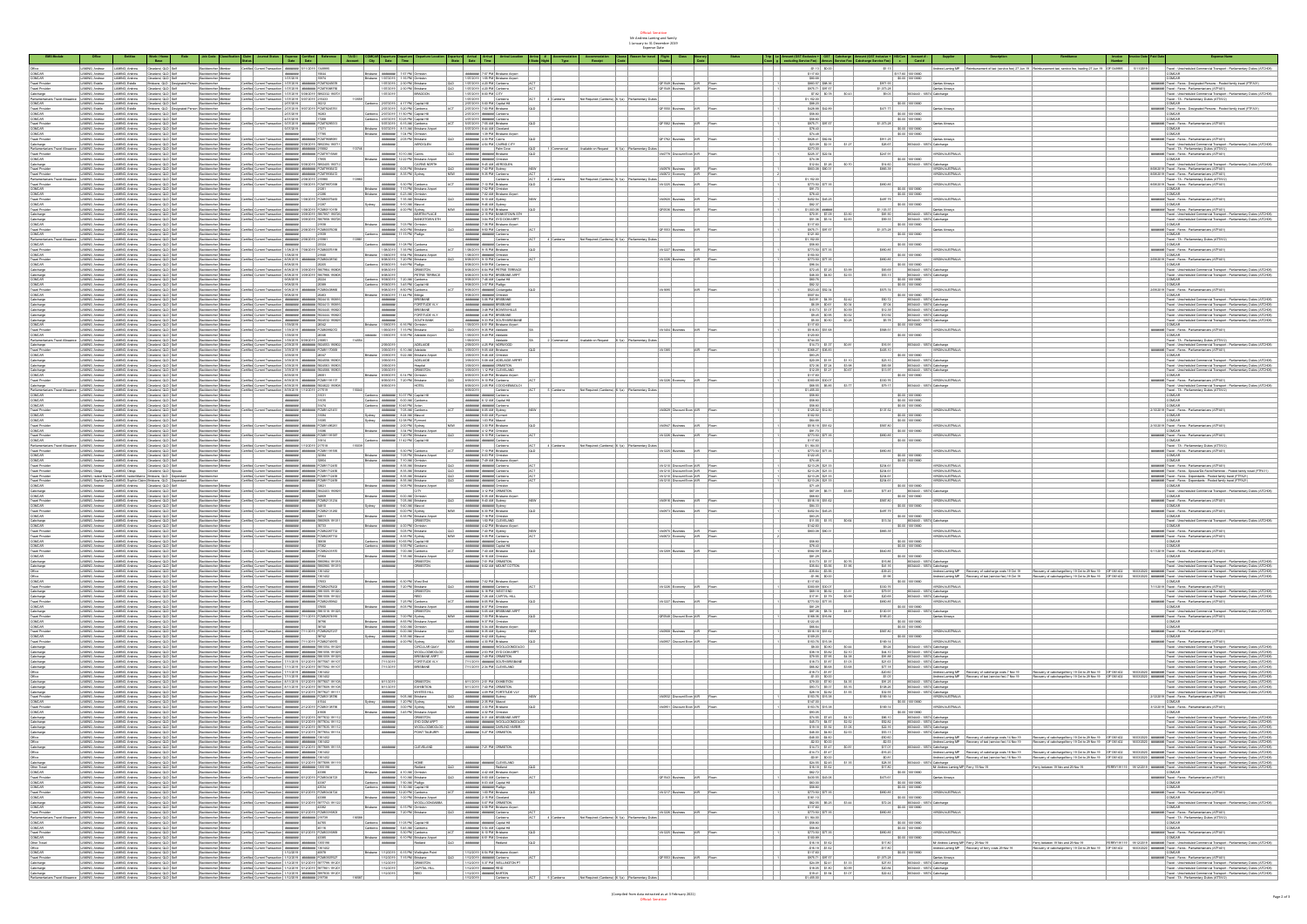Official: Sensitive Mr Andrew Laming and family 1 January to 31 December 2019 Expense Date

|                                                                                                                                             |                                                                                                                                                                                                                                                                                                                                                                                                                                                                   |                                                                                                                                                                                                                                         |                                             |                                                                                                                                                                                                                                         |                                                                                                                          | City Date Time                                                                                                                                                                                                                                                                                                                                                                                                              |                                                                                                                                                                                                                                                                                                                                                                                                                                                                                                                                                                                                                               | Departure Arrival Arrival                                                                                                    |                                   |                                                                   |                                                                                                 |          |                                                                                                                                                                                                                                                                                                                                                                                |                                                                        |                                                                                                                                                                                                                      |                                       |                                                                                                                                                                                                                                                               |                                                                                   |                                                                                                                                                                                                                                                                                                                                                                                                                           |
|---------------------------------------------------------------------------------------------------------------------------------------------|-------------------------------------------------------------------------------------------------------------------------------------------------------------------------------------------------------------------------------------------------------------------------------------------------------------------------------------------------------------------------------------------------------------------------------------------------------------------|-----------------------------------------------------------------------------------------------------------------------------------------------------------------------------------------------------------------------------------------|---------------------------------------------|-----------------------------------------------------------------------------------------------------------------------------------------------------------------------------------------------------------------------------------------|--------------------------------------------------------------------------------------------------------------------------|-----------------------------------------------------------------------------------------------------------------------------------------------------------------------------------------------------------------------------------------------------------------------------------------------------------------------------------------------------------------------------------------------------------------------------|-------------------------------------------------------------------------------------------------------------------------------------------------------------------------------------------------------------------------------------------------------------------------------------------------------------------------------------------------------------------------------------------------------------------------------------------------------------------------------------------------------------------------------------------------------------------------------------------------------------------------------|------------------------------------------------------------------------------------------------------------------------------|-----------------------------------|-------------------------------------------------------------------|-------------------------------------------------------------------------------------------------|----------|--------------------------------------------------------------------------------------------------------------------------------------------------------------------------------------------------------------------------------------------------------------------------------------------------------------------------------------------------------------------------------|------------------------------------------------------------------------|----------------------------------------------------------------------------------------------------------------------------------------------------------------------------------------------------------------------|---------------------------------------|---------------------------------------------------------------------------------------------------------------------------------------------------------------------------------------------------------------------------------------------------------------|-----------------------------------------------------------------------------------|---------------------------------------------------------------------------------------------------------------------------------------------------------------------------------------------------------------------------------------------------------------------------------------------------------------------------------------------------------------------------------------------------------------------------|
|                                                                                                                                             |                                                                                                                                                                                                                                                                                                                                                                                                                                                                   |                                                                                                                                                                                                                                         |                                             |                                                                                                                                                                                                                                         |                                                                                                                          |                                                                                                                                                                                                                                                                                                                                                                                                                             |                                                                                                                                                                                                                                                                                                                                                                                                                                                                                                                                                                                                                               |                                                                                                                              |                                   |                                                                   |                                                                                                 |          |                                                                                                                                                                                                                                                                                                                                                                                |                                                                        |                                                                                                                                                                                                                      |                                       |                                                                                                                                                                                                                                                               |                                                                                   | Travel - Unschedule                                                                                                                                                                                                                                                                                                                                                                                                       |
|                                                                                                                                             | LAMNG, Andrew LAMNG, Andrew Cleveland, QLD Self<br>LAMNG, Andrew LAMNG, Andrew Cleveland, QLD Self                                                                                                                                                                                                                                                                                                                                                                |                                                                                                                                                                                                                                         | Backbencher Member                          | Certific Current Transaction (WWWMM) 57112013 136302<br>MWWMM (1554)                                                                                                                                                                    |                                                                                                                          | Brisbane <b>AMPAREE</b> 7:57 PM Omiston                                                                                                                                                                                                                                                                                                                                                                                     |                                                                                                                                                                                                                                                                                                                                                                                                                                                                                                                                                                                                                               |                                                                                                                              |                                   |                                                                   |                                                                                                 |          | \$117.00                                                                                                                                                                                                                                                                                                                                                                       |                                                                        |                                                                                                                                                                                                                      |                                       |                                                                                                                                                                                                                                                               |                                                                                   |                                                                                                                                                                                                                                                                                                                                                                                                                           |
| COMCAR<br>Travel Provider                                                                                                                   | LAMNG Andrew LAMNG Andrew Cleveland QLD Self<br>LAMNG, Estate LAMNG, Estate Brisbane, QLD Designated                                                                                                                                                                                                                                                                                                                                                              |                                                                                                                                                                                                                                         | <b>Backbencher Member</b><br>an Backbencher | 1072019<br>Certified Current Transaction 1/07/2019 ####### FCM79345578                                                                                                                                                                  | 15974                                                                                                                    | Brisbane 1/07/2019 1:15 PM Ormiston<br>1/07/2019 2:30 PM Brisbane                                                                                                                                                                                                                                                                                                                                                           |                                                                                                                                                                                                                                                                                                                                                                                                                                                                                                                                                                                                                               | 1/07/2019 1:55 PM Brisbane Airport<br>QLD 1/07/2019 4:20 PM Canberra<br>ACT                                                  |                                   |                                                                   | OF1549 Business AIR Flown                                                                       |          | \$20.63<br>\$503.57 \$50.35                                                                                                                                                                                                                                                                                                                                                    |                                                                        | \$0.00 10013660                                                                                                                                                                                                      |                                       |                                                                                                                                                                                                                                                               |                                                                                   | COMCAR<br>####### Travel - Fares - Designated Persons - Pooled family travel (FTFA31)                                                                                                                                                                                                                                                                                                                                     |
|                                                                                                                                             | LAMNG, Andrew LAMING, Andrew Cleveland, QLD Self                                                                                                                                                                                                                                                                                                                                                                                                                  |                                                                                                                                                                                                                                         |                                             | Backbercher Member Certfec Current Transaction 1/07/2019 ####### (CM7205375                                                                                                                                                             |                                                                                                                          | 1/07/2019 2:30 PM Brisbane                                                                                                                                                                                                                                                                                                                                                                                                  |                                                                                                                                                                                                                                                                                                                                                                                                                                                                                                                                                                                                                               | QLD 1/07/2019 4:20 PM Canberra<br><b>ACT</b>                                                                                 |                                   |                                                                   | OF1549 Business AIR Flown                                                                       |          | \$975.71 \$97.57                                                                                                                                                                                                                                                                                                                                                               | \$1,073.28                                                             | S971.93 Qantas Airways<br>S1,073.28 Qantas Airways                                                                                                                                                                   | Qantas Airways                        |                                                                                                                                                                                                                                                               |                                                                                   | ####### Travel - Fares - Parlamentariana (ATFAO1)                                                                                                                                                                                                                                                                                                                                                                         |
|                                                                                                                                             | Senator Contras Christian Christian Christian Christian Christian Christian Christian Christian Christian Christian Christian Christian Christian Christian Christian Christian Christian Christian Christian Christian Christ                                                                                                                                                                                                                                    |                                                                                                                                                                                                                                         |                                             | Backberche Merker Carthe Carret Tennacion (672021) 500/2019 502232<br>Backberche Merker Carthe Carret Tennacion (672021) 507/2019 215433<br>Backberche Merker                                                                           |                                                                                                                          |                                                                                                                                                                                                                                                                                                                                                                                                                             | $ 007/2019 $   0PADOC                                                                                                                                                                                                                                                                                                                                                                                                                                                                                                                                                                                                         | 1/07/2019 8:00 PM CITY<br>1/07/2019 Carberra<br>2/07/2019 5:00 PM Captel HE                                                  |                                   | Not Required (Canberra) 6.1(a) Parliamentery                      |                                                                                                 |          | $\begin{array}{r l} 57.82 & 50.78 \\ 51.152.00 \\ 588.20 \\ \end{array}$                                                                                                                                                                                                                                                                                                       | 50.03                                                                  | 8034440 - 10574 Cabcharge                                                                                                                                                                                            |                                       |                                                                                                                                                                                                                                                               |                                                                                   | d - Unicheduled Commercial Transport - Parla<br>d - TA - Parlamentery Dulies (ATTA12)                                                                                                                                                                                                                                                                                                                                     |
| COMCAR                                                                                                                                      |                                                                                                                                                                                                                                                                                                                                                                                                                                                                   |                                                                                                                                                                                                                                         |                                             |                                                                                                                                                                                                                                         |                                                                                                                          | Canberra 207/2019 4:17 PM Capital Hill                                                                                                                                                                                                                                                                                                                                                                                      |                                                                                                                                                                                                                                                                                                                                                                                                                                                                                                                                                                                                                               | $ ACT $ 4 Canberra                                                                                                           |                                   |                                                                   |                                                                                                 |          |                                                                                                                                                                                                                                                                                                                                                                                |                                                                        | \$0.00 10013660                                                                                                                                                                                                      |                                       |                                                                                                                                                                                                                                                               |                                                                                   | <b>COMCAR</b>                                                                                                                                                                                                                                                                                                                                                                                                             |
| Travel Provider                                                                                                                             | LAMNG Exam LAMNG Exam Bridges CLD Designs<br>LAMNG Andrew LAMNG Andrew Claveland Q.D Set                                                                                                                                                                                                                                                                                                                                                                          |                                                                                                                                                                                                                                         |                                             | on Backbercher Carlos Carnet Toronclon 2070019 9070209 FCM76245761<br>Backbercher Merker 2070019 10051<br>10051 1005                                                                                                                    |                                                                                                                          | 207/2019 5:20 PM Canberra                                                                                                                                                                                                                                                                                                                                                                                                   |                                                                                                                                                                                                                                                                                                                                                                                                                                                                                                                                                                                                                               | $\overline{\phantom{a}}$<br>2/07/2019 7:00 PM Brisbane                                                                       |                                   |                                                                   | CF1550 Business AIR Roam                                                                        |          | \$428.88 \$42.89                                                                                                                                                                                                                                                                                                                                                               |                                                                        | 5471.77 Sp.00 10013660 Center Airways                                                                                                                                                                                |                                       |                                                                                                                                                                                                                                                               |                                                                                   | erename Travel - Fares - Designated Persons - Popied family travel (FTFA31)                                                                                                                                                                                                                                                                                                                                               |
| COMCAR<br>COMCAR                                                                                                                            |                                                                                                                                                                                                                                                                                                                                                                                                                                                                   |                                                                                                                                                                                                                                         |                                             | Eackberche Merber – 20172019 – 10203<br>  Sackberche Merber – 407/2019 – 1726<br>  Sackberche Merber – Certific Current Transaction 507/2019 ####### FCM7022231                                                                         |                                                                                                                          | Canberra 2/07/2019 11:50 PM Capital Hill                                                                                                                                                                                                                                                                                                                                                                                    |                                                                                                                                                                                                                                                                                                                                                                                                                                                                                                                                                                                                                               | 2/07/2019 AMMWH Canberra                                                                                                     |                                   |                                                                   |                                                                                                 |          | \$50.00                                                                                                                                                                                                                                                                                                                                                                        |                                                                        | $\begin{array}{ c c c c c } \hline \textbf{50.00} & \textbf{0013660} \\ \hline \textbf{51.073.28} & \textbf{00013660} \\ \hline \end{array}$                                                                         |                                       |                                                                                                                                                                                                                                                               |                                                                                   | COMCAR<br>COMCAR                                                                                                                                                                                                                                                                                                                                                                                                          |
|                                                                                                                                             | LAMING, Andrew   LAMING, Andrew   Claveland, QLD Self<br>LAMING, Andrew   LAMING, Andrew   Claveland, QLD Self                                                                                                                                                                                                                                                                                                                                                    |                                                                                                                                                                                                                                         |                                             |                                                                                                                                                                                                                                         |                                                                                                                          | Canberra 4/07/2019 10:25 PM Capital Hill<br>5/07/2019 6:15 AM Canberra                                                                                                                                                                                                                                                                                                                                                      |                                                                                                                                                                                                                                                                                                                                                                                                                                                                                                                                                                                                                               | 4/07/2019 AMMINE Canberra<br>S/07/2019 7:55 AM Brisbane                                                                      |                                   |                                                                   | OF1562 Business AR Flown                                                                        |          | \$58.80<br>\$975.71 \$97.57                                                                                                                                                                                                                                                                                                                                                    |                                                                        |                                                                                                                                                                                                                      | <b>Qurtas Airways</b>                 |                                                                                                                                                                                                                                                               |                                                                                   | reenante Travel - Fares - Parlamentariana (ATFAO1)                                                                                                                                                                                                                                                                                                                                                                        |
| COMCAR<br>COMCAR                                                                                                                            | LAMNG, Andrew LAMNG, Andrew Cleveland, CLD Saff<br>LAMNG, Andrew LAMNG, Andrew Cleveland, CLD Saff<br>LAMNG, Andrew LAMNG, Andrew Cleveland, CLD Saff                                                                                                                                                                                                                                                                                                             |                                                                                                                                                                                                                                         |                                             |                                                                                                                                                                                                                                         |                                                                                                                          | Brisbane 5/07/2019 8:13 AM Brisbane Airport                                                                                                                                                                                                                                                                                                                                                                                 |                                                                                                                                                                                                                                                                                                                                                                                                                                                                                                                                                                                                                               | SC72019 8:44 AM Claudand<br>####### 1:39 PM Brisbane Aliport<br>####### 4:30 PM Caline                                       |                                   |                                                                   |                                                                                                 |          | \$78.40                                                                                                                                                                                                                                                                                                                                                                        |                                                                        | \$0.00 10013660                                                                                                                                                                                                      |                                       |                                                                                                                                                                                                                                                               |                                                                                   |                                                                                                                                                                                                                                                                                                                                                                                                                           |
|                                                                                                                                             |                                                                                                                                                                                                                                                                                                                                                                                                                                                                   |                                                                                                                                                                                                                                         | Backbercher Member                          | Sociolencher Member Certified Current Tran                                                                                                                                                                                              |                                                                                                                          | Brisbane <b>AMPRINE</b> 1:04 PM Ormisbn                                                                                                                                                                                                                                                                                                                                                                                     |                                                                                                                                                                                                                                                                                                                                                                                                                                                                                                                                                                                                                               | $\overline{\phantom{a}}$                                                                                                     |                                   |                                                                   | OF1752 Business AIR Flow                                                                        |          | \$74.45<br>\$828.41 \$82.54                                                                                                                                                                                                                                                                                                                                                    |                                                                        | \$0.00 10013660                                                                                                                                                                                                      |                                       |                                                                                                                                                                                                                                                               |                                                                                   | COMCAR<br>##### Travel - Fores - Parlamentarians (ATFA01)                                                                                                                                                                                                                                                                                                                                                                 |
| Cabcharge                                                                                                                                   | LAMNG, Andrew LAMING, Andrew Cleveland, QLD Self<br>LAMNG Andrew LAMING Andrew Cleveland GLD Self                                                                                                                                                                                                                                                                                                                                                                 |                                                                                                                                                                                                                                         |                                             | Backbercher Member Certifie: Current Transaction ####### 5/05/2019 5892394.190711<br>Backbercher Member Certified Current Transaction   ####### ######## 215022                                                                         |                                                                                                                          |                                                                                                                                                                                                                                                                                                                                                                                                                             | ARRANGE AIRCGLEN                                                                                                                                                                                                                                                                                                                                                                                                                                                                                                                                                                                                              | <b>PRINTERS</b> 4:54 PM CAIRES CITY<br>energies Pain Coxe<br>$100 - 1$                                                       |                                   |                                                                   |                                                                                                 |          | \$23.09 \$2.31 \$1.27<br>\$273.00                                                                                                                                                                                                                                                                                                                                              |                                                                        | S911.25 Qurdas Airways<br>S26.67 8034440 - 10574 Cabchange                                                                                                                                                           |                                       |                                                                                                                                                                                                                                                               |                                                                                   | Travel - Unscheduled Commercial Transport - Parliamentary Duties (ATCHOS<br>Travel - TA - Parliamentery Duties (ATTA12)                                                                                                                                                                                                                                                                                                   |
|                                                                                                                                             | LAMNG, Andrew LAMING, Andrew Cleveland, QLD Self                                                                                                                                                                                                                                                                                                                                                                                                                  |                                                                                                                                                                                                                                         |                                             | Backbercher Merber Certfec Current Transacton ####### ####### FCM73715845                                                                                                                                                               |                                                                                                                          |                                                                                                                                                                                                                                                                                                                                                                                                                             | AMARINE 10.10 AM Carra                                                                                                                                                                                                                                                                                                                                                                                                                                                                                                                                                                                                        | <b>PARKERS MARKET DISCUSS</b><br> ab                                                                                         |                                   |                                                                   | VAD778 Discount Econ AIR Flown                                                                  |          | \$225.37 \$22.54                                                                                                                                                                                                                                                                                                                                                               |                                                                        | $ $ \$247.91                                                                                                                                                                                                         | <b>VIRGIN AUSTRALIA</b>               |                                                                                                                                                                                                                                                               |                                                                                   | ####### Travel - Fares - Parlamentariana (ATFAO1)                                                                                                                                                                                                                                                                                                                                                                         |
|                                                                                                                                             | <b>LAMNS, Andrew LAMNS, Andrew Cliveland, CLD Settlement Co., Cliveland, CLD Settlement Club Settlement Club Settlement Club Settlement Club Settlement Club Settlement Club Settlement Club Settlement Club Settlement Club Set</b>                                                                                                                                                                                                                              |                                                                                                                                                                                                                                         |                                             | Eackborcher Merker Cartillac Current Torontico. avvenues   2002/02 2003405 100712<br>  Sackborcher Merker   Cartillac Current Torontico. avvenues   2002/202 2003405 100712<br>  Sackborcher Merker   Cartillac Current Torontico. a    |                                                                                                                          |                                                                                                                                                                                                                                                                                                                                                                                                                             | na <b>ANNANNY 12.22 PM Bratana Airport</b><br>ANNANNY CATOG NORTH<br>ANNANNY C.CO PM Bratana                                                                                                                                                                                                                                                                                                                                                                                                                                                                                                                                  | <b>SPRESSS ANDREW CITIZEN<br/>SPRESSS 245 AM AEROCLEN<br/>SPRESSS 740 PM Sydney</b>                                          |                                   |                                                                   |                                                                                                 |          | \$74.35<br>\$12.64 \$1.35 \$0.70<br>\$003.08 \$00.31                                                                                                                                                                                                                                                                                                                           |                                                                        | 2011-01-2020 10013660<br>214.00 0034440-10574 Cabcharge                                                                                                                                                              |                                       |                                                                                                                                                                                                                                                               |                                                                                   | COMONE<br>Travel - Unacheduled Commercial Transport - Parliamentary Duties (ATCHOR)<br>80020219 Travel - Fares - Parliamentarium (ATFAO1)<br>80020219 Travel - Fares - Parliamentarium (ATFAO1)                                                                                                                                                                                                                           |
|                                                                                                                                             |                                                                                                                                                                                                                                                                                                                                                                                                                                                                   |                                                                                                                                                                                                                                         |                                             |                                                                                                                                                                                                                                         |                                                                                                                          |                                                                                                                                                                                                                                                                                                                                                                                                                             |                                                                                                                                                                                                                                                                                                                                                                                                                                                                                                                                                                                                                               | $N\hspace{-.1em}F\hspace{-.1em}N$                                                                                            |                                   |                                                                   | VA0978 Business AIR Rown                                                                        |          |                                                                                                                                                                                                                                                                                                                                                                                |                                                                        | \$503.39 VIRGIN AUSTRALIA                                                                                                                                                                                            |                                       |                                                                                                                                                                                                                                                               |                                                                                   |                                                                                                                                                                                                                                                                                                                                                                                                                           |
|                                                                                                                                             | LAMNG, Andrew LAMING, Andrew Cleveland, QLD Self                                                                                                                                                                                                                                                                                                                                                                                                                  |                                                                                                                                                                                                                                         |                                             | Backbercher Member Certifie: Current Transaction ####### ####### FCM79205472                                                                                                                                                            |                                                                                                                          |                                                                                                                                                                                                                                                                                                                                                                                                                             | AMARINE 8:35 PM Sydney                                                                                                                                                                                                                                                                                                                                                                                                                                                                                                                                                                                                        | NSW ###### 9.35 PM Canberra<br>ACT                                                                                           |                                   |                                                                   | VA0672 Economy AIR Flown                                                                        |          |                                                                                                                                                                                                                                                                                                                                                                                |                                                                        |                                                                                                                                                                                                                      | VIRGIN AUSTRALIA                      |                                                                                                                                                                                                                                                               |                                                                                   | 8/08/2019 Travel - Fares - Parlamentariana (ATFA01)                                                                                                                                                                                                                                                                                                                                                                       |
|                                                                                                                                             |                                                                                                                                                                                                                                                                                                                                                                                                                                                                   |                                                                                                                                                                                                                                         |                                             | Backbercher Meriter Certified Current Transaction   WWWW9812-120000 213200<br>Backbercher Member Certifie: Current Transaction ####### 1/20/2019 TCM7007030                                                                             |                                                                                                                          |                                                                                                                                                                                                                                                                                                                                                                                                                             | AMAREN 5:30 PM Carberra                                                                                                                                                                                                                                                                                                                                                                                                                                                                                                                                                                                                       | convensi<br>Canterra<br>ACT .<br><b>PARKWAY 7:10 PM Bridano</b><br> ab                                                       | Not Required (Canberra) 6, 1(a) P |                                                                   | VA1225 Business AIR Flown                                                                       |          | \$1,152.00<br>\$773.50 \$77.35                                                                                                                                                                                                                                                                                                                                                 | \$550.05                                                               |                                                                                                                                                                                                                      | <b>VIRGIN AUSTRALIA</b>               |                                                                                                                                                                                                                                                               |                                                                                   | Travel - TA - Parlamentery Duties (ATTA12)<br>8/08/2019 Travel - Fores - Parlamentariana (ATFAO1                                                                                                                                                                                                                                                                                                                          |
|                                                                                                                                             | SAMME Andrew MARINE Andrew Cheminst QLD Set<br>LAMME Andrew LAMME Andrew Cheminst QLD Set<br>LAMME Andrew LAMME Andrew Cheminst QLD Set<br>LAMME Andrew LAMME Andrew Cheminst QLD Set<br>LAMME Andrew LAMME Andrew Cheminst QLD Set<br>L                                                                                                                                                                                                                          |                                                                                                                                                                                                                                         |                                             |                                                                                                                                                                                                                                         |                                                                                                                          |                                                                                                                                                                                                                                                                                                                                                                                                                             |                                                                                                                                                                                                                                                                                                                                                                                                                                                                                                                                                                                                                               |                                                                                                                              |                                   |                                                                   |                                                                                                 |          |                                                                                                                                                                                                                                                                                                                                                                                |                                                                        | 2000.00<br>20.00 10013550<br>20.00 10013550<br>2007.70<br>2007.70                                                                                                                                                    |                                       |                                                                                                                                                                                                                                                               |                                                                                   |                                                                                                                                                                                                                                                                                                                                                                                                                           |
|                                                                                                                                             |                                                                                                                                                                                                                                                                                                                                                                                                                                                                   |                                                                                                                                                                                                                                         |                                             |                                                                                                                                                                                                                                         |                                                                                                                          |                                                                                                                                                                                                                                                                                                                                                                                                                             | ana <b>Andrews</b> 7:13 PM Brisbane Airport<br>Andrews 6:23 AM Ornislan<br>Andrews 7:35 AM Brisbane                                                                                                                                                                                                                                                                                                                                                                                                                                                                                                                           | <b>PROFESSI</b> 7:52 PM Orniston<br><b>PROFESSI</b> 7:02 AM Bristiana Airport<br>PROFESSI 2:10 AM Sydney                     |                                   |                                                                   |                                                                                                 |          | $\begin{array}{r} 591.70 \\ 578.40 \\ 5452.54 \\ 5452.25 \\ \end{array}$                                                                                                                                                                                                                                                                                                       |                                                                        |                                                                                                                                                                                                                      |                                       |                                                                                                                                                                                                                                                               | COMCAR<br>COMCAR                                                                  |                                                                                                                                                                                                                                                                                                                                                                                                                           |
| Travel Provider<br>COMCAR                                                                                                                   |                                                                                                                                                                                                                                                                                                                                                                                                                                                                   |                                                                                                                                                                                                                                         |                                             |                                                                                                                                                                                                                                         |                                                                                                                          |                                                                                                                                                                                                                                                                                                                                                                                                                             |                                                                                                                                                                                                                                                                                                                                                                                                                                                                                                                                                                                                                               | NSW                                                                                                                          |                                   |                                                                   | VA0920 Business AIR Rown                                                                        |          |                                                                                                                                                                                                                                                                                                                                                                                |                                                                        |                                                                                                                                                                                                                      |                                       |                                                                                                                                                                                                                                                               |                                                                                   | ####### Travel - Fares - Parlamentarians (ATFA01)<br>COMCAR                                                                                                                                                                                                                                                                                                                                                               |
|                                                                                                                                             | LAMING, Andrew LAMING, Andrew Cleveland, QLD Self<br>LAMING, Andrew LAMING, Andrew Cleveland, QLD Self                                                                                                                                                                                                                                                                                                                                                            |                                                                                                                                                                                                                                         |                                             | Escibenche Menber – Certific Current Transaction (WWW9000) (2012013 FCMB0110159<br>Escibencher Member – Certific Current Transaction (WWW9000) (2012013 FCMB0110159                                                                     |                                                                                                                          | Sydney <b>ARFAMEN</b> 9:10 AM Mascot<br>ARFAMENT 4:00 PM Sydney                                                                                                                                                                                                                                                                                                                                                             |                                                                                                                                                                                                                                                                                                                                                                                                                                                                                                                                                                                                                               | PARKWAS 245 AM Sydney<br>PARKWAS 5:30 PM Bridges<br>ap                                                                       |                                   |                                                                   | OFOSS Business AR Rown                                                                          |          | \$52.37<br>\$1,003.05 minima                                                                                                                                                                                                                                                                                                                                                   |                                                                        | 51,103.37<br>51,103.37 Qurdas Aires<br>521.90 335666 - 10574 Cabcharge                                                                                                                                               | Qantas Airways                        |                                                                                                                                                                                                                                                               |                                                                                   | recented Travel - Force - Parlamentariana (ATFAO1)                                                                                                                                                                                                                                                                                                                                                                        |
|                                                                                                                                             | LAMNG, Andrew LAMING, Andrew Cleveland, QLD Self                                                                                                                                                                                                                                                                                                                                                                                                                  |                                                                                                                                                                                                                                         |                                             | Backbercher Member Certifier Current Transaction ####### 3/09/2019 5907857.19072                                                                                                                                                        |                                                                                                                          |                                                                                                                                                                                                                                                                                                                                                                                                                             | AMARINE MARTIN PLACE                                                                                                                                                                                                                                                                                                                                                                                                                                                                                                                                                                                                          | <b>MARKERS</b> 2.15 PM BANKSTOWN STH                                                                                         |                                   |                                                                   |                                                                                                 |          |                                                                                                                                                                                                                                                                                                                                                                                |                                                                        | 8034440 - 10574 Cabcharge                                                                                                                                                                                            |                                       |                                                                                                                                                                                                                                                               |                                                                                   | Travel - Unicheduled Commercial Transport - Parliamentery Duties (ATCHOR<br>Travel - Unicheduled Commercial Transport - Parliamentery Duties (ATCHOR<br>COMCAR                                                                                                                                                                                                                                                            |
| Cabcharge<br>Cabcharge<br>COMCAR                                                                                                            | LAMMG Andrew LAMMG Andrew Cleveland CD Set<br>LAMMG Andrew LAMMG Andrew Cleveland CD Set<br>LAMMG Andrew LAMMG Andrew Cleveland CD Set                                                                                                                                                                                                                                                                                                                            |                                                                                                                                                                                                                                         |                                             | Backborcher Merker Certifie: Carnet Toronaclon envenues 303,2010 502,700 502,700 Sactionscher Merker Certifie: Carnet Toronaclon envenues 303,2010 FCARDCP0206<br>Backborcher Merker Certifie: Carnet Toronaclon envenues 300,201       |                                                                                                                          |                                                                                                                                                                                                                                                                                                                                                                                                                             |                                                                                                                                                                                                                                                                                                                                                                                                                                                                                                                                                                                                                               | RENTHER 304 PM SYD DOM ARPT<br>RENTHER 7:35 PM Distance Aliport<br>RENTHER 2:50 PM Carberra                                  |                                   |                                                                   |                                                                                                 |          | 570.91 57.09 53.90<br>511.35 51.14 52.83<br>5117.00<br>5075.71 507.57                                                                                                                                                                                                                                                                                                          |                                                                        | \$1,073.28<br>\$1,073.28 \$2,00 \$2013650                                                                                                                                                                            |                                       |                                                                                                                                                                                                                                                               |                                                                                   |                                                                                                                                                                                                                                                                                                                                                                                                                           |
| Travel Provider                                                                                                                             |                                                                                                                                                                                                                                                                                                                                                                                                                                                                   |                                                                                                                                                                                                                                         |                                             |                                                                                                                                                                                                                                         |                                                                                                                          | Carberra AMMANIN 11:15 PM Platton                                                                                                                                                                                                                                                                                                                                                                                           |                                                                                                                                                                                                                                                                                                                                                                                                                                                                                                                                                                                                                               | ACT<br>convent annexe Carborra                                                                                               |                                   |                                                                   | OF1553 Business AIR Flown                                                                       |          | \$121.00                                                                                                                                                                                                                                                                                                                                                                       |                                                                        |                                                                                                                                                                                                                      | <b>Qurtas Airways</b>                 |                                                                                                                                                                                                                                                               |                                                                                   | ###### Travel - Fores - Parlamentariana (ATFA01)<br>COMCAR                                                                                                                                                                                                                                                                                                                                                                |
| COMOAR - LAMING Andrew LAMING Andrew Clinetiand Q.D Self<br>Parliamentarians Towel Albeance LAMING Andrew LAMING Andrew Clinetiand Q.D Self |                                                                                                                                                                                                                                                                                                                                                                                                                                                                   |                                                                                                                                                                                                                                         |                                             | Escibenche Menber<br>Escibenche Menber Certific Current Transaction (MWMMM) 200/2013 215901                                                                                                                                             |                                                                                                                          | 13981                                                                                                                                                                                                                                                                                                                                                                                                                       |                                                                                                                                                                                                                                                                                                                                                                                                                                                                                                                                                                                                                               | Canberra                                                                                                                     |                                   | ACT 4 Carberra Not Required (Carberra) 6.1(a) Parliamentary Dutes |                                                                                                 |          | \$1,152.00                                                                                                                                                                                                                                                                                                                                                                     |                                                                        |                                                                                                                                                                                                                      |                                       |                                                                                                                                                                                                                                                               |                                                                                   | Travel - TA - Parlamentary Dutes (ATTA12)                                                                                                                                                                                                                                                                                                                                                                                 |
| COMCAR                                                                                                                                      |                                                                                                                                                                                                                                                                                                                                                                                                                                                                   |                                                                                                                                                                                                                                         | Backbercher Member                          |                                                                                                                                                                                                                                         | <b>PERSONAL 23324</b>                                                                                                    | Canberra AMMANIN 11:08 PM Canberra                                                                                                                                                                                                                                                                                                                                                                                          |                                                                                                                                                                                                                                                                                                                                                                                                                                                                                                                                                                                                                               | energes annexe Carborra<br>lap                                                                                               |                                   |                                                                   |                                                                                                 |          | \$50.00                                                                                                                                                                                                                                                                                                                                                                        | \$850.05                                                               | \$0.00 10013660                                                                                                                                                                                                      | VIRGIN AUSTRALIA                      |                                                                                                                                                                                                                                                               |                                                                                   | COMCAR                                                                                                                                                                                                                                                                                                                                                                                                                    |
| COMCAR                                                                                                                                      |                                                                                                                                                                                                                                                                                                                                                                                                                                                                   |                                                                                                                                                                                                                                         |                                             |                                                                                                                                                                                                                                         |                                                                                                                          |                                                                                                                                                                                                                                                                                                                                                                                                                             |                                                                                                                                                                                                                                                                                                                                                                                                                                                                                                                                                                                                                               |                                                                                                                              |                                   |                                                                   | VA1227 Business AIR Flow                                                                        |          |                                                                                                                                                                                                                                                                                                                                                                                |                                                                        |                                                                                                                                                                                                                      |                                       |                                                                                                                                                                                                                                                               |                                                                                   |                                                                                                                                                                                                                                                                                                                                                                                                                           |
|                                                                                                                                             | UMMIC Andrew UMMIC Andrew Cleveland QD Set<br>LAMMIC Andrew UMMIC Andrew Cleveland QD Set<br>LAMMIC Andrew UMMIC Andrew Cleveland QD Set<br>LAMMIC Andrew UMMIC Andrew Cleveland QD Set<br>LAMMIC Andrew UMMIC Andrew Cleveland QD Set                                                                                                                                                                                                                            |                                                                                                                                                                                                                                         |                                             | SIGNIFICATION CONTROL CONTROL CONTROL CONTROL CONTROL CONTROL CONTROL CONTROL CONTROL CONTROL CONTROL CONTROL CONTROL CONTROL CONTROL CONTROL CONTROL CONTROL CONTROL CONTROL CONTROL CONTROL CONTROL CONTROL CONTROL CONTROL           |                                                                                                                          | 108/2019 7:35 PM Cenherra<br>Brisbane 108/2019 9:54 PM Brisbane Airp<br>AV8/2019 7:20 PM Brisbane<br>Canberra 8/08/2019 9:49 PM Pialigo                                                                                                                                                                                                                                                                                     |                                                                                                                                                                                                                                                                                                                                                                                                                                                                                                                                                                                                                               | 1/28/2019 9:15 PM Brisbane<br>1/28/2019 8/8/8/8/9 Omision<br>8/20/2019 9:10 PM Canberra<br>8/20/2019 9:59 PM Canberra<br>ACT |                                   |                                                                   | VA1226 Business AIR Flown                                                                       |          | 5771.50 577.35<br>\$150.50<br>\$771.50 \$77.35<br>\$96.04                                                                                                                                                                                                                                                                                                                      |                                                                        | \$500.05<br>\$5.00 10013550 VIRGIN AUSTRALIA                                                                                                                                                                         |                                       |                                                                                                                                                                                                                                                               |                                                                                   | <b>RESERVE TORIC FIRES - Parlamentariana (ATFAO1)</b><br>COMCAR<br>2002009 Topati - Fares - Parlamentariana (ATFAO1)<br>COMCAR                                                                                                                                                                                                                                                                                            |
| Cabcharge                                                                                                                                   | LAMNG, Andrew LAMING, Andrew Cleveland, QLD Self                                                                                                                                                                                                                                                                                                                                                                                                                  |                                                                                                                                                                                                                                         |                                             | Backbercher Member Certified Current Transaction 8/08/2019 3/09/2019 5907954.190808                                                                                                                                                     |                                                                                                                          |                                                                                                                                                                                                                                                                                                                                                                                                                             |                                                                                                                                                                                                                                                                                                                                                                                                                                                                                                                                                                                                                               | <b>B/DB/2019</b> G:04 PM PETRE TERRACE                                                                                       |                                   |                                                                   |                                                                                                 |          | \$72.45 \$7.25 \$3.99                                                                                                                                                                                                                                                                                                                                                          |                                                                        |                                                                                                                                                                                                                      |                                       |                                                                                                                                                                                                                                                               |                                                                                   | Travel - Unscheduled Commercial Transport - Parliamentary Duties (ATCHO                                                                                                                                                                                                                                                                                                                                                   |
| Cabcharg<br>COMCAR                                                                                                                          | LAMING, Andrew LAMING, Andrew Cleveland, Q.D. Self<br>LAMING, Andrew LAMING, Andrew Cleveland, Q.D. Self                                                                                                                                                                                                                                                                                                                                                          |                                                                                                                                                                                                                                         |                                             |                                                                                                                                                                                                                                         |                                                                                                                          |                                                                                                                                                                                                                                                                                                                                                                                                                             | A106/2019 CRMISTON<br>A106/2019 PETRIE TERRACE                                                                                                                                                                                                                                                                                                                                                                                                                                                                                                                                                                                | TRA 3ANSERI MI 02.0 100 02.0                                                                                                 |                                   |                                                                   |                                                                                                 |          | \$45.00 \$4.00 \$2.53<br>\$60.76                                                                                                                                                                                                                                                                                                                                               |                                                                        |                                                                                                                                                                                                                      |                                       |                                                                                                                                                                                                                                                               |                                                                                   | Travel - Unscheduled Commercial Transport - Parliamentary Duties (ATCHOR) COMCAR                                                                                                                                                                                                                                                                                                                                          |
|                                                                                                                                             |                                                                                                                                                                                                                                                                                                                                                                                                                                                                   |                                                                                                                                                                                                                                         |                                             |                                                                                                                                                                                                                                         |                                                                                                                          | Canberra 9/08/2019 7:20 AM Canberra                                                                                                                                                                                                                                                                                                                                                                                         |                                                                                                                                                                                                                                                                                                                                                                                                                                                                                                                                                                                                                               | 9/08/2019 7:46 AM Capital Hill                                                                                               |                                   |                                                                   |                                                                                                 |          |                                                                                                                                                                                                                                                                                                                                                                                |                                                                        | 903.09 033440 - 10574 Cabcharge<br>903.13 033440 - 10574 Cabcharge<br>90.00 10013860<br>90.00 10013860<br>PER TA                                                                                                     |                                       |                                                                                                                                                                                                                                                               |                                                                                   |                                                                                                                                                                                                                                                                                                                                                                                                                           |
| COMCAR                                                                                                                                      | <b>LAMNS, Andrew LAMNS, Andrew Cliveland, CLD Settlement Co., Cliveland, CLD Settlement Club Settlement Club Settlement Club Settlement Club Settlement Club Settlement Club Settlement Club Settlement Club Settlement Club Set</b>                                                                                                                                                                                                                              |                                                                                                                                                                                                                                         |                                             | Backwoole Marker Cartles Curret Tornactics (0002019 1930/2019 2007006 10000<br>Backwoole Marker (0002019 19224 1922)<br>Backwoole Marker Cartles Curret Tornactics (0002019 19338)<br>Backwoole Marker Cartles Curret Tornactics (00020 |                                                                                                                          | Carberra 9/08/2019 3:45 PM Capital HB<br>9/08/2019 8:50 PM Carberra<br>Bristane 9/08/2019 11:44 PM Blings                                                                                                                                                                                                                                                                                                                   |                                                                                                                                                                                                                                                                                                                                                                                                                                                                                                                                                                                                                               | 9/08/2019 3:57 PM Platigo<br>9/08/2019 AMMINE Coolingatis<br>9/08/2019 AMMINE Cristian<br>MANUMA 5:06 PM BRSSLANE            |                                   |                                                                   |                                                                                                 | AR Roan  | 582.32<br>5223.40 522.34                                                                                                                                                                                                                                                                                                                                                       |                                                                        | 5575.74 VIRGIN AUSTRALIA<br>50.00 10013660                                                                                                                                                                           |                                       |                                                                                                                                                                                                                                                               |                                                                                   | COMCAR<br>2092019 Travel - Fares - Parlamentariana (ATFA01)                                                                                                                                                                                                                                                                                                                                                               |
| Travel Provider<br>COMCAR                                                                                                                   |                                                                                                                                                                                                                                                                                                                                                                                                                                                                   |                                                                                                                                                                                                                                         |                                             | Sackbercher Member Certifie: Current Transaction ####### ####### \$224410.190015                                                                                                                                                        |                                                                                                                          |                                                                                                                                                                                                                                                                                                                                                                                                                             |                                                                                                                                                                                                                                                                                                                                                                                                                                                                                                                                                                                                                               |                                                                                                                              |                                   |                                                                   |                                                                                                 |          | \$507.64<br>\$43.91 \$4.39 \$2.42                                                                                                                                                                                                                                                                                                                                              | \$50.72                                                                |                                                                                                                                                                                                                      |                                       |                                                                                                                                                                                                                                                               |                                                                                   | COMCAR                                                                                                                                                                                                                                                                                                                                                                                                                    |
| Cabcharge                                                                                                                                   | LAMNG, Andrew LAMING, Andrew Cleveland, QLD Self                                                                                                                                                                                                                                                                                                                                                                                                                  |                                                                                                                                                                                                                                         |                                             |                                                                                                                                                                                                                                         |                                                                                                                          |                                                                                                                                                                                                                                                                                                                                                                                                                             | AMARES DRSDANE<br>AMARES FORTITUDE VLY                                                                                                                                                                                                                                                                                                                                                                                                                                                                                                                                                                                        | conversi account DISSOANE                                                                                                    |                                   |                                                                   |                                                                                                 |          | 55.09 50.61 50.34                                                                                                                                                                                                                                                                                                                                                              | 57.06                                                                  | 8034440 - 10574 Cabcharge<br>8036460 - 10574 Cabcharge                                                                                                                                                               |                                       |                                                                                                                                                                                                                                                               |                                                                                   | Travel - Unscheduled Commercial Transport - Parliamentary Duties (ATCHOI                                                                                                                                                                                                                                                                                                                                                  |
|                                                                                                                                             | SAMING Andrew SAMING Andrew Scholard GLD Set<br>LAMING Andrew LAMING Andrew Clouded GLD Set<br>LAMING Andrew LAMING Andrew Clouded GLD Set<br>LAMING Andrew LAMING Andrew Clouded GLD Set<br>LAMING Andrew LAMING Andrew Clouded GLD S                                                                                                                                                                                                                            |                                                                                                                                                                                                                                         |                                             | Escibenche Merber Certific Current Transcisco differenza especial 1934/13.193016<br>Escibenche Merber Certific Current Transaction differenza especial 1934/40.193020                                                                   |                                                                                                                          | AMAREE                                                                                                                                                                                                                                                                                                                                                                                                                      | DRSDANE                                                                                                                                                                                                                                                                                                                                                                                                                                                                                                                                                                                                                       | <b>PRINTERS</b> 345 PM BOWEN HILLS                                                                                           |                                   |                                                                   |                                                                                                 |          | \$10.73 \$1.07 \$0.59                                                                                                                                                                                                                                                                                                                                                          |                                                                        | \$12.39 8334440 - 10574 Cabcharge                                                                                                                                                                                    |                                       |                                                                                                                                                                                                                                                               |                                                                                   | Travel - Unscheduled Commercial Transport - Parliamentary Dutes (ATO408)<br>Travel - Unscheduled Commercial Transport - Parliamentary Dutes (ATO408)                                                                                                                                                                                                                                                                      |
|                                                                                                                                             |                                                                                                                                                                                                                                                                                                                                                                                                                                                                   |                                                                                                                                                                                                                                         |                                             |                                                                                                                                                                                                                                         |                                                                                                                          |                                                                                                                                                                                                                                                                                                                                                                                                                             | FORTITUDE VLY<br>SOUTH BANK                                                                                                                                                                                                                                                                                                                                                                                                                                                                                                                                                                                                   | PREVENT CAS PM BRISBANE                                                                                                      |                                   |                                                                   |                                                                                                 |          |                                                                                                                                                                                                                                                                                                                                                                                | 25.75                                                                  | 510.92 833440 - 10574 Cabchange<br>55.78 8334440 - 10574 Cabchange                                                                                                                                                   |                                       |                                                                                                                                                                                                                                                               |                                                                                   | Travel - Unscheduled Commercial Transport - Parliamentary Dutes (ATCHOR                                                                                                                                                                                                                                                                                                                                                   |
| Cabcharos<br>COMCAR                                                                                                                         |                                                                                                                                                                                                                                                                                                                                                                                                                                                                   |                                                                                                                                                                                                                                         |                                             | Sackburcher Member Certifie: Current Transaction envenuese ensueese 1924532.193029<br>Sackburcher Member 1992013                                                                                                                        |                                                                                                                          | AMARES SOUTH BANK<br>Inidana 1/09/2019 6:15 PM Omiston                                                                                                                                                                                                                                                                                                                                                                      |                                                                                                                                                                                                                                                                                                                                                                                                                                                                                                                                                                                                                               | 1/09/2019 6:51 PM Brisbane Airport                                                                                           |                                   |                                                                   |                                                                                                 |          | \$117.00                                                                                                                                                                                                                                                                                                                                                                       |                                                                        | \$0.00 10013660                                                                                                                                                                                                      |                                       |                                                                                                                                                                                                                                                               |                                                                                   |                                                                                                                                                                                                                                                                                                                                                                                                                           |
| Travel Provider<br>COMCAR                                                                                                                   | LAMING, Andrew   LAMING, Andrew   Claveland, QLD   Self<br>LAMING, Andrew   LAMING, Andrew   Claveland, QLD   Self                                                                                                                                                                                                                                                                                                                                                |                                                                                                                                                                                                                                         |                                             | Backbencher Member Certifie: Current Transaction 1/09/2019 #######   FCM0092072<br>Backbencher Member   1/09/2019   1/09/2019   20345                                                                                                   |                                                                                                                          | Adelaide 1/09/2019 9:35 PM Adelaide Airport                                                                                                                                                                                                                                                                                                                                                                                 | 1/09/2019 7:15 PM Brisbane                                                                                                                                                                                                                                                                                                                                                                                                                                                                                                                                                                                                    | 1/09/2019 9:35 PM Adelaide 5A<br>1/09/2019 9:49 PM Adelaide                                                                  |                                   |                                                                   | VA1404 Business AIR Flown                                                                       |          | \$515.83 \$51.68                                                                                                                                                                                                                                                                                                                                                               |                                                                        | $\frac{5000.51}{50.00}$ 10013660                                                                                                                                                                                     | VIRGIN AUSTRALIA                      |                                                                                                                                                                                                                                                               |                                                                                   | ####### Travel - Fares - Parlamentariana (ATFAO1)                                                                                                                                                                                                                                                                                                                                                                         |
|                                                                                                                                             | LAMING, Andrew LAMING, Andrew Cleveland, QLD Self                                                                                                                                                                                                                                                                                                                                                                                                                 |                                                                                                                                                                                                                                         |                                             |                                                                                                                                                                                                                                         |                                                                                                                          |                                                                                                                                                                                                                                                                                                                                                                                                                             | $\begin{tabular}{c} \hline \quad \quad \quad & \quad \quad \\ \hline \quad \quad & \quad \quad \\ \hline \quad \quad & \quad \quad \\ \hline \quad \quad & \quad \quad \\ \hline \quad \quad & \quad \quad \\ \hline \quad \quad & \quad \quad \\ \hline \quad \quad & \quad \quad \\ \hline \quad \quad & \quad \quad \\ \hline \quad \quad & \quad \quad \\ \hline \quad \quad & \quad \quad \\ \hline \quad \quad & \quad \quad \\ \hline \quad \quad & \quad \quad \\ \hline \quad \quad & \quad \quad \\ \hline \quad \quad & \quad \quad \\ \hline \quad \quad & \quad \quad \\ \hline \quad \quad & \quad \quad \\ \h$ | 1/09/2019 Adelaide                                                                                                           |                                   | 5A 2 Commercial Available on Request 6.1(a) Parliamentary Duties  |                                                                                                 |          | \$120.60<br>\$744.00                                                                                                                                                                                                                                                                                                                                                           |                                                                        |                                                                                                                                                                                                                      |                                       |                                                                                                                                                                                                                                                               |                                                                                   | Travel - TA - Parliamentary Duties (ATTA12)                                                                                                                                                                                                                                                                                                                                                                               |
|                                                                                                                                             | MANG, Andrew MANG, Andrew Circulard, CLD Set<br>1948 K., Andrew LAMNG, Andrew Circulard, CLD Set<br>1948 K., Andrew LAMNG, Andrew Circulard, CLD Set                                                                                                                                                                                                                                                                                                              |                                                                                                                                                                                                                                         |                                             |                                                                                                                                                                                                                                         |                                                                                                                          |                                                                                                                                                                                                                                                                                                                                                                                                                             | 2092019 ADELACE                                                                                                                                                                                                                                                                                                                                                                                                                                                                                                                                                                                                               | 2092019 4:25 PM NORWOOD<br>3092019 9:05 AM Britaine<br>3092019 9:45 AM Omiston<br>$\boxed{ab}$                               |                                   |                                                                   |                                                                                                 | AR Flown | \$14.73 \$1.37<br>\$368.27 \$36.83                                                                                                                                                                                                                                                                                                                                             |                                                                        | 803440 - 10574 Cabcharge<br>VIRGIN AUSTRALIA                                                                                                                                                                         |                                       |                                                                                                                                                                                                                                                               |                                                                                   | Travel - Unacheduled Commercial Transport - Parliamentary Outless (ATCHOR<br>WWW9999 - Travel - Farkamentariana (ATFAO1)<br>- Travel - Travel - Parliamentariana (ATFAO1)                                                                                                                                                                                                                                                 |
|                                                                                                                                             |                                                                                                                                                                                                                                                                                                                                                                                                                                                                   |                                                                                                                                                                                                                                         |                                             |                                                                                                                                                                                                                                         |                                                                                                                          | Brisbane 3/09/2019 9:22 AM Brisbane Airport                                                                                                                                                                                                                                                                                                                                                                                 |                                                                                                                                                                                                                                                                                                                                                                                                                                                                                                                                                                                                                               |                                                                                                                              |                                   |                                                                   |                                                                                                 |          | \$83.25                                                                                                                                                                                                                                                                                                                                                                        |                                                                        | \$0.00 10013660                                                                                                                                                                                                      |                                       |                                                                                                                                                                                                                                                               |                                                                                   | <b>COMCAR</b>                                                                                                                                                                                                                                                                                                                                                                                                             |
|                                                                                                                                             | LAMING Andrew LAMING Andrew Cleaters Q.D Set                                                                                                                                                                                                                                                                                                                                                                                                                      |                                                                                                                                                                                                                                         |                                             | Backbencher Merker Cartles Current Transaction 309/2019 eenamene 503/655 190903<br>Backbencher Merker Cartles Current Transaction 309/2019 eenamene 503/653 190903                                                                      |                                                                                                                          |                                                                                                                                                                                                                                                                                                                                                                                                                             | 309/2019 ADELAIDE                                                                                                                                                                                                                                                                                                                                                                                                                                                                                                                                                                                                             | 3/09/2019 5:08 AM ADELAIDE ARPRT                                                                                             |                                   |                                                                   |                                                                                                 |          | \$20.00 \$1.91 \$1.10                                                                                                                                                                                                                                                                                                                                                          |                                                                        | 523.10 8034440 - 10574 Cabcharge<br>583.58 8034440 - 10574 Cabcharge                                                                                                                                                 |                                       |                                                                                                                                                                                                                                                               |                                                                                   | Travel - Unscheduled Commercial Transport - Parliamentary Duties (ATCHO)                                                                                                                                                                                                                                                                                                                                                  |
|                                                                                                                                             |                                                                                                                                                                                                                                                                                                                                                                                                                                                                   |                                                                                                                                                                                                                                         |                                             | Backbercher Member Certifier Current Transaction 309/2019 ####### 5924565 190903                                                                                                                                                        |                                                                                                                          | 3/09/2019                                                                                                                                                                                                                                                                                                                                                                                                                   | 3/09/2019 Hospital<br>CRAISTON                                                                                                                                                                                                                                                                                                                                                                                                                                                                                                                                                                                                | 3/09/2019 AMMINI CRIMISTON<br>3/09/2019 1:12 PM CLEVELAND                                                                    |                                   |                                                                   |                                                                                                 |          | \$72.35 \$7.24 \$3.98<br>\$12.09 \$1.21 \$0.67                                                                                                                                                                                                                                                                                                                                 | \$13.97                                                                | 8034440 - 10574 Cabcharge                                                                                                                                                                                            |                                       |                                                                                                                                                                                                                                                               |                                                                                   | Travel - Unscheduled Commercial Transport - Parliamentary Duties (ATCHOI<br>Travel - Unscheduled Commercial Transport - Parliamentery Dutes (ATCHO)                                                                                                                                                                                                                                                                       |
|                                                                                                                                             | $\begin{tabular}{l c c c c c} \hline \textit{JAMMS} & \textit{JAMMS} & \textit{Arotew} & \textit{Cheainted G.D.} & \textit{Sat} \\ \hline \textit{JAMMS} & \textit{Arotew} & \textit{JAMMS} & \textit{Arotew} & \textit{Cheainted G.D.} & \textit{Sat} \\ \hline \textit{JAMMS} & \textit{Arotew} & \textit{JAMMS} & \textit{Arotew} & \textit{Cheainted G.D.} & \textit{Sat} \\ \hline \textit{JAMMS} & \textit{Arotew} & \textit{JAMMS} & \textit{$             |                                                                                                                                                                                                                                         |                                             |                                                                                                                                                                                                                                         |                                                                                                                          | ne 8/09/2019 6:14 PM Ormister<br>8/09/2019 7:20 PM Brisbane                                                                                                                                                                                                                                                                                                                                                                 |                                                                                                                                                                                                                                                                                                                                                                                                                                                                                                                                                                                                                               | 8092019 649 PM Brabane Albort<br>8092019 8.10 PM Canberra<br>8092019 2.05 PM COOCHEMUDLO I                                   |                                   |                                                                   |                                                                                                 |          | $\frac{$17.60}{$200.69}$                                                                                                                                                                                                                                                                                                                                                       |                                                                        | \$0.00 10013660                                                                                                                                                                                                      |                                       |                                                                                                                                                                                                                                                               |                                                                                   |                                                                                                                                                                                                                                                                                                                                                                                                                           |
|                                                                                                                                             |                                                                                                                                                                                                                                                                                                                                                                                                                                                                   |                                                                                                                                                                                                                                         |                                             | Eackbencher Member Certifiec Current Transaction 8/09/2019 ####### 5224022 190908                                                                                                                                                       |                                                                                                                          |                                                                                                                                                                                                                                                                                                                                                                                                                             |                                                                                                                                                                                                                                                                                                                                                                                                                                                                                                                                                                                                                               |                                                                                                                              |                                   |                                                                   | VA1226 Economy AIR Flow                                                                         |          |                                                                                                                                                                                                                                                                                                                                                                                | \$330.76                                                               | \$330.76 WRGIN AUSTRAL<br>\$79.17 8034440 - 10574 Cabcharge                                                                                                                                                          | <b>VIRGIN AUSTRALIA</b>               |                                                                                                                                                                                                                                                               |                                                                                   | 1999 Travel - Fares - Parlamenteriana (ATFAO1)<br>Travel - Unicheduled Commercial Transport - Parliamentary Duties (ATCHOR                                                                                                                                                                                                                                                                                                |
|                                                                                                                                             |                                                                                                                                                                                                                                                                                                                                                                                                                                                                   |                                                                                                                                                                                                                                         |                                             | Backbercher Meriber Certifie: Current Transaction 809/2019   1/10/2019   217519                                                                                                                                                         |                                                                                                                          | 8/09/2019   HOTEL                                                                                                                                                                                                                                                                                                                                                                                                           |                                                                                                                                                                                                                                                                                                                                                                                                                                                                                                                                                                                                                               | Canberra<br>ACT 5 Canberra                                                                                                   |                                   | Not Required (Canberra) 6.1(a) Parliamentary D                    |                                                                                                 |          | \$68.55 \$6.85 \$3<br>\$1,455.00                                                                                                                                                                                                                                                                                                                                               |                                                                        |                                                                                                                                                                                                                      |                                       |                                                                                                                                                                                                                                                               |                                                                                   | Travel - TA - Parliamentery Duties (ATTA12)                                                                                                                                                                                                                                                                                                                                                                               |
| COMCAR                                                                                                                                      | LAMMG Andrew LAMMG Andrew Cleatend QLD Self<br>LAMMG Andrew LAMMG Andrew Cleatend QLD Self                                                                                                                                                                                                                                                                                                                                                                        |                                                                                                                                                                                                                                         | Backbencher Member                          |                                                                                                                                                                                                                                         | <b>PERSONAL 20221</b>                                                                                                    | Carberra ####### 10:37 PM Capital Hill                                                                                                                                                                                                                                                                                                                                                                                      |                                                                                                                                                                                                                                                                                                                                                                                                                                                                                                                                                                                                                               | <b>PRINTERS</b> MARRIED Carborra                                                                                             |                                   |                                                                   |                                                                                                 |          | \$50.00                                                                                                                                                                                                                                                                                                                                                                        |                                                                        | \$0.00 10013050                                                                                                                                                                                                      |                                       |                                                                                                                                                                                                                                                               | COMCAR                                                                            |                                                                                                                                                                                                                                                                                                                                                                                                                           |
| COMCAR                                                                                                                                      |                                                                                                                                                                                                                                                                                                                                                                                                                                                                   |                                                                                                                                                                                                                                         | <b>Backbencher Member</b>                   |                                                                                                                                                                                                                                         |                                                                                                                          | Carberra <i>AMPANNE</i> 6.00 AM Carberra<br>Carberra <i>AMPANNE</i> 10:45 PM Actor                                                                                                                                                                                                                                                                                                                                          |                                                                                                                                                                                                                                                                                                                                                                                                                                                                                                                                                                                                                               | <b>PROFESSI G.12 AM Capital Hill</b><br><b>PROFESSI ARRIVER</b> Carborra                                                     |                                   |                                                                   |                                                                                                 |          | \$58.80                                                                                                                                                                                                                                                                                                                                                                        |                                                                        | \$0.00 10013660                                                                                                                                                                                                      |                                       |                                                                                                                                                                                                                                                               |                                                                                   | COMCAR                                                                                                                                                                                                                                                                                                                                                                                                                    |
|                                                                                                                                             | UMINA, Andrew UMINA, Andrew UMINA, Andrew UMINA, Andrew UMINA, Andrew UMINA, Andrew UMINA, Andrew UMINA, Andrew UMINA, Andrew UMINA, Andrew UMINA, Andrew UMINA, Andrew UMINA, Andrew UMINA, Andrew UMINA, Andrew UMINA, Andre                                                                                                                                                                                                                                    |                                                                                                                                                                                                                                         |                                             |                                                                                                                                                                                                                                         | clon Winnam ensured FCMS142561                                                                                           | MARINE 7.05 AM Carbera<br>Dydney MARINE 0.34 AM Macco<br>Dydney MARINE 12.35 PM Pyrmoni                                                                                                                                                                                                                                                                                                                                     |                                                                                                                                                                                                                                                                                                                                                                                                                                                                                                                                                                                                                               | <b>PRINTER</b> & OS AM Sydney<br>NSW                                                                                         |                                   |                                                                   | VADE29 Discount Econ AIR Plows                                                                  |          | \$125.02 \$12.50<br>\$102.50<br>\$54.68                                                                                                                                                                                                                                                                                                                                        |                                                                        | $\begin{array}{ c c c } \hline & 50.00 & 10013680 & \\\hline & 50.00 & 10013680 & \\\hline & 5137.52 & & & \\ \hline \end{array}$                                                                                    | <b><i>IRGIN AUSTRALL</i></b>          |                                                                                                                                                                                                                                                               |                                                                                   | 2102019 Travel - Fares - Parlamentations (ATFA01)                                                                                                                                                                                                                                                                                                                                                                         |
|                                                                                                                                             |                                                                                                                                                                                                                                                                                                                                                                                                                                                                   |                                                                                                                                                                                                                                         | Backbercher Member<br>Backbencher Member    |                                                                                                                                                                                                                                         |                                                                                                                          |                                                                                                                                                                                                                                                                                                                                                                                                                             |                                                                                                                                                                                                                                                                                                                                                                                                                                                                                                                                                                                                                               | PANVERS 2.00 AM Pyrront<br>PANVERS 1.03 PM Mascot                                                                            |                                   |                                                                   |                                                                                                 |          |                                                                                                                                                                                                                                                                                                                                                                                |                                                                        |                                                                                                                                                                                                                      |                                       |                                                                                                                                                                                                                                                               | $\begin{array}{c c}\n\hline\n\text{COMCAR} \\ \hline\n\text{COMCAR}\n\end{array}$ |                                                                                                                                                                                                                                                                                                                                                                                                                           |
| Travel Provider                                                                                                                             | LAMNG, Andrew LAMNG, Andrew Cleveland, Q.D Self                                                                                                                                                                                                                                                                                                                                                                                                                   |                                                                                                                                                                                                                                         |                                             | Backbercher Member Certifie: Current Transaction ####### ####### FCMS1495261                                                                                                                                                            |                                                                                                                          | AMANUM 2.00 PM Sydney                                                                                                                                                                                                                                                                                                                                                                                                       |                                                                                                                                                                                                                                                                                                                                                                                                                                                                                                                                                                                                                               | ab <br><b>PROFESSION CCCC</b> PARTNERS                                                                                       |                                   |                                                                   | VADRIT Business AIR Flown                                                                       |          | \$515.18 \$51.62                                                                                                                                                                                                                                                                                                                                                               | \$567.80                                                               |                                                                                                                                                                                                                      | <b>VIRGIN AUSTRALIA</b>               |                                                                                                                                                                                                                                                               |                                                                                   | 2102019 Travel - Fares - Parlamentations (ATFA01)                                                                                                                                                                                                                                                                                                                                                                         |
| COMCAR                                                                                                                                      | UMBA Atomic UMBA Atomic UMBA Atomic UD Set<br>UMBA Atomic UMBA Atomic Channel Consist CD Set<br>UMBA Atomic UMBA Atomic Channel Consist CD Set<br>UMBA Atomic UMBA Atomic Channel CD Set<br>UMBA Atomic UMBA Atomic Channel Consist CD                                                                                                                                                                                                                            |                                                                                                                                                                                                                                         |                                             | Sackbencher Merker   Certific Current Transaction   MINERE   2006<br>Sackbencher Merker   Certific Current Transaction   WINNERE   WINNERE   COME1131527                                                                                |                                                                                                                          | Drisbane AMARANA 2.34 PM Drisbane Airport<br>AMARANA 7.20 PM Drisbane                                                                                                                                                                                                                                                                                                                                                       |                                                                                                                                                                                                                                                                                                                                                                                                                                                                                                                                                                                                                               | <b>REBERBE 4:12 PM Creidon</b><br><b>REBERBE 9:10 PM Carberra</b><br>ACT                                                     |                                   |                                                                   | VA1226 Business AIR Flown                                                                       |          | \$91.70<br>\$773.50 \$77.35                                                                                                                                                                                                                                                                                                                                                    |                                                                        | 50.00 10013660                                                                                                                                                                                                       | VIRGIN AUSTRALIA                      |                                                                                                                                                                                                                                                               | CONCAR                                                                            | ####### Travel - Fares - Parlamentariana (ATFAO1)                                                                                                                                                                                                                                                                                                                                                                         |
| COMCAR                                                                                                                                      |                                                                                                                                                                                                                                                                                                                                                                                                                                                                   |                                                                                                                                                                                                                                         |                                             | Statement States Correlation (States Correlation Correlation Correlation (States Correlation Correlation Correlation (States Correlation Correlation (States Correlation Correlation (States Correlation Correlation (States C          |                                                                                                                          | anberra AMMMW 11-42 PM Capital HE                                                                                                                                                                                                                                                                                                                                                                                           |                                                                                                                                                                                                                                                                                                                                                                                                                                                                                                                                                                                                                               |                                                                                                                              |                                   |                                                                   |                                                                                                 |          | $5117.60$<br>$51164.00$                                                                                                                                                                                                                                                                                                                                                        |                                                                        | \$200.05<br>\$0.00 10013650                                                                                                                                                                                          |                                       |                                                                                                                                                                                                                                                               |                                                                                   |                                                                                                                                                                                                                                                                                                                                                                                                                           |
|                                                                                                                                             |                                                                                                                                                                                                                                                                                                                                                                                                                                                                   |                                                                                                                                                                                                                                         |                                             |                                                                                                                                                                                                                                         |                                                                                                                          | AMMINE 530 PM Carbers                                                                                                                                                                                                                                                                                                                                                                                                       |                                                                                                                                                                                                                                                                                                                                                                                                                                                                                                                                                                                                                               | Canberra<br>PROFESSION Carbona<br> ab                                                                                        |                                   |                                                                   | VA1225 Business AIR Rown                                                                        |          | \$773.50 \$77.35                                                                                                                                                                                                                                                                                                                                                               |                                                                        | 500.05                                                                                                                                                                                                               | VIRGIN AUSTRALI                       |                                                                                                                                                                                                                                                               |                                                                                   | Travel - TA - Parlamentary Duties (ATT<br>WWWMMM Travel - Fores - Parlamentariana (ATFAO1)                                                                                                                                                                                                                                                                                                                                |
| COMCAR                                                                                                                                      | LAMNG, Andrew LAMING, Andrew Cleveland, QLD Self                                                                                                                                                                                                                                                                                                                                                                                                                  |                                                                                                                                                                                                                                         | Backbercher Member<br>Reckhercher Member    |                                                                                                                                                                                                                                         | PERSONAL 22354                                                                                                           | Brisbane   AMMMW 7:05 PM Brisbane Airport                                                                                                                                                                                                                                                                                                                                                                                   |                                                                                                                                                                                                                                                                                                                                                                                                                                                                                                                                                                                                                               | energes 8:03 PM Orniston                                                                                                     |                                   |                                                                   |                                                                                                 |          | \$122.45                                                                                                                                                                                                                                                                                                                                                                       |                                                                        | \$0.00 10013660                                                                                                                                                                                                      |                                       |                                                                                                                                                                                                                                                               | $\frac{COMCAR}{COMCAR}$                                                           |                                                                                                                                                                                                                                                                                                                                                                                                                           |
| COMCAR                                                                                                                                      | LAMNG Andrew LAMING Andrew Closiand GLD Set                                                                                                                                                                                                                                                                                                                                                                                                                       |                                                                                                                                                                                                                                         | <b>Backbercher Member</b>                   | <b>CONTRACTOR</b><br>Backbencher Member Certified Current Tra                                                                                                                                                                           | 22566<br>erressed essence FCMS17124                                                                                      | Drisbane AMARINE 7:10 AM Ormiston                                                                                                                                                                                                                                                                                                                                                                                           |                                                                                                                                                                                                                                                                                                                                                                                                                                                                                                                                                                                                                               | <b>PROFESS 7.42 AM Bridane Altoot</b><br><i>PROFESS AMBER</i> Carbona<br>ACT                                                 |                                   |                                                                   | VA1210 Discount Econ AIR Flown                                                                  |          | \$74.48<br>\$213.28 \$21.33                                                                                                                                                                                                                                                                                                                                                    | \$234.01                                                               | \$0.00 10013660                                                                                                                                                                                                      | <b>VIRGIN AUSTRALI</b>                |                                                                                                                                                                                                                                                               |                                                                                   | ####### Travel - Fares - Parlamentariana (ATFAO1)                                                                                                                                                                                                                                                                                                                                                                         |
|                                                                                                                                             |                                                                                                                                                                                                                                                                                                                                                                                                                                                                   |                                                                                                                                                                                                                                         |                                             |                                                                                                                                                                                                                                         |                                                                                                                          |                                                                                                                                                                                                                                                                                                                                                                                                                             |                                                                                                                                                                                                                                                                                                                                                                                                                                                                                                                                                                                                                               |                                                                                                                              |                                   |                                                                   |                                                                                                 |          |                                                                                                                                                                                                                                                                                                                                                                                |                                                                        |                                                                                                                                                                                                                      |                                       |                                                                                                                                                                                                                                                               |                                                                                   |                                                                                                                                                                                                                                                                                                                                                                                                                           |
| <b>Travel Provider</b>                                                                                                                      |                                                                                                                                                                                                                                                                                                                                                                                                                                                                   | LABNG, Andrew LABNG, Andrew Closiked, Q.D. Self<br>LABNG, Costa LABNG, Andrew Closiked, Q.D. Spons<br>LABNG, Tosta Maria LABNG, Tosta Maria Distance, Q.D. Dependent<br>LABNG, Sophie-Claire LABNG, Sophie-Claire Bristane, Q.D. Depend | Backbercher                                 | Certfec Current Transaction ####### ####### FCMB1712450                                                                                                                                                                                 |                                                                                                                          |                                                                                                                                                                                                                                                                                                                                                                                                                             | AMPAREE & 35 AM Brisbane<br>AMPAREE & 35 AM Brisbane<br>AMPAREE & 35 AM Brisbane                                                                                                                                                                                                                                                                                                                                                                                                                                                                                                                                              | ACT                                                                                                                          |                                   |                                                                   | VA1210 Discount Econ AR Flows<br>VA1210 Discount Econ AR Flows<br>VA1210 Discount Econ AR Flows |          | $\begin{array}{ c c c c }\hline \textbf{5} & \textbf{12} & \textbf{23} & \textbf{25} & \textbf{27} \\ \hline \textbf{5} & \textbf{12} & \textbf{23} & \textbf{25} & \textbf{23} \\ \hline \textbf{5} & \textbf{12} & \textbf{23} & \textbf{22} & \textbf{23} \\ \hline \textbf{5} & \textbf{12} & \textbf{23} & \textbf{23} & \textbf{24} & \textbf{25} \\ \hline \end{array}$ |                                                                        | $-121$                                                                                                                                                                                                               | <b>WRGN AUSTRALIA</b>                 |                                                                                                                                                                                                                                                               |                                                                                   | $\begin{tabular}{l c c c c c} \hline \textbf{a} & \textbf{a} & \textbf{b} & \textbf{c} & \textbf{c} & \textbf{c} & \textbf{c} & \textbf{c} & \textbf{c} & \textbf{c} & \textbf{c} & \textbf{c} & \textbf{c} & \textbf{c} & \textbf{c} & \textbf{c} & \textbf{c} & \textbf{c} & \textbf{c} & \textbf{c} & \textbf{c} & \textbf{c} & \textbf{c} \\ \hline \textbf{a} & \textbf{a} & \textbf{a} & \textbf{b} & \textbf{b} &$ |
| COMCAR                                                                                                                                      | LAMING, Andrew LAMING, Andrew Cleveland, QLD Self<br>LAMING, Andrew LAMING, Andrew Cleveland, QLD Self                                                                                                                                                                                                                                                                                                                                                            |                                                                                                                                                                                                                                         |                                             |                                                                                                                                                                                                                                         |                                                                                                                          | Brisbane AMPAREE 9.05 PM Brisbane Airport<br>AMPAREE                                                                                                                                                                                                                                                                                                                                                                        |                                                                                                                                                                                                                                                                                                                                                                                                                                                                                                                                                                                                                               | PARKERS ARABER Croiston<br>PARKERS 3/12 PM CRMSTON                                                                           |                                   |                                                                   |                                                                                                 |          | $\frac{571.42}{567.02}$ 56.71 53.6                                                                                                                                                                                                                                                                                                                                             |                                                                        | $\begin{array}{ c c c }\hline & 50.00 & 10013660 \\ \hline & 577.60 & 80344^{40} \\\hline \end{array}$                                                                                                               |                                       |                                                                                                                                                                                                                                                               |                                                                                   | COMCAR<br>Travel - Unicheduled Commercial Transport - Parliamentary Duties (ATCHOR                                                                                                                                                                                                                                                                                                                                        |
| Cabcharge<br>COMCAR                                                                                                                         |                                                                                                                                                                                                                                                                                                                                                                                                                                                                   |                                                                                                                                                                                                                                         | Backbencher Member                          |                                                                                                                                                                                                                                         | PERSONAL 34529                                                                                                           | Brisbane <b>AMPARES</b> 6.00 AM Critishes                                                                                                                                                                                                                                                                                                                                                                                   |                                                                                                                                                                                                                                                                                                                                                                                                                                                                                                                                                                                                                               | eeerees 6:35 AM Brisbane Airport                                                                                             |                                   |                                                                   |                                                                                                 |          | \$50.00                                                                                                                                                                                                                                                                                                                                                                        |                                                                        | 8034440 - 10574 Cabcharge<br>\$0.00 00013660                                                                                                                                                                         |                                       |                                                                                                                                                                                                                                                               |                                                                                   | COMCAR                                                                                                                                                                                                                                                                                                                                                                                                                    |
| Travel Pro<br>COMCAR                                                                                                                        | $\begin{tabular}{l c c c c c} \hline \textit{JAMIG}, Avdew & \textit{LAMNG}, Avdew & \textit{Cwioned G.D.} Set \\ \hline \textit{JAMIG}, Avdew & \textit{LAMNG}, Avdew & \textit{Cwioned G.D.} Set \\ \hline \textit{JAMIG}, Avdew & \textit{LAMNG}, Avdew & \textit{Cwioned G.D.} Set \\ \hline \textit{JAMIG}, Avdew & \textit{LAMNG}, Avdew & \textit{Cwioned G.D.} Set \\ \hline \end{tabular}$                                                               |                                                                                                                                                                                                                                         |                                             |                                                                                                                                                                                                                                         | <u>cice arrossa cossada (CAOZI)(25)</u><br>Arrossa cossada (CAOZI)(26)<br>Cice arrossa cossada (CAOZI)(26)               | Shifter and T-55 AM Schland<br>Sydney allentines 2.40 AM Mascot<br>Allentines 6.00 PM Sydney                                                                                                                                                                                                                                                                                                                                |                                                                                                                                                                                                                                                                                                                                                                                                                                                                                                                                                                                                                               | <b>CONTROL 242 AM Sydney<br/> POWERER MODERN Sydney<br/> POWERER CJO PM Bridana</b>                                          |                                   |                                                                   | (ADDIS Business AIR Flown                                                                       |          | 5515.18 551.62                                                                                                                                                                                                                                                                                                                                                                 |                                                                        | 3507.00<br>30.00 10013660<br>3407.79 VIRGIN AUSTRALIA<br>30.00 10013660<br>100 10013660                                                                                                                              |                                       |                                                                                                                                                                                                                                                               |                                                                                   | ennemme Tracel - Fares - Parlamentariana (ATFAO1)<br>COMCAR<br>ennemme Tracel - Fares - Parlamentariana (ATFAO1)                                                                                                                                                                                                                                                                                                          |
|                                                                                                                                             |                                                                                                                                                                                                                                                                                                                                                                                                                                                                   |                                                                                                                                                                                                                                         |                                             |                                                                                                                                                                                                                                         |                                                                                                                          |                                                                                                                                                                                                                                                                                                                                                                                                                             |                                                                                                                                                                                                                                                                                                                                                                                                                                                                                                                                                                                                                               | a                                                                                                                            |                                   |                                                                   | VA0073 Business AIR Flows                                                                       |          | $\frac{501.33}{502.54}$ \$45.25                                                                                                                                                                                                                                                                                                                                                |                                                                        |                                                                                                                                                                                                                      |                                       |                                                                                                                                                                                                                                                               |                                                                                   |                                                                                                                                                                                                                                                                                                                                                                                                                           |
| Travel Provider<br>COMCAR                                                                                                                   | LAMNG Andrew LAMING Andrew Cleveland QLD Self                                                                                                                                                                                                                                                                                                                                                                                                                     |                                                                                                                                                                                                                                         |                                             | Backbencher Member Certified Current Tra                                                                                                                                                                                                |                                                                                                                          | Brisbano AMARINE 6.35 PM Brisbano Airport                                                                                                                                                                                                                                                                                                                                                                                   |                                                                                                                                                                                                                                                                                                                                                                                                                                                                                                                                                                                                                               | eessess 7.18 PM Orniston                                                                                                     |                                   |                                                                   |                                                                                                 |          | \$83.25                                                                                                                                                                                                                                                                                                                                                                        |                                                                        |                                                                                                                                                                                                                      |                                       |                                                                                                                                                                                                                                                               |                                                                                   | COVCAR                                                                                                                                                                                                                                                                                                                                                                                                                    |
| Cabcharge<br>COMCAR                                                                                                                         | LAMNG, Andrew LAMING, Andrew Cleveland, QLD Self<br>LAMNG, Andrew LAMING, Andrew Cleveland, QLD Self                                                                                                                                                                                                                                                                                                                                                              |                                                                                                                                                                                                                                         | Backbencher Member                          | Escidencher Merker Certific Current Transaction envenese esesse 200303.1310<br>Escidencher Merker Certific Current Transaction envenese esessente 500303.1310                                                                           | meense 35733                                                                                                             | <b>ARFAMEE</b><br>Bridane ###### 4:00 PM Ormiston                                                                                                                                                                                                                                                                                                                                                                           | CRMSTON                                                                                                                                                                                                                                                                                                                                                                                                                                                                                                                                                                                                                       | PRINTERS 1:50 PM CLEVELAND<br><b>RAWWERS</b> 4:42 PM Brisbane Airport                                                        |                                   |                                                                   |                                                                                                 |          | \$11.55 \$1.15 \$0.64<br>\$142.00                                                                                                                                                                                                                                                                                                                                              |                                                                        | \$13.36 8034440 - 10574 Cabcharge<br>\$0.00 10013660                                                                                                                                                                 |                                       |                                                                                                                                                                                                                                                               | COMCAR                                                                            | Travel - Unscheduled Commercial Transport - Parliamentary Duties (ATCHO)                                                                                                                                                                                                                                                                                                                                                  |
|                                                                                                                                             |                                                                                                                                                                                                                                                                                                                                                                                                                                                                   |                                                                                                                                                                                                                                         |                                             |                                                                                                                                                                                                                                         |                                                                                                                          |                                                                                                                                                                                                                                                                                                                                                                                                                             |                                                                                                                                                                                                                                                                                                                                                                                                                                                                                                                                                                                                                               |                                                                                                                              |                                   |                                                                   |                                                                                                 |          | \$803.08 \$80.31                                                                                                                                                                                                                                                                                                                                                               |                                                                        | $rac{1}{\sqrt{2}}$                                                                                                                                                                                                   | VIRGIN AUSTRAL                        |                                                                                                                                                                                                                                                               |                                                                                   |                                                                                                                                                                                                                                                                                                                                                                                                                           |
|                                                                                                                                             | $\begin{tabular}{l c c c c c} \hline \multicolumn{1}{c}{AMMs Ardres} & \multicolumn{1}{c}{LMMs Ardres} & \multicolumn{1}{c}{Chehsets} & \multicolumn{1}{c}{Cat} & \multicolumn{1}{c}{Cat} \\ \hline \multicolumn{1}{c}{AMMs Ardres} & \multicolumn{1}{c}{LMMs Ardres} & \multicolumn{1}{c}{Chehsets} & \multicolumn{1}{c}{Chehsets} & \multicolumn{1}{c}{Cat} \\ \hline \multicolumn{1}{c}{UMMs Ardres} & \multicolumn{1}{c}{LMMs Ardres} & \multicolumn{1}{c}{C$ |                                                                                                                                                                                                                                         |                                             | Encidence Merker Certific Current Toronacion enventor entante (CME227722)<br>Backberche Merker Certific Current Toronacion enventor (PCME227722)<br>Backberche Merker – Certific Current Hermann – (PCME2)<br>Backberche Merker – (PCME |                                                                                                                          | AMPAREMENT SCS PM Britishne<br>AMPAREMENT & 25 PM Sydney<br>Carbonna AMPAREMENT SCS PM Carbonna<br>Carbonna AMPAREMENT SCS PM Carbonna                                                                                                                                                                                                                                                                                      |                                                                                                                                                                                                                                                                                                                                                                                                                                                                                                                                                                                                                               | <b>REGISTER THE PM Sudden</b><br><b>REGISTER</b> S.35 PM Carbons<br>ACT                                                      |                                   |                                                                   | VACER Business AIR Rose                                                                         |          |                                                                                                                                                                                                                                                                                                                                                                                |                                                                        |                                                                                                                                                                                                                      | VIRGIN AUSTRALIA                      |                                                                                                                                                                                                                                                               |                                                                                   | <b>AUSTRALIA TENNI - FORM - Parlamentariana (ATFAO1)</b><br>AUSTRALIA TENNI - Form - Parlamentariana (ATFAO1)                                                                                                                                                                                                                                                                                                             |
| COMCAR<br>COMCAR                                                                                                                            |                                                                                                                                                                                                                                                                                                                                                                                                                                                                   |                                                                                                                                                                                                                                         |                                             |                                                                                                                                                                                                                                         |                                                                                                                          |                                                                                                                                                                                                                                                                                                                                                                                                                             |                                                                                                                                                                                                                                                                                                                                                                                                                                                                                                                                                                                                                               | PROFESSI MODERN Carborra<br>PROFESSI MODERN Capital HE                                                                       |                                   |                                                                   |                                                                                                 |          | $\frac{558.80}{578.40}$                                                                                                                                                                                                                                                                                                                                                        |                                                                        |                                                                                                                                                                                                                      |                                       |                                                                                                                                                                                                                                                               | COMCAR<br>COMCAR                                                                  |                                                                                                                                                                                                                                                                                                                                                                                                                           |
| <b>Travel Provider</b>                                                                                                                      | LAMNG, Andrew LAMING, Andrew Cleveland, QLD Self                                                                                                                                                                                                                                                                                                                                                                                                                  |                                                                                                                                                                                                                                         |                                             | Backbercher Member Certified Current Transaction ####### ####### FCMID431570                                                                                                                                                            |                                                                                                                          | AMANINE 7:00 AM Canberra                                                                                                                                                                                                                                                                                                                                                                                                    |                                                                                                                                                                                                                                                                                                                                                                                                                                                                                                                                                                                                                               | eessess 7.40 AM Bridano<br> ab                                                                                               |                                   |                                                                   | VA1209 Business AIR Flown                                                                       |          | \$502.59 \$50.25                                                                                                                                                                                                                                                                                                                                                               | \$540.05                                                               |                                                                                                                                                                                                                      | VIRGIN AUSTRALIA                      |                                                                                                                                                                                                                                                               |                                                                                   | 5/11/2019 Travel - Fares - Parlamentariana (ATFAO1)                                                                                                                                                                                                                                                                                                                                                                       |
| COMCAR                                                                                                                                      | LAMING, Andrew LAMING, Andrew Cleveland, Q.D. Self<br>LAMING, Andrew LAMING, Andrew Cleveland, Q.D. Self                                                                                                                                                                                                                                                                                                                                                          |                                                                                                                                                                                                                                         |                                             |                                                                                                                                                                                                                                         |                                                                                                                          | Brisbane <i>MINNING 7:35 AM</i> Brisbane Airport<br>MINNING CRAISTON                                                                                                                                                                                                                                                                                                                                                        |                                                                                                                                                                                                                                                                                                                                                                                                                                                                                                                                                                                                                               | PRINTER & 15 AM Omision<br>PRINTERS 7:51 PM ORIGITON                                                                         |                                   |                                                                   |                                                                                                 |          | \$01.29<br>\$13.73 \$1.37 \$0.1                                                                                                                                                                                                                                                                                                                                                |                                                                        |                                                                                                                                                                                                                      |                                       |                                                                                                                                                                                                                                                               |                                                                                   | COMCAR<br>Travel - Unscheduled Commercial Transport - Parliamentary Duties (ATCHOR                                                                                                                                                                                                                                                                                                                                        |
|                                                                                                                                             |                                                                                                                                                                                                                                                                                                                                                                                                                                                                   |                                                                                                                                                                                                                                         |                                             |                                                                                                                                                                                                                                         |                                                                                                                          |                                                                                                                                                                                                                                                                                                                                                                                                                             |                                                                                                                                                                                                                                                                                                                                                                                                                                                                                                                                                                                                                               | PRINTER & G2 AM MOUNT COTTON                                                                                                 |                                   |                                                                   |                                                                                                 |          | $$35.64$ $$3.55$ $$11$                                                                                                                                                                                                                                                                                                                                                         |                                                                        | 50.00 10013550<br>515.85 8034440 - 10574 Cabcharge<br>541.15 8034440 - 10574 Cabcharge<br>Fine to                                                                                                                    |                                       |                                                                                                                                                                                                                                                               |                                                                                   | Travel - Unacheduled Commercial Transport - Parliamentery Duties (ATCHOR)<br>IRBNM - Travel - Unacheduled Commercial Transport - Parliamentery Duties (ATCHOR)                                                                                                                                                                                                                                                            |
| Cifice<br>Cifice                                                                                                                            | LAMNG, Andrew LAMNG, Andrew Cleveland, Q.D. Set<br>LAMNG, Andrew LAMNG, Andrew Cleveland, Q.D. Set<br>LAMNG, Andrew LAMNG, Andrew Cleveland, Q.D. Set                                                                                                                                                                                                                                                                                                             |                                                                                                                                                                                                                                         |                                             | Excitenciar Interior Cortifac Corner Toroncico, annuna annuna 2002002.<br>20 Encidenciar Interior Corner Toroncico, annuna annuna 198102<br>20 Encidenciar Interior Corner Toroncico, annuna annuna 198102<br>20102                     |                                                                                                                          |                                                                                                                                                                                                                                                                                                                                                                                                                             |                                                                                                                                                                                                                                                                                                                                                                                                                                                                                                                                                                                                                               |                                                                                                                              |                                   |                                                                   |                                                                                                 |          | $-525.64$ $-53.56$<br>$-51.96$ $50.00$                                                                                                                                                                                                                                                                                                                                         |                                                                        | -\$30.20 Andrew Laming MP                                                                                                                                                                                            |                                       | owry of cabcharge costs 19 Oct 19                                                                                                                                                                                                                             |                                                                                   |                                                                                                                                                                                                                                                                                                                                                                                                                           |
| COMCAR                                                                                                                                      | LAMNG, Andrew LAMING, Andrew Cleveland, QLD Self                                                                                                                                                                                                                                                                                                                                                                                                                  |                                                                                                                                                                                                                                         | Backbencher Member                          |                                                                                                                                                                                                                                         | PERSONAL 27053                                                                                                           | Brisbane ####### 6:30 PM West End                                                                                                                                                                                                                                                                                                                                                                                           |                                                                                                                                                                                                                                                                                                                                                                                                                                                                                                                                                                                                                               | eeerees 7.02 PM Brisbane Airport                                                                                             |                                   |                                                                   |                                                                                                 |          | \$117.00                                                                                                                                                                                                                                                                                                                                                                       | $-51.95$                                                               | \$0.00 10013660                                                                                                                                                                                                      |                                       | Recovery of cabcharge/ferry 19 Oct to 29 Nov 19 CF1361402                                                                                                                                                                                                     | COMCAR                                                                            | 6/03/2020   erresser Travel - Unicheduled Commercial Transport - Parliamentary Dutes (ATCHOE                                                                                                                                                                                                                                                                                                                              |
|                                                                                                                                             | LAMNG Andrew LAMING Andrew Closiand GLD Set                                                                                                                                                                                                                                                                                                                                                                                                                       |                                                                                                                                                                                                                                         |                                             | Backbercher Meriber Certific Current Transaction Werenauer ennamed FCMID47820                                                                                                                                                           |                                                                                                                          |                                                                                                                                                                                                                                                                                                                                                                                                                             | AMARINE 7.20 PM Bridges                                                                                                                                                                                                                                                                                                                                                                                                                                                                                                                                                                                                       | concess assessi Carbora<br>ACT.                                                                                              |                                   |                                                                   | VA1226 Economy AIR Flow                                                                         |          | \$300.00 \$30.07                                                                                                                                                                                                                                                                                                                                                               |                                                                        | 5330.76 1052440 10574 Cabcharge                                                                                                                                                                                      | <b>MRGN AUSTRALIA</b>                 |                                                                                                                                                                                                                                                               |                                                                                   | 7/11/2019 Travel - Fares - Parlamentariana (ATFA01)                                                                                                                                                                                                                                                                                                                                                                       |
|                                                                                                                                             | LAMNG, Andrew LAMING, Andrew Cleveland, QLD Self                                                                                                                                                                                                                                                                                                                                                                                                                  |                                                                                                                                                                                                                                         |                                             | Backborcher Merker Certfler Current Thruschen Weekhand announce 5000005.191020<br>Backborcher Merker Certfler Current Thruschen Weekhand announce 5000005.191022<br>Backborcher Merker Certfler Current Thruschen Weekhand Prosecuti    |                                                                                                                          |                                                                                                                                                                                                                                                                                                                                                                                                                             | CRWISTON                                                                                                                                                                                                                                                                                                                                                                                                                                                                                                                                                                                                                      | <b>PROVENIE</b> C.15 PM WEST END                                                                                             |                                   |                                                                   |                                                                                                 |          | \$60.18 \$6.92 \$3.81                                                                                                                                                                                                                                                                                                                                                          |                                                                        |                                                                                                                                                                                                                      |                                       |                                                                                                                                                                                                                                                               |                                                                                   | Travel - Unicheduled Commercial Transport - Parliamentary Dutes (ATCHOR<br>Travel - Unicheduled Commercial Transport - Parliamentary Dutes (ATCHOR<br>Travel - Travel - Parliamentarium (ATFAO1)<br>- Crusteen - Parliamentarium (ATFAO                                                                                                                                                                                   |
|                                                                                                                                             | <b>LAMNS, Andrew LAMNS, Andrew Cliveland, CLD Settlement Co., Cliveland, CLD Settlement Club Settlement Club Settlement Club Settlement Club Settlement Club Settlement Club Settlement Club Settlement Club Settlement Club Set</b>                                                                                                                                                                                                                              |                                                                                                                                                                                                                                         |                                             |                                                                                                                                                                                                                                         |                                                                                                                          | AMERICA 7-25 PM Carberra<br>Brisbane AMERICA 8:05 PM Brisbane Airport                                                                                                                                                                                                                                                                                                                                                       |                                                                                                                                                                                                                                                                                                                                                                                                                                                                                                                                                                                                                               | energes 0.05 PM Brisbane<br>$\overline{\phantom{a}}$                                                                         |                                   |                                                                   | VA1227 Business AIR Roan                                                                        |          | \$17.91 \$1.79 \$0.99<br>\$773.50 \$77.35                                                                                                                                                                                                                                                                                                                                      |                                                                        |                                                                                                                                                                                                                      |                                       |                                                                                                                                                                                                                                                               |                                                                                   |                                                                                                                                                                                                                                                                                                                                                                                                                           |
| COMCAR<br>Cabcharge                                                                                                                         |                                                                                                                                                                                                                                                                                                                                                                                                                                                                   |                                                                                                                                                                                                                                         | Backbencher Member                          |                                                                                                                                                                                                                                         | <b>PERSONAL 27035</b>                                                                                                    |                                                                                                                                                                                                                                                                                                                                                                                                                             | CRAISTON                                                                                                                                                                                                                                                                                                                                                                                                                                                                                                                                                                                                                      | energes 5.37 PM Orniston                                                                                                     |                                   |                                                                   |                                                                                                 |          | \$81.29                                                                                                                                                                                                                                                                                                                                                                        |                                                                        |                                                                                                                                                                                                                      |                                       |                                                                                                                                                                                                                                                               | COMCAR                                                                            | Travel - Unscheduled Commercial Transport - Parliamentery Dutes (ATCHO)                                                                                                                                                                                                                                                                                                                                                   |
|                                                                                                                                             | LAMING, Andrew LAMING, Andrew Claveland, QLD Self<br>LAMING, Andrew LAMING, Andrew Claveland, QLD Self                                                                                                                                                                                                                                                                                                                                                            |                                                                                                                                                                                                                                         |                                             | Dackbercher Merber Certfer Current Transaction #WWWAMM #WAMMAN DOCOTO.1910<br>Dackbercher Merber Certfer Current Transaction #WWWAMM 7/11/2019 FCM02674916                                                                              |                                                                                                                          |                                                                                                                                                                                                                                                                                                                                                                                                                             | AMANINE CRUSTO                                                                                                                                                                                                                                                                                                                                                                                                                                                                                                                                                                                                                | MANVIORE SOS AM DRISZIANE ARPT<br>MANVIORE 7:30 PM Drisbane                                                                  |                                   |                                                                   | OF0545 Discount Econ AIR Flown                                                                  |          |                                                                                                                                                                                                                                                                                                                                                                                | \$87.35 \$8.74 \$4.81<br>\$168.35 \$16.84<br>\$105.20                  |                                                                                                                                                                                                                      | Qurtas Airways                        |                                                                                                                                                                                                                                                               |                                                                                   | ####### Travel - Fares - Parlamentariana (ATFAO1)                                                                                                                                                                                                                                                                                                                                                                         |
| COMCAR                                                                                                                                      | $\begin{tabular}{l c c c c c} \hline \textit{JAMM}_A \textit{Ardevu} & \textit{LMMM}_A \textit{Avolvuv} & \textit{Cheainsd}_A \textit{Q.D.} \textit{Inif} \\ \hline \textit{JAMM}_A \textit{Avolvuv} & \textit{LAMM}_A \textit{Avolvuv} & \textit{Cheainsd}_A \textit{Q.D.} \textit{Inif} \\ \hline \textit{LAMM}_A \textit{Avolvuv} & \textit{LAMM}_A \textit{Avolvuv} & \textit{Cheainsd}_A \textit{Q.D.} \textit{Inif} \\ \h$                                  |                                                                                                                                                                                                                                         | <b>Backbercher</b> Member                   |                                                                                                                                                                                                                                         |                                                                                                                          | Brisbane <b>AMPARES</b> 0.55 PM Brisbane Airport                                                                                                                                                                                                                                                                                                                                                                            |                                                                                                                                                                                                                                                                                                                                                                                                                                                                                                                                                                                                                               | <b>PRINTERS</b> 9.37 PM Ormiston                                                                                             |                                   |                                                                   |                                                                                                 |          | \$122.45                                                                                                                                                                                                                                                                                                                                                                       |                                                                        | \$0.00 10013660                                                                                                                                                                                                      |                                       |                                                                                                                                                                                                                                                               |                                                                                   | COMONE<br>COMONE<br>NEWSMITTONIC Trens - Parliamentariana (ATFAO1)<br>Trenscomo                                                                                                                                                                                                                                                                                                                                           |
|                                                                                                                                             |                                                                                                                                                                                                                                                                                                                                                                                                                                                                   |                                                                                                                                                                                                                                         |                                             |                                                                                                                                                                                                                                         |                                                                                                                          |                                                                                                                                                                                                                                                                                                                                                                                                                             |                                                                                                                                                                                                                                                                                                                                                                                                                                                                                                                                                                                                                               |                                                                                                                              |                                   |                                                                   |                                                                                                 | AR Roan  | \$55.54<br>\$515.18 \$51.62                                                                                                                                                                                                                                                                                                                                                    |                                                                        | $\begin{array}{r l l} \hline \textbf{50.00} & \textbf{3013660} \\ \hline \textbf{50.01} & \textbf{3013660} \\ \hline \textbf{5087.80} & \end{array}$                                                                 | <b>IRGIN AUSTRALIA</b>                |                                                                                                                                                                                                                                                               |                                                                                   |                                                                                                                                                                                                                                                                                                                                                                                                                           |
| COMCAR                                                                                                                                      |                                                                                                                                                                                                                                                                                                                                                                                                                                                                   |                                                                                                                                                                                                                                         |                                             |                                                                                                                                                                                                                                         | errorand 35742                                                                                                           | Sydney ####### 8.35 AM Mascot                                                                                                                                                                                                                                                                                                                                                                                               |                                                                                                                                                                                                                                                                                                                                                                                                                                                                                                                                                                                                                               | energes 2.42 AM Sydney                                                                                                       |                                   |                                                                   |                                                                                                 |          | \$109.20                                                                                                                                                                                                                                                                                                                                                                       |                                                                        | V-80<br>\$0.00 10013660                                                                                                                                                                                              |                                       |                                                                                                                                                                                                                                                               |                                                                                   | <b>COMCAR</b>                                                                                                                                                                                                                                                                                                                                                                                                             |
| <b>Travel Provider</b>                                                                                                                      | LAMING Andrew LAMING Andrew Clearland QLD Self<br>LAMING Andrew LAMING Andrew Clearland QLD Self                                                                                                                                                                                                                                                                                                                                                                  |                                                                                                                                                                                                                                         |                                             | Backbercher Member Certified Current Transaction ####### 7/11/2019 FCM82749970<br>Dackbercher Member Certifie: Current Transaction ####### ####### 5951054.19102                                                                        |                                                                                                                          |                                                                                                                                                                                                                                                                                                                                                                                                                             | AMARINE 4.00 PM Sydney<br>AMARINE CIRCULAR<br>CIRCULAR QUAY                                                                                                                                                                                                                                                                                                                                                                                                                                                                                                                                                                   | energes 4:30 PM Brisbane                                                                                                     |                                   |                                                                   | VA0957 Discount Econ AIR Flown                                                                  |          | \$153.76 \$15.38<br>\$8.00 \$0.80 \$0.44                                                                                                                                                                                                                                                                                                                                       |                                                                        | 1092N AUSTRIA<br>\$2.24 8034440 - 10574 Cabchange                                                                                                                                                                    | VIRGIN AUSTRALIA                      |                                                                                                                                                                                                                                                               |                                                                                   | evented Travi - Fares - Parlamentariana (ATFA01)<br>Travel - Unscheduled Commercial Transport - Parliamentary Duties (ATCHO)                                                                                                                                                                                                                                                                                              |
|                                                                                                                                             | LAMNG, Andrew LAMING, Andrew Cleveland, QLD Self                                                                                                                                                                                                                                                                                                                                                                                                                  |                                                                                                                                                                                                                                         |                                             |                                                                                                                                                                                                                                         |                                                                                                                          | AMAREE                                                                                                                                                                                                                                                                                                                                                                                                                      |                                                                                                                                                                                                                                                                                                                                                                                                                                                                                                                                                                                                                               | ###### 253 PM SYD DOM ARPT                                                                                                   |                                   |                                                                   |                                                                                                 |          | \$30.18 \$3.02 \$2.10                                                                                                                                                                                                                                                                                                                                                          | \$44.10                                                                | 803440 - 10574 Cabcharge                                                                                                                                                                                             |                                       |                                                                                                                                                                                                                                                               |                                                                                   | Travel - Unscheduled Commercial Transport - Parliamentary Dutes (ATCHO)                                                                                                                                                                                                                                                                                                                                                   |
|                                                                                                                                             | UMBEA Andrew JAMBEA Andrew Ceveland GLD Set<br>LAMBEA Andrew LAMBEA Andrew Ceveland GLD Set<br>LAMBEA Andrew LAMBEA Andrew Ceveland GLD Set                                                                                                                                                                                                                                                                                                                       |                                                                                                                                                                                                                                         |                                             | Backbercher Merker Certific Current Transaction (WWWAMM #WARMM) 5000006 191029<br>Backbercher Merker Certific Current Transaction (WWWAMM) #WARMMD 5000006 191029<br>Backbercher Merker Certific Current Transaction 771/02012 502/2    |                                                                                                                          | $\begin{array}{ c c } \hline \texttt{amperner} \\ \hline 7/11/20197/11/2019$                                                                                                                                                                                                                                                                                                                                                | $\begin{array}{r} \texttt{WOCALCOADCCOO}\\ \texttt{BHSBANE ABPT}\\ \texttt{FORMIDE V.Y}\\ \texttt{BHSBANE} \end{array}$                                                                                                                                                                                                                                                                                                                                                                                                                                                                                                       | <b>RENTHS 7-12 PM CRUISTON<br/>7/11/2019 IMMINE SOUTH BRISBANE</b><br>7/11/2019 2:34 PM CLEVELAND                            |                                   |                                                                   |                                                                                                 |          |                                                                                                                                                                                                                                                                                                                                                                                | 370.55 \$7.05 \$4.36<br>\$18.73 \$1.87 \$1.03<br>\$66.82 \$6.68 \$1.68 | 833440 - 10574 Cabcharge<br>8334440 - 10574 Cabcharge                                                                                                                                                                |                                       |                                                                                                                                                                                                                                                               |                                                                                   | Fransi - Unarhedded Commercial Transport - Parliamenting Dules (ATCHOR<br>Travel - Unarhedded Commercial Transport - Parliamenting Dules (ATCHOR<br>Travel - Unarhedded Commercial Transport - Parliamenting Dules (ATCHOR                                                                                                                                                                                                |
|                                                                                                                                             |                                                                                                                                                                                                                                                                                                                                                                                                                                                                   |                                                                                                                                                                                                                                         |                                             | Backbercher Member Certifie: Current Transaction 7/11/2019 5/12/2019 5977592.191107                                                                                                                                                     |                                                                                                                          |                                                                                                                                                                                                                                                                                                                                                                                                                             |                                                                                                                                                                                                                                                                                                                                                                                                                                                                                                                                                                                                                               |                                                                                                                              |                                   |                                                                   |                                                                                                 |          |                                                                                                                                                                                                                                                                                                                                                                                | \$77.10                                                                | 8034440 - 10574 Cabcharge                                                                                                                                                                                            |                                       |                                                                                                                                                                                                                                                               |                                                                                   |                                                                                                                                                                                                                                                                                                                                                                                                                           |
|                                                                                                                                             | LAMNG Andrew LAMNG Andrew Cleveland GLD Set                                                                                                                                                                                                                                                                                                                                                                                                                       |                                                                                                                                                                                                                                         |                                             | Backberche Merker Certfec Current Tonsacton 7/11/2013 ####### 1251402<br>Backbencher Member Certifie: Current Transaction 7/11/2012 ####### 1351402                                                                                     |                                                                                                                          |                                                                                                                                                                                                                                                                                                                                                                                                                             |                                                                                                                                                                                                                                                                                                                                                                                                                                                                                                                                                                                                                               |                                                                                                                              |                                   |                                                                   |                                                                                                 |          | $-518.73 - 51.87$<br>-\$1.03 \$0.00                                                                                                                                                                                                                                                                                                                                            | $-520.00$<br>$-51.03$                                                  |                                                                                                                                                                                                                      |                                       | Andra Lamburg Controller (No. 1799) Property of Deckey and Controller (2012-2014) Property (2012-2014) And Deckey And Deckey And Deckey And Deckey And Deckey And Deckey And Although Controller (No. 1992) Property Deckey An                                |                                                                                   |                                                                                                                                                                                                                                                                                                                                                                                                                           |
|                                                                                                                                             |                                                                                                                                                                                                                                                                                                                                                                                                                                                                   |                                                                                                                                                                                                                                         |                                             | Backbencher Member Certifec Current Transaction 8/11/2019 5/12/2019 5977607.191100<br>Backbencher Member Certifec Current Transaction 8/11/2019 5/12/2019 5977608.191100                                                                |                                                                                                                          | 8/11/2019                                                                                                                                                                                                                                                                                                                                                                                                                   | CRAISTON<br>EXHIBITION                                                                                                                                                                                                                                                                                                                                                                                                                                                                                                                                                                                                        | arrizora 251 PM EXHIBITION                                                                                                   |                                   |                                                                   |                                                                                                 |          | \$79.00 \$7.90 \$4.35<br>\$93.73 \$9.37 \$5.16                                                                                                                                                                                                                                                                                                                                 | \$91.25<br>\$108.26                                                    | 8034440 - 10574 Cabcharge                                                                                                                                                                                            |                                       |                                                                                                                                                                                                                                                               |                                                                                   | Travel - Uncheduled Commercial Transport - Parliamentary Dutes (ATO400)<br>Travel - Uncheduled Commercial Transport - Parliamentary Dutes (ATO400)                                                                                                                                                                                                                                                                        |
|                                                                                                                                             | UMBRA ARRIVE I UMBRA ARRIVE UNIVERSITY OF SATISFACTOR IN A CARRINA ARRIVE UNIVERSITY OF SATISFACTOR CONTINUES IN A CARRINA ARRIVE UNIVERSITY OF SATISFACTOR CONTINUES IN A CARRINA ARRIVE UNIVERSITY OF SATISFACTOR CONTINUES                                                                                                                                                                                                                                     |                                                                                                                                                                                                                                         |                                             |                                                                                                                                                                                                                                         |                                                                                                                          |                                                                                                                                                                                                                                                                                                                                                                                                                             | WHTEE HEL                                                                                                                                                                                                                                                                                                                                                                                                                                                                                                                                                                                                                     | 8/11/2019 7:40 PM CRMSTON                                                                                                    |                                   |                                                                   |                                                                                                 |          |                                                                                                                                                                                                                                                                                                                                                                                | \$20.10 \$2.02 \$1.55                                                  | 8034440 - 10574 Cabcharge<br>8034440 - 10574 Cabcharge                                                                                                                                                               |                                       |                                                                                                                                                                                                                                                               |                                                                                   | Travel - Unacheduled Commercial Transport - Parliamentery Dutes (ATC/60)                                                                                                                                                                                                                                                                                                                                                  |
|                                                                                                                                             |                                                                                                                                                                                                                                                                                                                                                                                                                                                                   |                                                                                                                                                                                                                                         |                                             | unamental Marsher Cartillac Carrest Toronacion avenues 2020201 507707-101111<br>Backbarcher Marsher Cartillac Carrest Toronacion avenues auxiliaris Carrier Marsher<br>Backbarcher Marsher Carrier Array avenues avenues 41544          |                                                                                                                          |                                                                                                                                                                                                                                                                                                                                                                                                                             | Brisbane                                                                                                                                                                                                                                                                                                                                                                                                                                                                                                                                                                                                                      | <b>RENTERS 409 PM FORTILEE VLY</b><br><b>RENTERS ANNIUS Sydney</b><br><b>RENTERS 2.35 PM Manos</b>                           |                                   |                                                                   | VA0932 Discount Econ AIR Plour                                                                  |          | \$153.76 \$15.38                                                                                                                                                                                                                                                                                                                                                               | \$32.55                                                                |                                                                                                                                                                                                                      |                                       |                                                                                                                                                                                                                                                               |                                                                                   | 2/12/2019 Travel - Fares - Parlamentariana (ATFAO1)                                                                                                                                                                                                                                                                                                                                                                       |
|                                                                                                                                             | LAMNG, Andrew LAMNG, Andrew Cleveland, Q.D Self                                                                                                                                                                                                                                                                                                                                                                                                                   |                                                                                                                                                                                                                                         |                                             | Backbercher Member Certfec Current Transaction ####### 2/12/2019 FCM03138796                                                                                                                                                            |                                                                                                                          |                                                                                                                                                                                                                                                                                                                                                                                                                             | 20 PM Sydney<br>AMAREN 3.00 PM Sydney                                                                                                                                                                                                                                                                                                                                                                                                                                                                                                                                                                                         | ab                                                                                                                           |                                   |                                                                   |                                                                                                 |          |                                                                                                                                                                                                                                                                                                                                                                                |                                                                        | \$109.54 \$9.00 10013660                                                                                                                                                                                             |                                       |                                                                                                                                                                                                                                                               |                                                                                   |                                                                                                                                                                                                                                                                                                                                                                                                                           |
| COMCAR                                                                                                                                      | LAMNG Andrew LAMNG Andrew Cleveland QLD Self                                                                                                                                                                                                                                                                                                                                                                                                                      |                                                                                                                                                                                                                                         | <b>Backbercher Member 1999</b>              |                                                                                                                                                                                                                                         | erressed 41000                                                                                                           |                                                                                                                                                                                                                                                                                                                                                                                                                             | on AMMARINE 345 PM Britanni Airport                                                                                                                                                                                                                                                                                                                                                                                                                                                                                                                                                                                           | <b>PARKWAS 3:30 PM Brisbano</b><br>energes 4.32 PM Crosson                                                                   |                                   |                                                                   | VA0951 Discount Econ AIR Flown                                                                  |          | \$153.76 \$15.38<br>\$93.05                                                                                                                                                                                                                                                                                                                                                    | \$100.54                                                               | VIRGIN AUSTRALIA<br>\$0.00 10013660                                                                                                                                                                                  |                                       |                                                                                                                                                                                                                                                               |                                                                                   | 3/12/2019 Travel - Fares - Parlamentariana (ATFA01)<br>COMPAR                                                                                                                                                                                                                                                                                                                                                             |
|                                                                                                                                             | LAMNG Andrew LAMNG Andrew Cleveland QLD Set                                                                                                                                                                                                                                                                                                                                                                                                                       |                                                                                                                                                                                                                                         |                                             | Backbercher Member Certified Current Transaction ####### 5/12/2019 5077632.19111                                                                                                                                                        |                                                                                                                          |                                                                                                                                                                                                                                                                                                                                                                                                                             | CRAISTON                                                                                                                                                                                                                                                                                                                                                                                                                                                                                                                                                                                                                      | <b>MARKERS</b> 0.31 AM DRIGGANE ARPT                                                                                         |                                   |                                                                   |                                                                                                 |          | \$74.55 \$7.45 \$4.10                                                                                                                                                                                                                                                                                                                                                          | \$86.10                                                                | 8034440 - 10574 Cabcharge<br>8034440 - 10574 Cabcharge                                                                                                                                                               |                                       |                                                                                                                                                                                                                                                               |                                                                                   | Travel - Unscheduled Commercial Transport - Parliamentary Dutes (ATCHO)                                                                                                                                                                                                                                                                                                                                                   |
|                                                                                                                                             | <b>LAMNS, Andrew LAMNS, Andrew Cliveland, CLD Settlement Co., Cliveland, CLD Settlement Club Settlement Club Settlement Club Settlement Club Settlement Club Settlement Club Settlement Club Settlement Club Settlement Club Set</b>                                                                                                                                                                                                                              |                                                                                                                                                                                                                                         |                                             | Scibencher Member Certifie: Current Transaction ####### 5/12/2019 5077034.19                                                                                                                                                            |                                                                                                                          |                                                                                                                                                                                                                                                                                                                                                                                                                             | SYD DOM ARP?                                                                                                                                                                                                                                                                                                                                                                                                                                                                                                                                                                                                                  | PREVENT SHOWER WOOLCOMOCLOD<br>PREVENT SHOWER DATLING HATER<br>PREVENT SZZ PM CRIMITON                                       |                                   |                                                                   |                                                                                                 |          | 545.73 \$4.57 \$2.53<br>\$10.18 \$1.02 \$1.00                                                                                                                                                                                                                                                                                                                                  |                                                                        |                                                                                                                                                                                                                      |                                       |                                                                                                                                                                                                                                                               |                                                                                   | Travel - Unicheduled Communist Transport - Parliamentary Duten (ATCHOR)<br>Travel - Unicheduled Communist Transport - Parliamentary Duten (ATCHOR)<br>Travel - Unicheduled Communist Transport - Parliamentary Duten (ATCHOR)                                                                                                                                                                                             |
|                                                                                                                                             |                                                                                                                                                                                                                                                                                                                                                                                                                                                                   |                                                                                                                                                                                                                                         |                                             | Sackbencher Merker Certife: Current Tonsactics #WWWAM 5/12/2019 5877035.191112<br>Sackbencher Member Certife: Current Tonsactics #WWWAM 5/12/2019 5877054.191114                                                                        |                                                                                                                          | $\begin{array}{ c c c }\hline \texttt{AMMME} & \texttt{0} & \texttt{0} & \texttt{0} & \texttt{0} & \texttt{0} & \texttt{0} & \texttt{0} & \texttt{0} & \texttt{0} & \texttt{0} & \texttt{0} & \texttt{0} & \texttt{0} & \texttt{0} & \texttt{0} & \texttt{0} & \texttt{0} & \texttt{0} & \texttt{0} & \texttt{0} & \texttt{0} & \texttt{0} & \texttt{0} & \texttt{0} & \texttt{0} & \texttt{0} & \texttt{0} & \texttt{0} &$ | WOOLL COMPOLOR                                                                                                                                                                                                                                                                                                                                                                                                                                                                                                                                                                                                                |                                                                                                                              |                                   |                                                                   |                                                                                                 |          |                                                                                                                                                                                                                                                                                                                                                                                | \$45.00 \$4.60 \$2.53                                                  | 522.15 8334440-10574 Cabcharge<br>533.13 8334440-10574 Cabcharge                                                                                                                                                     |                                       |                                                                                                                                                                                                                                                               |                                                                                   |                                                                                                                                                                                                                                                                                                                                                                                                                           |
|                                                                                                                                             | LAMNG, Andrew LAMING, Andrew Cleveland, QLD Self<br>LAMNG Andrew LAMING Andrew Cleveland Q.D Self                                                                                                                                                                                                                                                                                                                                                                 |                                                                                                                                                                                                                                         |                                             | Backbercher Member Certified Current Transaction ####### ####### 1351402<br>Backbercher Member Certific Current Transaction ####### ######## 1351402                                                                                    |                                                                                                                          |                                                                                                                                                                                                                                                                                                                                                                                                                             |                                                                                                                                                                                                                                                                                                                                                                                                                                                                                                                                                                                                                               |                                                                                                                              |                                   |                                                                   |                                                                                                 |          | -\$45.00 -\$4.00<br>$-52.53$ 50.00                                                                                                                                                                                                                                                                                                                                             | $-550.60$<br>$-52.53$                                                  |                                                                                                                                                                                                                      |                                       | Andrew Lanting MP   Recovery of cabcharge costs 14 Nov 10   Recovery of cabcharge/ferry 10 Oct to 20 Nov 19   071351402   10/03/2020   WWW-F Travel - Unacheduled Commercial Transport - Parliamentary Dutes (ATO100                                          |                                                                                   |                                                                                                                                                                                                                                                                                                                                                                                                                           |
|                                                                                                                                             |                                                                                                                                                                                                                                                                                                                                                                                                                                                                   |                                                                                                                                                                                                                                         |                                             |                                                                                                                                                                                                                                         |                                                                                                                          |                                                                                                                                                                                                                                                                                                                                                                                                                             | <b>CLEVELAND</b>                                                                                                                                                                                                                                                                                                                                                                                                                                                                                                                                                                                                              | MARINE 721 PM CRAISTON                                                                                                       |                                   |                                                                   |                                                                                                 |          | $$14.73$ $$1.47$ $$2.81$<br>$$14.73$ $$1.47$                                                                                                                                                                                                                                                                                                                                   |                                                                        |                                                                                                                                                                                                                      |                                       | Andrew Laming MP Baconey of Manufacture (1989) Second of Manufacture (1989) Second Andrew Manufacture (1999) Second Andrew Metal Second Andrew Metal Second Andrew Metal Second Andrew Metal Second Andrew Metal Second Andrew<br>ct to 29 Nov 19   CF1361402 |                                                                                   |                                                                                                                                                                                                                                                                                                                                                                                                                           |
|                                                                                                                                             |                                                                                                                                                                                                                                                                                                                                                                                                                                                                   |                                                                                                                                                                                                                                         |                                             | Encidencher Merber Certific Carret Transaction (WWW9889) (WW88899) 205402<br>Encidencher Merber Certific Carret Transaction (WWW889) (W88899) 2054022<br>Encidencher Merber Certific Carret Transaction (WWW889) 212/2010 2077020.10    |                                                                                                                          |                                                                                                                                                                                                                                                                                                                                                                                                                             |                                                                                                                                                                                                                                                                                                                                                                                                                                                                                                                                                                                                                               |                                                                                                                              |                                   |                                                                   |                                                                                                 |          |                                                                                                                                                                                                                                                                                                                                                                                |                                                                        |                                                                                                                                                                                                                      |                                       |                                                                                                                                                                                                                                                               |                                                                                   |                                                                                                                                                                                                                                                                                                                                                                                                                           |
|                                                                                                                                             |                                                                                                                                                                                                                                                                                                                                                                                                                                                                   |                                                                                                                                                                                                                                         |                                             |                                                                                                                                                                                                                                         |                                                                                                                          |                                                                                                                                                                                                                                                                                                                                                                                                                             | <b>HOME</b>                                                                                                                                                                                                                                                                                                                                                                                                                                                                                                                                                                                                                   | <b>PARKERS ARABEK CLEVELAND</b>                                                                                              |                                   |                                                                   |                                                                                                 |          | $-40.81$ $-40.00$<br>$-40.81$ $-40.00$<br>$-40.85$ $-40.00$                                                                                                                                                                                                                                                                                                                    |                                                                        |                                                                                                                                                                                                                      |                                       | Recovery of calcinating Colors 24 km (S) (2019) (2019) 2014 - (2019) (2019) 2014 - (2019) 2019 (2019) 2019 - (<br>Recovery of calcinating Colors 24 km (S) (2019) 2019 - (2019) 20222 (2008) (2008) - (2019) 2019 - (2019) 2019<br>T                          |                                                                                   |                                                                                                                                                                                                                                                                                                                                                                                                                           |
| Cffice<br>Cffice<br>Cabcharge<br>Offer Travel<br>COMCAR                                                                                     | LAMMG, Andrew   LAMMG, Andrew Cleveland, QLD Self<br>  LAMMG, Andrew   LAMMG, Andrew   Cleveland, QLD   Self                                                                                                                                                                                                                                                                                                                                                      |                                                                                                                                                                                                                                         |                                             | Escibenche Merber Certific Current Transacton (WWWRAW) (WRANWA 1355198<br>Escibencher Merber                                                                                                                                            |                                                                                                                          | <b>AMARES Redard</b><br>Brisbane <b>AMARES</b> 4:10 AM Ormiston                                                                                                                                                                                                                                                                                                                                                             |                                                                                                                                                                                                                                                                                                                                                                                                                                                                                                                                                                                                                               | PARKKRAS Redand<br>PARKKRAS 4:42 AM Brisbane Airport<br> ab                                                                  |                                   |                                                                   |                                                                                                 |          | \$15.15 \$1.62<br>\$62.72                                                                                                                                                                                                                                                                                                                                                      | \$17.00                                                                | 50.00 10013660 MK Andrew Laming MP Ferry 19 Nov 19                                                                                                                                                                   |                                       | Ferry between 19 Nov and 29 Nov 19                                                                                                                                                                                                                            |                                                                                   |                                                                                                                                                                                                                                                                                                                                                                                                                           |
|                                                                                                                                             | LAMING, Andrew LAMING, Andrew Cleveland, QLD Self                                                                                                                                                                                                                                                                                                                                                                                                                 |                                                                                                                                                                                                                                         |                                             | Backbercher Merber Certfec Current Transaction ####### #12/2019 FCMI343472                                                                                                                                                              |                                                                                                                          | AMARINE 5.10 AM Bridano                                                                                                                                                                                                                                                                                                                                                                                                     |                                                                                                                                                                                                                                                                                                                                                                                                                                                                                                                                                                                                                               | energes 8:00 AM Canberra<br>ACT                                                                                              |                                   |                                                                   | OF1543 Business AIR Flown                                                                       |          | \$430.55 \$43.05                                                                                                                                                                                                                                                                                                                                                               | \$473.61                                                               |                                                                                                                                                                                                                      | Qurdas Airways                        |                                                                                                                                                                                                                                                               |                                                                                   | ####### Travel - Fares - Parlamentariana (ATFAO1)                                                                                                                                                                                                                                                                                                                                                                         |
| Travel Provider<br>COMCAR<br>COMCAR<br>Travel Provider                                                                                      | 1944 Martin Hammel Chester Chester Chester Chester Chester Chester Chester Chester Chester Chester Chester Chester Chester Chester Chester Chester Chester Chester Chester Chester Chester Chester Chester Chester Chester Che                                                                                                                                                                                                                                    |                                                                                                                                                                                                                                         |                                             |                                                                                                                                                                                                                                         | $\begin{array}{ l c c }\hline \textbf{erron} & \textbf{GMT} \\\hline \textbf{erron} & \textbf{GST} \\\hline \end{array}$ | Carbons Meneter 7.50 AM Piatos<br>Carbons Meneter 11.30 AM Capital Hill<br>Meneter 12.20 PM Carbons                                                                                                                                                                                                                                                                                                                         |                                                                                                                                                                                                                                                                                                                                                                                                                                                                                                                                                                                                                               |                                                                                                                              |                                   |                                                                   |                                                                                                 |          | $\begin{array}{r l} 503.00 & \\ 528.80 & \\ 5773.50 & 577.35 \end{array}$                                                                                                                                                                                                                                                                                                      |                                                                        | $\begin{array}{ c c c c c c c c } \hline & \text{SO} & \text{SO12000} \\ \hline & \text{SO1} & \text{SO13000} \\ \hline & \text{SO1} & \text{SO13000} \\ \hline & \text{SO1} & \text{SO13000} \\ \hline \end{array}$ |                                       |                                                                                                                                                                                                                                                               |                                                                                   |                                                                                                                                                                                                                                                                                                                                                                                                                           |
|                                                                                                                                             |                                                                                                                                                                                                                                                                                                                                                                                                                                                                   |                                                                                                                                                                                                                                         |                                             | Backbercher Merber Certfec Current Transaction ####### #12/2019 FCM53434724                                                                                                                                                             |                                                                                                                          |                                                                                                                                                                                                                                                                                                                                                                                                                             |                                                                                                                                                                                                                                                                                                                                                                                                                                                                                                                                                                                                                               | PRINTERS ARRIVED Plattigo<br>PRINTERS 1:00 PM Brisbane<br>$\overline{\phantom{a}}$                                           |                                   |                                                                   | VA1217 Business AR Flown                                                                        |          |                                                                                                                                                                                                                                                                                                                                                                                | \$550.05                                                               |                                                                                                                                                                                                                      | VIRGIN AUSTRALIA                      |                                                                                                                                                                                                                                                               |                                                                                   | ####### Travel - Fares - Parlamentarians (ATFA01)                                                                                                                                                                                                                                                                                                                                                                         |
| COMCAR<br>Cabcharge                                                                                                                         | LAMING Andrew LAMING Andrew Cleaters Q.D Set                                                                                                                                                                                                                                                                                                                                                                                                                      |                                                                                                                                                                                                                                         | <b>Backbercher Member</b>                   | Backbercher Member Certifier Current Transaction ####### 5/12/2019 5977743.191122                                                                                                                                                       | erressed 43355                                                                                                           | Brisbane AMARINE 1:00 PM Brisbane Airport<br>AMAREE                                                                                                                                                                                                                                                                                                                                                                         | WOOLLOONGABEA                                                                                                                                                                                                                                                                                                                                                                                                                                                                                                                                                                                                                 | energes 2.15 PM Cleveland<br><b>REFERENCE SOF PM CRIMISTON</b>                                                               |                                   |                                                                   |                                                                                                 |          | \$101.10<br>\$52.55 \$5.25 \$1.44                                                                                                                                                                                                                                                                                                                                              | \$72.26                                                                | \$0.00 10013650<br>8034440 - 10574 Cabcharge                                                                                                                                                                         |                                       |                                                                                                                                                                                                                                                               | COVCAR                                                                            | Travel - Unscheduled Commercial Transport - Parliamentary Duties (ATCHO)                                                                                                                                                                                                                                                                                                                                                  |
| COMCAR                                                                                                                                      | UMING Andrew UMING Andrew Greening QLD Set<br>LAMING Andrew UMING Andrew Greening QLD Set<br>LAMING Andrew UMING Andrew Greening QLD Set<br>LAMING Andrew UMING Andrew Greening QLD Set<br>LAMING Andrew UMING Andrew Greening QLD Set                                                                                                                                                                                                                            |                                                                                                                                                                                                                                         | <b>Backbercher</b> Member                   |                                                                                                                                                                                                                                         |                                                                                                                          | <b>Brisbane AMMARES C.15 PM Criminica</b>                                                                                                                                                                                                                                                                                                                                                                                   |                                                                                                                                                                                                                                                                                                                                                                                                                                                                                                                                                                                                                               | <b>PRINTERS</b> G.S.S.PM Brisbane Airport                                                                                    |                                   |                                                                   |                                                                                                 |          | \$117.00                                                                                                                                                                                                                                                                                                                                                                       |                                                                        | \$0.00 10013660                                                                                                                                                                                                      |                                       |                                                                                                                                                                                                                                                               |                                                                                   | COMCAR                                                                                                                                                                                                                                                                                                                                                                                                                    |
|                                                                                                                                             |                                                                                                                                                                                                                                                                                                                                                                                                                                                                   |                                                                                                                                                                                                                                         |                                             | Escienche Menter<br>Escienche Menter Certific Current Torontico (1999) 1999 - 1999 - 1999 - 1999 - 1999 - 1999 - 1999 - 1999 - 1999 - 1999 - 1999 - 1999 - 1999 - 1999 - 1999 - 1999 - 1999 - 1999 - 1999 - 1999 - 1999 - 1999 -        |                                                                                                                          |                                                                                                                                                                                                                                                                                                                                                                                                                             | AMARE 7-20 PM Bridges                                                                                                                                                                                                                                                                                                                                                                                                                                                                                                                                                                                                         | <b>CONFERENCE Carbons</b><br><b>Conference</b><br><b>Carbons</b>                                                             | Not Required (Canberra) 6.1(a) F  |                                                                   | VA1226 Business AR Flow                                                                         |          | \$773.50 \$77.35                                                                                                                                                                                                                                                                                                                                                               | \$550.05                                                               |                                                                                                                                                                                                                      | VIRGIN AUSTRALIA                      |                                                                                                                                                                                                                                                               |                                                                                   | <b>exempted</b> Travel - Fores - Parlamentations (ATFA01)<br>Travel - TA - Parlamentary Duties (ATTA12                                                                                                                                                                                                                                                                                                                    |
| COMCAR<br>COMCAR                                                                                                                            |                                                                                                                                                                                                                                                                                                                                                                                                                                                                   |                                                                                                                                                                                                                                         |                                             | Backbencher Member 1999                                                                                                                                                                                                                 |                                                                                                                          | .<br>Carberra <i>Baldesse</i> 11:05 PM Capital Hill<br>Carberra <del>Baldesse</del> 5:45 AM Carberra                                                                                                                                                                                                                                                                                                                        |                                                                                                                                                                                                                                                                                                                                                                                                                                                                                                                                                                                                                               | PARKERS MARKER Capital Hill<br>PARKERS 554 AM Capital Hill                                                                   |                                   |                                                                   |                                                                                                 |          | 558.80                                                                                                                                                                                                                                                                                                                                                                         |                                                                        | \$0.00 10013000                                                                                                                                                                                                      |                                       |                                                                                                                                                                                                                                                               |                                                                                   | COMCAR                                                                                                                                                                                                                                                                                                                                                                                                                    |
| Travel Provider                                                                                                                             | LAMNG, Andrew LAMING, Andrew Cleveland, QLD Self                                                                                                                                                                                                                                                                                                                                                                                                                  |                                                                                                                                                                                                                                         | lackbencher Member                          | Backbercher Member Certifie: Current Transaction ####### 6/12/2019 FCM8331680                                                                                                                                                           |                                                                                                                          | AMANINE 5:30 PM Canberra                                                                                                                                                                                                                                                                                                                                                                                                    |                                                                                                                                                                                                                                                                                                                                                                                                                                                                                                                                                                                                                               | <b>PARKWAS C.10 PM Brisbano</b><br> ab                                                                                       |                                   |                                                                   | VA1225 Business AIR Flown                                                                       |          | \$773.50 \$77.35                                                                                                                                                                                                                                                                                                                                                               |                                                                        | \$0.00 10013660<br>\$850.05                                                                                                                                                                                          | <b><i>VIRGIN AUSTRALIA</i></b>        |                                                                                                                                                                                                                                                               |                                                                                   | ####### Travel - Fares - Parlamentariana (ATFAO1)                                                                                                                                                                                                                                                                                                                                                                         |
| COMCAR                                                                                                                                      | LAMING, Andrew LAMING, Andrew Cleveland, Q.D. Self<br>LAMING, Andrew LAMING, Andrew Cleveland, Q.D. Self                                                                                                                                                                                                                                                                                                                                                          |                                                                                                                                                                                                                                         | <b>Backbercher Member</b>                   |                                                                                                                                                                                                                                         |                                                                                                                          | Brisbane AMMMW 6:10 PM Brisbane Airpo                                                                                                                                                                                                                                                                                                                                                                                       |                                                                                                                                                                                                                                                                                                                                                                                                                                                                                                                                                                                                                               | energes 6.51 PM Ornigion                                                                                                     |                                   |                                                                   |                                                                                                 |          | \$100.00<br>\$15.18 \$1.62                                                                                                                                                                                                                                                                                                                                                     |                                                                        | $\begin{tabular}{ c c c c } \hline & 50.00 & 50013660 \\ \hline 517.80 & & & & \\ \hline \end{tabular}$                                                                                                              | Mr Andrew Laming MP   Ferry 29 Nov 19 |                                                                                                                                                                                                                                                               | <b>COMCAR</b>                                                                     | 19/12/2019   WWW.MAR Travel - Unscheduled Commercial Transport - Parliamentary Duties (ATCHOS)                                                                                                                                                                                                                                                                                                                            |
| Other Travel                                                                                                                                |                                                                                                                                                                                                                                                                                                                                                                                                                                                                   |                                                                                                                                                                                                                                         |                                             |                                                                                                                                                                                                                                         |                                                                                                                          |                                                                                                                                                                                                                                                                                                                                                                                                                             | AMANUM Redand                                                                                                                                                                                                                                                                                                                                                                                                                                                                                                                                                                                                                 | ap<br>Redand                                                                                                                 |                                   |                                                                   |                                                                                                 |          | $-516.18 - 51.62$                                                                                                                                                                                                                                                                                                                                                              | $-517.00$                                                              | --                                                                                                                                                                                                                   |                                       | Ferry between 19 Nov and 29 Nov 19<br>Andrew Laming MP Paccoury of ferry costs 29 Nov 19                                                                                                                                                                      |                                                                                   |                                                                                                                                                                                                                                                                                                                                                                                                                           |
| Cifice<br>COMCAR<br>Travel Provider                                                                                                         | LAMNG Andrew LAMNG Andrew Cleveland Q.D Saft<br>LAMNG Andrew LAMNG Andrew Cleveland Q.D Saft<br>LAMNG Andrew LAMNG Andrew Cleveland Q.D Saft                                                                                                                                                                                                                                                                                                                      |                                                                                                                                                                                                                                         |                                             | Eachberche Merker Cartie Current Threaction enventued entraneous COSMO2<br>Eachbercher Merker Cartie Current Threaction (1120215) entangued FCAR3527027<br>Eachbercher Merker Cartie Current Threaction (1120215) entangued FCAR3527    |                                                                                                                          | Brisbane V12/2019 6.15 PM Wellington Point<br>V12/2019 7:15 PM Brisbane                                                                                                                                                                                                                                                                                                                                                     |                                                                                                                                                                                                                                                                                                                                                                                                                                                                                                                                                                                                                               | 1/12/2019 6:54 PM Bridane Airport                                                                                            |                                   |                                                                   |                                                                                                 |          | \$117.60<br>\$975.71 \$97.57                                                                                                                                                                                                                                                                                                                                                   |                                                                        | \$0.00 10013660                                                                                                                                                                                                      |                                       |                                                                                                                                                                                                                                                               |                                                                                   | COMCAR<br>Newsawa Travel - Fares - Parlamentarians (ATFAO1)                                                                                                                                                                                                                                                                                                                                                               |
| Cabcharge                                                                                                                                   |                                                                                                                                                                                                                                                                                                                                                                                                                                                                   |                                                                                                                                                                                                                                         |                                             | Backbercher Member Certifec Current Transaction 1/12/2019 5/12/2019 5977799 191201                                                                                                                                                      |                                                                                                                          |                                                                                                                                                                                                                                                                                                                                                                                                                             | $1/12/2019$ CRMSTON                                                                                                                                                                                                                                                                                                                                                                                                                                                                                                                                                                                                           | ACT<br>QLD 1/12/2019 ###### Canberra<br>1/12/2019 5:37 PM WELLINGTON PT                                                      |                                   |                                                                   | OF1553 Business AIR Flown                                                                       |          | \$24.09 \$2.41 \$1.33                                                                                                                                                                                                                                                                                                                                                          |                                                                        | 51,073.25<br>527.83 8334440 - 10574 Cabchange                                                                                                                                                                        | Qurtas Airways                        |                                                                                                                                                                                                                                                               |                                                                                   | Travel - Unscheduled Commercial Transport - Parliamentary Duties (ATCHO                                                                                                                                                                                                                                                                                                                                                   |
|                                                                                                                                             | LAMMG, Andrew LAMMG, Andrew Cleveland, Q.D. Self<br>LAMMG, Andrew LAMMG, Andrew Cleveland, Q.D. Self<br>AMNG, Andrew LAMNG, Andrew Cleveland, Q.D Self                                                                                                                                                                                                                                                                                                            |                                                                                                                                                                                                                                         |                                             | Backbencher Member Certhe Current Transaction 1/12/2019 5/12/2019 597/801-191201<br>Backbercher Member Certified Current Transaction 1/12/2019 ####### 5997830.19120                                                                    |                                                                                                                          |                                                                                                                                                                                                                                                                                                                                                                                                                             | VI2/2019 CAPITAL HELL                                                                                                                                                                                                                                                                                                                                                                                                                                                                                                                                                                                                         | 1/12/2019 AMMINE REID<br><b>2019 AMANUEL BARTON</b>                                                                          |                                   |                                                                   |                                                                                                 |          | \$18.05 \$1.80 \$3.99<br>\$19.41 \$1.94                                                                                                                                                                                                                                                                                                                                        | \$22.42                                                                | \$20.84 8034440 - 10574 Cabcharge<br>8034440 - 10574 Cabcharge                                                                                                                                                       |                                       |                                                                                                                                                                                                                                                               |                                                                                   | Travel - Uncheduled Commercial Transport - Parliamentary Dutes (ATCHO)<br>Travel - Unscheduled Commercial Transport - Parliamentary Dutes (ATCHO)                                                                                                                                                                                                                                                                         |
|                                                                                                                                             |                                                                                                                                                                                                                                                                                                                                                                                                                                                                   |                                                                                                                                                                                                                                         |                                             |                                                                                                                                                                                                                                         |                                                                                                                          |                                                                                                                                                                                                                                                                                                                                                                                                                             |                                                                                                                                                                                                                                                                                                                                                                                                                                                                                                                                                                                                                               |                                                                                                                              |                                   |                                                                   |                                                                                                 |          |                                                                                                                                                                                                                                                                                                                                                                                |                                                                        |                                                                                                                                                                                                                      |                                       |                                                                                                                                                                                                                                                               |                                                                                   |                                                                                                                                                                                                                                                                                                                                                                                                                           |

Parliamentarian Towi Abvance | LAMAG, Andrew | Cavalack, Cabo | Sat | Sacklearcher | Norther | Carefier | Carefier | Carefier | Carefier | Carefier | Carefier | Carefier | Carefier | Carefier | Carefier | Carefier | Carefi